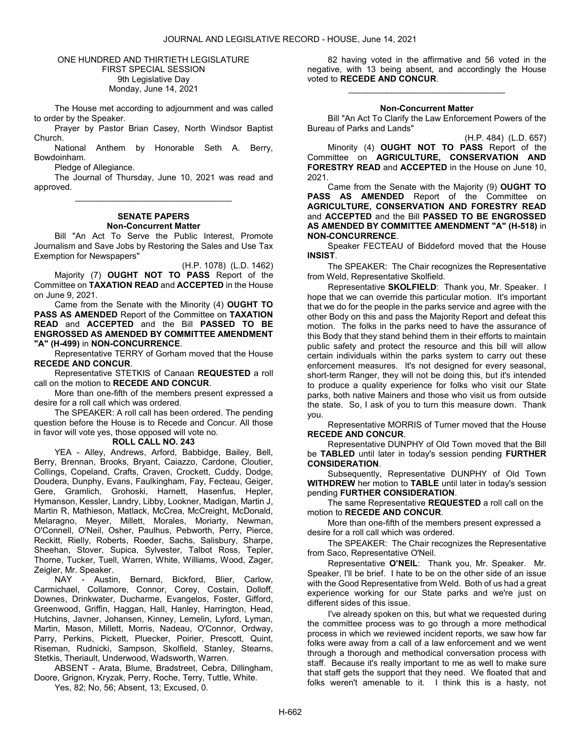## ONE HUNDRED AND THIRTIETH LEGISLATURE FIRST SPECIAL SESSION 9th Legislative Day Monday, June 14, 2021

 The House met according to adjournment and was called to order by the Speaker.

 Prayer by Pastor Brian Casey, North Windsor Baptist Church.

 National Anthem by Honorable Seth A. Berry, Bowdoinham.

Pledge of Allegiance.

 The Journal of Thursday, June 10, 2021 was read and approved. \_\_\_\_\_\_\_\_\_\_\_\_\_\_\_\_\_\_\_\_\_\_\_\_\_\_\_\_\_\_\_\_\_

## SENATE PAPERS Non-Concurrent Matter

 Bill "An Act To Serve the Public Interest, Promote Journalism and Save Jobs by Restoring the Sales and Use Tax Exemption for Newspapers"

(H.P. 1078) (L.D. 1462) Majority (7) OUGHT NOT TO PASS Report of the Committee on TAXATION READ and ACCEPTED in the House on June 9, 2021.

 Came from the Senate with the Minority (4) OUGHT TO PASS AS AMENDED Report of the Committee on TAXATION READ and ACCEPTED and the Bill PASSED TO BE ENGROSSED AS AMENDED BY COMMITTEE AMENDMENT "A" (H-499) in NON-CONCURRENCE.

 Representative TERRY of Gorham moved that the House RECEDE AND CONCUR.

 Representative STETKIS of Canaan REQUESTED a roll call on the motion to RECEDE AND CONCUR.

 More than one-fifth of the members present expressed a desire for a roll call which was ordered.

 The SPEAKER: A roll call has been ordered. The pending question before the House is to Recede and Concur. All those in favor will vote yes, those opposed will vote no.

#### ROLL CALL NO. 243

 YEA - Alley, Andrews, Arford, Babbidge, Bailey, Bell, Berry, Brennan, Brooks, Bryant, Caiazzo, Cardone, Cloutier, Collings, Copeland, Crafts, Craven, Crockett, Cuddy, Dodge, Doudera, Dunphy, Evans, Faulkingham, Fay, Fecteau, Geiger, Gere, Gramlich, Grohoski, Harnett, Hasenfus, Hepler, Hymanson, Kessler, Landry, Libby, Lookner, Madigan, Martin J, Martin R, Mathieson, Matlack, McCrea, McCreight, McDonald, Melaragno, Meyer, Millett, Morales, Moriarty, Newman, O'Connell, O'Neil, Osher, Paulhus, Pebworth, Perry, Pierce, Reckitt, Rielly, Roberts, Roeder, Sachs, Salisbury, Sharpe, Sheehan, Stover, Supica, Sylvester, Talbot Ross, Tepler, Thorne, Tucker, Tuell, Warren, White, Williams, Wood, Zager, Zeigler, Mr. Speaker.

 NAY - Austin, Bernard, Bickford, Blier, Carlow, Carmichael, Collamore, Connor, Corey, Costain, Dolloff, Downes, Drinkwater, Ducharme, Evangelos, Foster, Gifford, Greenwood, Griffin, Haggan, Hall, Hanley, Harrington, Head, Hutchins, Javner, Johansen, Kinney, Lemelin, Lyford, Lyman, Martin, Mason, Millett, Morris, Nadeau, O'Connor, Ordway, Parry, Perkins, Pickett, Pluecker, Poirier, Prescott, Quint, Riseman, Rudnicki, Sampson, Skolfield, Stanley, Stearns, Stetkis, Theriault, Underwood, Wadsworth, Warren.

 ABSENT - Arata, Blume, Bradstreet, Cebra, Dillingham, Doore, Grignon, Kryzak, Perry, Roche, Terry, Tuttle, White.

Yes, 82; No, 56; Absent, 13; Excused, 0.

 82 having voted in the affirmative and 56 voted in the negative, with 13 being absent, and accordingly the House voted to RECEDE AND CONCUR.

## Non-Concurrent Matter

\_\_\_\_\_\_\_\_\_\_\_\_\_\_\_\_\_\_\_\_\_\_\_\_\_\_\_\_\_\_\_\_\_

 Bill "An Act To Clarify the Law Enforcement Powers of the Bureau of Parks and Lands"

(H.P. 484) (L.D. 657) Minority (4) OUGHT NOT TO PASS Report of the Committee on AGRICULTURE, CONSERVATION AND FORESTRY READ and ACCEPTED in the House on June 10, 2021.

 Came from the Senate with the Majority (9) OUGHT TO PASS AS AMENDED Report of the Committee on AGRICULTURE, CONSERVATION AND FORESTRY READ and ACCEPTED and the Bill PASSED TO BE ENGROSSED AS AMENDED BY COMMITTEE AMENDMENT "A" (H-518) in NON-CONCURRENCE.

 Speaker FECTEAU of Biddeford moved that the House INSIST.

The SPEAKER: The Chair recognizes the Representative from Weld, Representative Skolfield.

Representative SKOLFIELD: Thank you, Mr. Speaker. I hope that we can override this particular motion. It's important that we do for the people in the parks service and agree with the other Body on this and pass the Majority Report and defeat this motion. The folks in the parks need to have the assurance of this Body that they stand behind them in their efforts to maintain public safety and protect the resource and this bill will allow certain individuals within the parks system to carry out these enforcement measures. It's not designed for every seasonal, short-term Ranger, they will not be doing this, but it's intended to produce a quality experience for folks who visit our State parks, both native Mainers and those who visit us from outside the state. So, I ask of you to turn this measure down. Thank you.

 Representative MORRIS of Turner moved that the House RECEDE AND CONCUR.

 Representative DUNPHY of Old Town moved that the Bill be TABLED until later in today's session pending FURTHER CONSIDERATION.

 Subsequently, Representative DUNPHY of Old Town WITHDREW her motion to TABLE until later in today's session pending FURTHER CONSIDERATION.

The same Representative REQUESTED a roll call on the motion to RECEDE AND CONCUR.

 More than one-fifth of the members present expressed a desire for a roll call which was ordered.

The SPEAKER: The Chair recognizes the Representative from Saco, Representative O'Neil.

Representative O'NEIL: Thank you, Mr. Speaker. Mr. Speaker, I'll be brief. I hate to be on the other side of an issue with the Good Representative from Weld. Both of us had a great experience working for our State parks and we're just on different sides of this issue.

I've already spoken on this, but what we requested during the committee process was to go through a more methodical process in which we reviewed incident reports, we saw how far folks were away from a call of a law enforcement and we went through a thorough and methodical conversation process with staff. Because it's really important to me as well to make sure that staff gets the support that they need. We floated that and folks weren't amenable to it. I think this is a hasty, not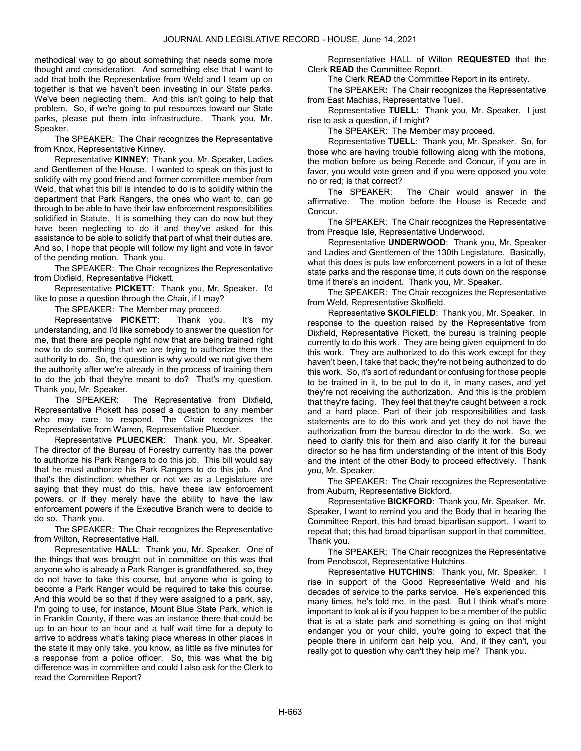methodical way to go about something that needs some more thought and consideration. And something else that I want to add that both the Representative from Weld and I team up on together is that we haven't been investing in our State parks. We've been neglecting them. And this isn't going to help that problem. So, if we're going to put resources toward our State parks, please put them into infrastructure. Thank you, Mr. Speaker.

The SPEAKER: The Chair recognizes the Representative from Knox, Representative Kinney.

Representative KINNEY: Thank you, Mr. Speaker, Ladies and Gentlemen of the House. I wanted to speak on this just to solidify with my good friend and former committee member from Weld, that what this bill is intended to do is to solidify within the department that Park Rangers, the ones who want to, can go through to be able to have their law enforcement responsibilities solidified in Statute. It is something they can do now but they have been neglecting to do it and they've asked for this assistance to be able to solidify that part of what their duties are. And so, I hope that people will follow my light and vote in favor of the pending motion. Thank you.

The SPEAKER: The Chair recognizes the Representative from Dixfield, Representative Pickett.

Representative PICKETT: Thank you, Mr. Speaker. I'd like to pose a question through the Chair, if I may?

The SPEAKER: The Member may proceed.

Representative **PICKETT**: Thank you. It's my understanding, and I'd like somebody to answer the question for me, that there are people right now that are being trained right now to do something that we are trying to authorize them the authority to do. So, the question is why would we not give them the authority after we're already in the process of training them to do the job that they're meant to do? That's my question. Thank you, Mr. Speaker.

The SPEAKER: The Representative from Dixfield, Representative Pickett has posed a question to any member who may care to respond. The Chair recognizes the Representative from Warren, Representative Pluecker.

Representative PLUECKER: Thank you, Mr. Speaker. The director of the Bureau of Forestry currently has the power to authorize his Park Rangers to do this job. This bill would say that he must authorize his Park Rangers to do this job. And that's the distinction; whether or not we as a Legislature are saying that they must do this, have these law enforcement powers, or if they merely have the ability to have the law enforcement powers if the Executive Branch were to decide to do so. Thank you.

The SPEAKER: The Chair recognizes the Representative from Wilton, Representative Hall.

Representative HALL: Thank you, Mr. Speaker. One of the things that was brought out in committee on this was that anyone who is already a Park Ranger is grandfathered, so, they do not have to take this course, but anyone who is going to become a Park Ranger would be required to take this course. And this would be so that if they were assigned to a park, say, I'm going to use, for instance, Mount Blue State Park, which is in Franklin County, if there was an instance there that could be up to an hour to an hour and a half wait time for a deputy to arrive to address what's taking place whereas in other places in the state it may only take, you know, as little as five minutes for a response from a police officer. So, this was what the big difference was in committee and could I also ask for the Clerk to read the Committee Report?

 Representative HALL of Wilton REQUESTED that the Clerk READ the Committee Report.

The Clerk READ the Committee Report in its entirety.

The SPEAKER: The Chair recognizes the Representative from East Machias, Representative Tuell.

Representative TUELL: Thank you, Mr. Speaker. I just rise to ask a question, if I might?

The SPEAKER: The Member may proceed.

Representative TUELL: Thank you, Mr. Speaker. So, for those who are having trouble following along with the motions, the motion before us being Recede and Concur, if you are in favor, you would vote green and if you were opposed you vote no or red; is that correct?

The SPEAKER: The Chair would answer in the affirmative. The motion before the House is Recede and Concur.

The SPEAKER: The Chair recognizes the Representative from Presque Isle, Representative Underwood.

Representative UNDERWOOD: Thank you, Mr. Speaker and Ladies and Gentlemen of the 130th Legislature. Basically, what this does is puts law enforcement powers in a lot of these state parks and the response time, it cuts down on the response time if there's an incident. Thank you, Mr. Speaker.

The SPEAKER: The Chair recognizes the Representative from Weld, Representative Skolfield.

Representative SKOLFIELD: Thank you, Mr. Speaker. In response to the question raised by the Representative from Dixfield, Representative Pickett, the bureau is training people currently to do this work. They are being given equipment to do this work. They are authorized to do this work except for they haven't been, I take that back; they're not being authorized to do this work. So, it's sort of redundant or confusing for those people to be trained in it, to be put to do it, in many cases, and yet they're not receiving the authorization. And this is the problem that they're facing. They feel that they're caught between a rock and a hard place. Part of their job responsibilities and task statements are to do this work and yet they do not have the authorization from the bureau director to do the work. So, we need to clarify this for them and also clarify it for the bureau director so he has firm understanding of the intent of this Body and the intent of the other Body to proceed effectively. Thank you, Mr. Speaker.

The SPEAKER: The Chair recognizes the Representative from Auburn, Representative Bickford.

Representative BICKFORD: Thank you, Mr. Speaker. Mr. Speaker, I want to remind you and the Body that in hearing the Committee Report, this had broad bipartisan support. I want to repeat that; this had broad bipartisan support in that committee. Thank you.

The SPEAKER: The Chair recognizes the Representative from Penobscot, Representative Hutchins.

Representative HUTCHINS: Thank you, Mr. Speaker. I rise in support of the Good Representative Weld and his decades of service to the parks service. He's experienced this many times, he's told me, in the past. But I think what's more important to look at is if you happen to be a member of the public that is at a state park and something is going on that might endanger you or your child, you're going to expect that the people there in uniform can help you. And, if they can't, you really got to question why can't they help me? Thank you.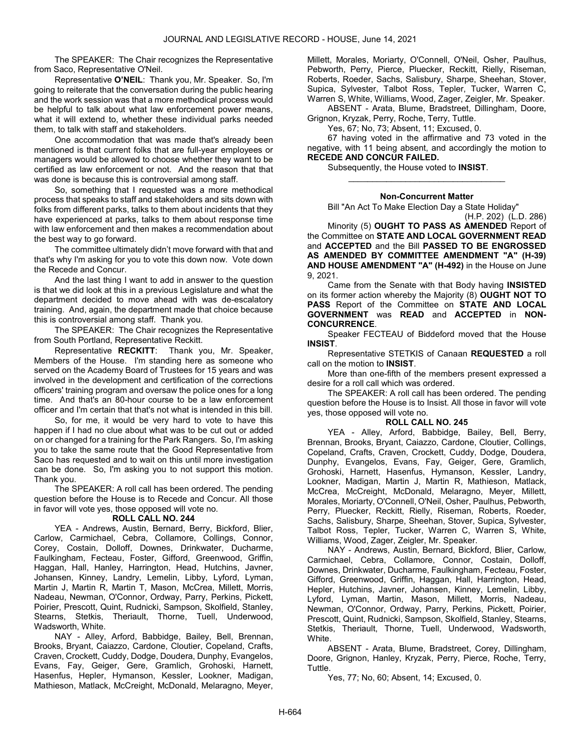The SPEAKER: The Chair recognizes the Representative from Saco, Representative O'Neil.

Representative O'NEIL: Thank you, Mr. Speaker. So, I'm going to reiterate that the conversation during the public hearing and the work session was that a more methodical process would be helpful to talk about what law enforcement power means, what it will extend to, whether these individual parks needed them, to talk with staff and stakeholders.

One accommodation that was made that's already been mentioned is that current folks that are full-year employees or managers would be allowed to choose whether they want to be certified as law enforcement or not. And the reason that that was done is because this is controversial among staff.

So, something that I requested was a more methodical process that speaks to staff and stakeholders and sits down with folks from different parks, talks to them about incidents that they have experienced at parks, talks to them about response time with law enforcement and then makes a recommendation about the best way to go forward.

The committee ultimately didn't move forward with that and that's why I'm asking for you to vote this down now. Vote down the Recede and Concur.

And the last thing I want to add in answer to the question is that we did look at this in a previous Legislature and what the department decided to move ahead with was de-escalatory training. And, again, the department made that choice because this is controversial among staff. Thank you.

The SPEAKER: The Chair recognizes the Representative from South Portland, Representative Reckitt.

Representative RECKITT: Thank you, Mr. Speaker, Members of the House. I'm standing here as someone who served on the Academy Board of Trustees for 15 years and was involved in the development and certification of the corrections officers' training program and oversaw the police ones for a long time. And that's an 80-hour course to be a law enforcement officer and I'm certain that that's not what is intended in this bill.

So, for me, it would be very hard to vote to have this happen if I had no clue about what was to be cut out or added on or changed for a training for the Park Rangers. So, I'm asking you to take the same route that the Good Representative from Saco has requested and to wait on this until more investigation can be done. So, I'm asking you to not support this motion. Thank you.

 The SPEAKER: A roll call has been ordered. The pending question before the House is to Recede and Concur. All those in favor will vote yes, those opposed will vote no.

## ROLL CALL NO. 244

 YEA - Andrews, Austin, Bernard, Berry, Bickford, Blier, Carlow, Carmichael, Cebra, Collamore, Collings, Connor, Corey, Costain, Dolloff, Downes, Drinkwater, Ducharme, Faulkingham, Fecteau, Foster, Gifford, Greenwood, Griffin, Haggan, Hall, Hanley, Harrington, Head, Hutchins, Javner, Johansen, Kinney, Landry, Lemelin, Libby, Lyford, Lyman, Martin J, Martin R, Martin T, Mason, McCrea, Millett, Morris, Nadeau, Newman, O'Connor, Ordway, Parry, Perkins, Pickett, Poirier, Prescott, Quint, Rudnicki, Sampson, Skolfield, Stanley, Stearns, Stetkis, Theriault, Thorne, Tuell, Underwood, Wadsworth, White.

 NAY - Alley, Arford, Babbidge, Bailey, Bell, Brennan, Brooks, Bryant, Caiazzo, Cardone, Cloutier, Copeland, Crafts, Craven, Crockett, Cuddy, Dodge, Doudera, Dunphy, Evangelos, Evans, Fay, Geiger, Gere, Gramlich, Grohoski, Harnett, Hasenfus, Hepler, Hymanson, Kessler, Lookner, Madigan, Mathieson, Matlack, McCreight, McDonald, Melaragno, Meyer,

Millett, Morales, Moriarty, O'Connell, O'Neil, Osher, Paulhus, Pebworth, Perry, Pierce, Pluecker, Reckitt, Rielly, Riseman, Roberts, Roeder, Sachs, Salisbury, Sharpe, Sheehan, Stover, Supica, Sylvester, Talbot Ross, Tepler, Tucker, Warren C, Warren S, White, Williams, Wood, Zager, Zeigler, Mr. Speaker.

 ABSENT - Arata, Blume, Bradstreet, Dillingham, Doore, Grignon, Kryzak, Perry, Roche, Terry, Tuttle.

Yes, 67; No, 73; Absent, 11; Excused, 0.

 67 having voted in the affirmative and 73 voted in the negative, with 11 being absent, and accordingly the motion to RECEDE AND CONCUR FAILED.

Subsequently, the House voted to INSIST.

#### Non-Concurrent Matter

\_\_\_\_\_\_\_\_\_\_\_\_\_\_\_\_\_\_\_\_\_\_\_\_\_\_\_\_\_\_\_\_\_

Bill "An Act To Make Election Day a State Holiday"

(H.P. 202) (L.D. 286)

Minority (5) **OUGHT TO PASS AS AMENDED** Report of the Committee on STATE AND LOCAL GOVERNMENT READ and ACCEPTED and the Bill PASSED TO BE ENGROSSED AS AMENDED BY COMMITTEE AMENDMENT "A" (H-39) AND HOUSE AMENDMENT "A" (H-492) in the House on June 9, 2021.

 Came from the Senate with that Body having INSISTED on its former action whereby the Majority (8) OUGHT NOT TO PASS Report of the Committee on STATE AND LOCAL GOVERNMENT was READ and ACCEPTED in NON-CONCURRENCE.

 Speaker FECTEAU of Biddeford moved that the House INSIST.

 Representative STETKIS of Canaan REQUESTED a roll call on the motion to INSIST.

 More than one-fifth of the members present expressed a desire for a roll call which was ordered.

 The SPEAKER: A roll call has been ordered. The pending question before the House is to Insist. All those in favor will vote yes, those opposed will vote no.

## ROLL CALL NO. 245

 YEA - Alley, Arford, Babbidge, Bailey, Bell, Berry, Brennan, Brooks, Bryant, Caiazzo, Cardone, Cloutier, Collings, Copeland, Crafts, Craven, Crockett, Cuddy, Dodge, Doudera, Dunphy, Evangelos, Evans, Fay, Geiger, Gere, Gramlich, Grohoski, Harnett, Hasenfus, Hymanson, Kessler, Landry, Lookner, Madigan, Martin J, Martin R, Mathieson, Matlack, McCrea, McCreight, McDonald, Melaragno, Meyer, Millett, Morales, Moriarty, O'Connell, O'Neil, Osher, Paulhus, Pebworth, Perry, Pluecker, Reckitt, Rielly, Riseman, Roberts, Roeder, Sachs, Salisbury, Sharpe, Sheehan, Stover, Supica, Sylvester, Talbot Ross, Tepler, Tucker, Warren C, Warren S, White, Williams, Wood, Zager, Zeigler, Mr. Speaker.

 NAY - Andrews, Austin, Bernard, Bickford, Blier, Carlow, Carmichael, Cebra, Collamore, Connor, Costain, Dolloff, Downes, Drinkwater, Ducharme, Faulkingham, Fecteau, Foster, Gifford, Greenwood, Griffin, Haggan, Hall, Harrington, Head, Hepler, Hutchins, Javner, Johansen, Kinney, Lemelin, Libby, Lyford, Lyman, Martin, Mason, Millett, Morris, Nadeau, Newman, O'Connor, Ordway, Parry, Perkins, Pickett, Poirier, Prescott, Quint, Rudnicki, Sampson, Skolfield, Stanley, Stearns, Stetkis, Theriault, Thorne, Tuell, Underwood, Wadsworth, White.

 ABSENT - Arata, Blume, Bradstreet, Corey, Dillingham, Doore, Grignon, Hanley, Kryzak, Perry, Pierce, Roche, Terry, Tuttle.

Yes, 77; No, 60; Absent, 14; Excused, 0.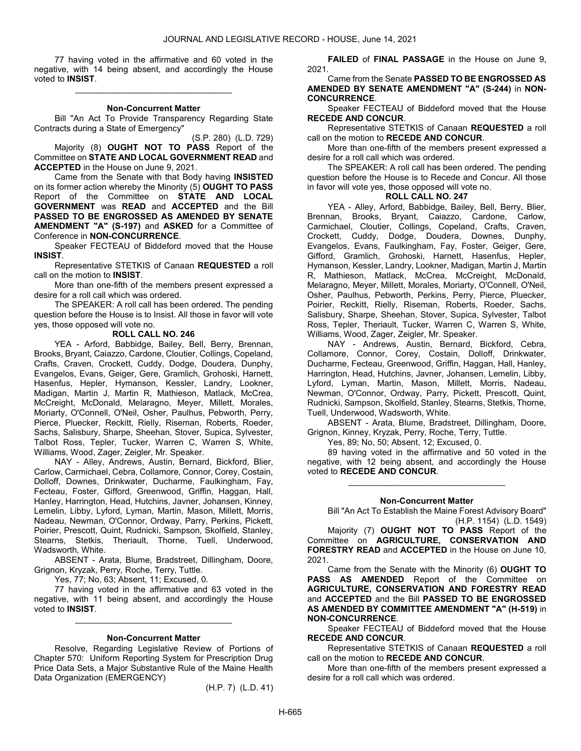77 having voted in the affirmative and 60 voted in the negative, with 14 being absent, and accordingly the House voted to INSIST.

\_\_\_\_\_\_\_\_\_\_\_\_\_\_\_\_\_\_\_\_\_\_\_\_\_\_\_\_\_\_\_\_\_

#### Non-Concurrent Matter

 Bill "An Act To Provide Transparency Regarding State Contracts during a State of Emergency"

(S.P. 280) (L.D. 729) Majority (8) OUGHT NOT TO PASS Report of the Committee on STATE AND LOCAL GOVERNMENT READ and ACCEPTED in the House on June 9, 2021.

 Came from the Senate with that Body having INSISTED on its former action whereby the Minority (5) OUGHT TO PASS Report of the Committee on STATE AND LOCAL GOVERNMENT was READ and ACCEPTED and the Bill PASSED TO BE ENGROSSED AS AMENDED BY SENATE AMENDMENT "A" (S-197) and ASKED for a Committee of Conference in NON-CONCURRENCE.

 Speaker FECTEAU of Biddeford moved that the House INSIST.

 Representative STETKIS of Canaan REQUESTED a roll call on the motion to INSIST.

 More than one-fifth of the members present expressed a desire for a roll call which was ordered.

 The SPEAKER: A roll call has been ordered. The pending question before the House is to Insist. All those in favor will vote yes, those opposed will vote no.

#### ROLL CALL NO. 246

 YEA - Arford, Babbidge, Bailey, Bell, Berry, Brennan, Brooks, Bryant, Caiazzo, Cardone, Cloutier, Collings, Copeland, Crafts, Craven, Crockett, Cuddy, Dodge, Doudera, Dunphy, Evangelos, Evans, Geiger, Gere, Gramlich, Grohoski, Harnett, Hasenfus, Hepler, Hymanson, Kessler, Landry, Lookner, Madigan, Martin J, Martin R, Mathieson, Matlack, McCrea, McCreight, McDonald, Melaragno, Meyer, Millett, Morales, Moriarty, O'Connell, O'Neil, Osher, Paulhus, Pebworth, Perry, Pierce, Pluecker, Reckitt, Rielly, Riseman, Roberts, Roeder, Sachs, Salisbury, Sharpe, Sheehan, Stover, Supica, Sylvester, Talbot Ross, Tepler, Tucker, Warren C, Warren S, White, Williams, Wood, Zager, Zeigler, Mr. Speaker.

 NAY - Alley, Andrews, Austin, Bernard, Bickford, Blier, Carlow, Carmichael, Cebra, Collamore, Connor, Corey, Costain, Dolloff, Downes, Drinkwater, Ducharme, Faulkingham, Fay, Fecteau, Foster, Gifford, Greenwood, Griffin, Haggan, Hall, Hanley, Harrington, Head, Hutchins, Javner, Johansen, Kinney, Lemelin, Libby, Lyford, Lyman, Martin, Mason, Millett, Morris, Nadeau, Newman, O'Connor, Ordway, Parry, Perkins, Pickett, Poirier, Prescott, Quint, Rudnicki, Sampson, Skolfield, Stanley, Stearns, Stetkis, Theriault, Thorne, Tuell, Underwood, Wadsworth, White.

 ABSENT - Arata, Blume, Bradstreet, Dillingham, Doore, Grignon, Kryzak, Perry, Roche, Terry, Tuttle.

Yes, 77; No, 63; Absent, 11; Excused, 0.

 77 having voted in the affirmative and 63 voted in the negative, with 11 being absent, and accordingly the House voted to INSIST.

\_\_\_\_\_\_\_\_\_\_\_\_\_\_\_\_\_\_\_\_\_\_\_\_\_\_\_\_\_\_\_\_\_

#### Non-Concurrent Matter

 Resolve, Regarding Legislative Review of Portions of Chapter 570: Uniform Reporting System for Prescription Drug Price Data Sets, a Major Substantive Rule of the Maine Health Data Organization (EMERGENCY)

(H.P. 7) (L.D. 41)

FAILED of FINAL PASSAGE in the House on June 9, 2021.

 Came from the Senate PASSED TO BE ENGROSSED AS AMENDED BY SENATE AMENDMENT "A" (S-244) in NON-CONCURRENCE.

 Speaker FECTEAU of Biddeford moved that the House RECEDE AND CONCUR.

 Representative STETKIS of Canaan REQUESTED a roll call on the motion to RECEDE AND CONCUR.

 More than one-fifth of the members present expressed a desire for a roll call which was ordered.

 The SPEAKER: A roll call has been ordered. The pending question before the House is to Recede and Concur. All those in favor will vote yes, those opposed will vote no.

## ROLL CALL NO. 247

 YEA - Alley, Arford, Babbidge, Bailey, Bell, Berry, Blier, Brennan, Brooks, Bryant, Caiazzo, Cardone, Carlow, Carmichael, Cloutier, Collings, Copeland, Crafts, Craven, Crockett, Cuddy, Dodge, Doudera, Downes, Dunphy, Evangelos, Evans, Faulkingham, Fay, Foster, Geiger, Gere, Gifford, Gramlich, Grohoski, Harnett, Hasenfus, Hepler, Hymanson, Kessler, Landry, Lookner, Madigan, Martin J, Martin R, Mathieson, Matlack, McCrea, McCreight, McDonald, Melaragno, Meyer, Millett, Morales, Moriarty, O'Connell, O'Neil, Osher, Paulhus, Pebworth, Perkins, Perry, Pierce, Pluecker, Poirier, Reckitt, Rielly, Riseman, Roberts, Roeder, Sachs, Salisbury, Sharpe, Sheehan, Stover, Supica, Sylvester, Talbot Ross, Tepler, Theriault, Tucker, Warren C, Warren S, White, Williams, Wood, Zager, Zeigler, Mr. Speaker.

 NAY - Andrews, Austin, Bernard, Bickford, Cebra, Collamore, Connor, Corey, Costain, Dolloff, Drinkwater, Ducharme, Fecteau, Greenwood, Griffin, Haggan, Hall, Hanley, Harrington, Head, Hutchins, Javner, Johansen, Lemelin, Libby, Lyford, Lyman, Martin, Mason, Millett, Morris, Nadeau, Newman, O'Connor, Ordway, Parry, Pickett, Prescott, Quint, Rudnicki, Sampson, Skolfield, Stanley, Stearns, Stetkis, Thorne, Tuell, Underwood, Wadsworth, White.

 ABSENT - Arata, Blume, Bradstreet, Dillingham, Doore, Grignon, Kinney, Kryzak, Perry, Roche, Terry, Tuttle.

Yes, 89; No, 50; Absent, 12; Excused, 0.

 89 having voted in the affirmative and 50 voted in the negative, with 12 being absent, and accordingly the House voted to RECEDE AND CONCUR.

\_\_\_\_\_\_\_\_\_\_\_\_\_\_\_\_\_\_\_\_\_\_\_\_\_\_\_\_\_\_\_\_\_

#### Non-Concurrent Matter

 Bill "An Act To Establish the Maine Forest Advisory Board" (H.P. 1154) (L.D. 1549)

 Majority (7) OUGHT NOT TO PASS Report of the Committee on **AGRICULTURE, CONSERVATION AND** FORESTRY READ and ACCEPTED in the House on June 10, 2021.

 Came from the Senate with the Minority (6) OUGHT TO PASS AS AMENDED Report of the Committee on AGRICULTURE, CONSERVATION AND FORESTRY READ and ACCEPTED and the Bill PASSED TO BE ENGROSSED AS AMENDED BY COMMITTEE AMENDMENT "A" (H-519) in NON-CONCURRENCE.

 Speaker FECTEAU of Biddeford moved that the House RECEDE AND CONCUR.

 Representative STETKIS of Canaan REQUESTED a roll call on the motion to RECEDE AND CONCUR.

 More than one-fifth of the members present expressed a desire for a roll call which was ordered.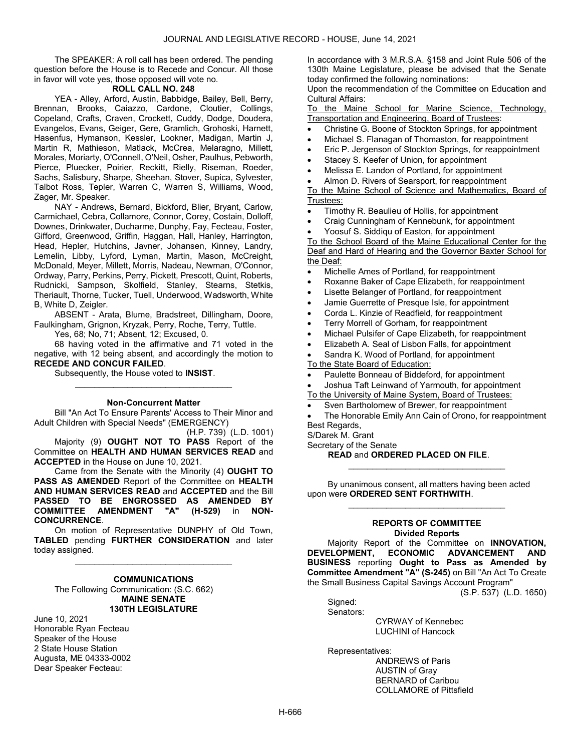The SPEAKER: A roll call has been ordered. The pending question before the House is to Recede and Concur. All those in favor will vote yes, those opposed will vote no.

## ROLL CALL NO. 248

 YEA - Alley, Arford, Austin, Babbidge, Bailey, Bell, Berry, Brennan, Brooks, Caiazzo, Cardone, Cloutier, Collings, Copeland, Crafts, Craven, Crockett, Cuddy, Dodge, Doudera, Evangelos, Evans, Geiger, Gere, Gramlich, Grohoski, Harnett, Hasenfus, Hymanson, Kessler, Lookner, Madigan, Martin J, Martin R, Mathieson, Matlack, McCrea, Melaragno, Millett, Morales, Moriarty, O'Connell, O'Neil, Osher, Paulhus, Pebworth, Pierce, Pluecker, Poirier, Reckitt, Rielly, Riseman, Roeder, Sachs, Salisbury, Sharpe, Sheehan, Stover, Supica, Sylvester, Talbot Ross, Tepler, Warren C, Warren S, Williams, Wood, Zager, Mr. Speaker.

 NAY - Andrews, Bernard, Bickford, Blier, Bryant, Carlow, Carmichael, Cebra, Collamore, Connor, Corey, Costain, Dolloff, Downes, Drinkwater, Ducharme, Dunphy, Fay, Fecteau, Foster, Gifford, Greenwood, Griffin, Haggan, Hall, Hanley, Harrington, Head, Hepler, Hutchins, Javner, Johansen, Kinney, Landry, Lemelin, Libby, Lyford, Lyman, Martin, Mason, McCreight, McDonald, Meyer, Millett, Morris, Nadeau, Newman, O'Connor, Ordway, Parry, Perkins, Perry, Pickett, Prescott, Quint, Roberts, Rudnicki, Sampson, Skolfield, Stanley, Stearns, Stetkis, Theriault, Thorne, Tucker, Tuell, Underwood, Wadsworth, White B, White D, Zeigler.

 ABSENT - Arata, Blume, Bradstreet, Dillingham, Doore, Faulkingham, Grignon, Kryzak, Perry, Roche, Terry, Tuttle.

Yes, 68; No, 71; Absent, 12; Excused, 0.

 68 having voted in the affirmative and 71 voted in the negative, with 12 being absent, and accordingly the motion to RECEDE AND CONCUR FAILED.

Subsequently, the House voted to INSIST.

#### Non-Concurrent Matter

\_\_\_\_\_\_\_\_\_\_\_\_\_\_\_\_\_\_\_\_\_\_\_\_\_\_\_\_\_\_\_\_\_

 Bill "An Act To Ensure Parents' Access to Their Minor and Adult Children with Special Needs" (EMERGENCY)

(H.P. 739) (L.D. 1001) Majority (9) OUGHT NOT TO PASS Report of the Committee on HEALTH AND HUMAN SERVICES READ and ACCEPTED in the House on June 10, 2021.

 Came from the Senate with the Minority (4) OUGHT TO PASS AS AMENDED Report of the Committee on HEALTH AND HUMAN SERVICES READ and ACCEPTED and the Bill PASSED TO BE ENGROSSED AS AMENDED BY COMMITTEE AMENDMENT "A" (H-529) in NON-CONCURRENCE.

 On motion of Representative DUNPHY of Old Town, TABLED pending FURTHER CONSIDERATION and later today assigned.

\_\_\_\_\_\_\_\_\_\_\_\_\_\_\_\_\_\_\_\_\_\_\_\_\_\_\_\_\_\_\_\_\_

# **COMMUNICATIONS**

 The Following Communication: (S.C. 662) MAINE SENATE 130TH LEGISLATURE

June 10, 2021 Honorable Ryan Fecteau Speaker of the House 2 State House Station Augusta, ME 04333-0002 Dear Speaker Fecteau:

In accordance with 3 M.R.S.A. §158 and Joint Rule 506 of the 130th Maine Legislature, please be advised that the Senate today confirmed the following nominations:

Upon the recommendation of the Committee on Education and Cultural Affairs:

To the Maine School for Marine Science, Technology, Transportation and Engineering, Board of Trustees:

- Christine G. Boone of Stockton Springs, for appointment
- Michael S. Flanagan of Thomaston, for reappointment
- Eric P. Jergenson of Stockton Springs, for reappointment
- Stacey S. Keefer of Union, for appointment
- Melissa E. Landon of Portland, for appointment
- Almon D. Rivers of Searsport, for reappointment

To the Maine School of Science and Mathematics, Board of Trustees:

- Timothy R. Beaulieu of Hollis, for appointment
- Craig Cunningham of Kennebunk, for appointment
- Yoosuf S. Siddiqu of Easton, for appointment

To the School Board of the Maine Educational Center for the Deaf and Hard of Hearing and the Governor Baxter School for the Deaf:

- Michelle Ames of Portland, for reappointment
- Roxanne Baker of Cape Elizabeth, for reappointment
- Lisette Belanger of Portland, for reappointment
- Jamie Guerrette of Presque Isle, for appointment
- Corda L. Kinzie of Readfield, for reappointment
- Terry Morrell of Gorham, for reappointment
- Michael Pulsifer of Cape Elizabeth, for reappointment
- Elizabeth A. Seal of Lisbon Falls, for appointment
- Sandra K. Wood of Portland, for appointment

To the State Board of Education:

- Paulette Bonneau of Biddeford, for appointment
- Joshua Taft Leinwand of Yarmouth, for appointment
- To the University of Maine System, Board of Trustees:
- Sven Bartholomew of Brewer, for reappointment
- The Honorable Emily Ann Cain of Orono, for reappointment Best Regards,

\_\_\_\_\_\_\_\_\_\_\_\_\_\_\_\_\_\_\_\_\_\_\_\_\_\_\_\_\_\_\_\_\_

- S/Darek M. Grant
- Secretary of the Senate

READ and ORDERED PLACED ON FILE.

 By unanimous consent, all matters having been acted upon were ORDERED SENT FORTHWITH.

#### REPORTS OF COMMITTEE Divided Reports

\_\_\_\_\_\_\_\_\_\_\_\_\_\_\_\_\_\_\_\_\_\_\_\_\_\_\_\_\_\_\_\_\_

Majority Report of the Committee on INNOVATION,<br>DEVELOPMENT, ECONOMIC ADVANCEMENT AND ECONOMIC ADVANCEMENT AND BUSINESS reporting Ought to Pass as Amended by Committee Amendment "A" (S-245) on Bill "An Act To Create the Small Business Capital Savings Account Program"

(S.P. 537) (L.D. 1650)

 Signed: Senators:

 CYRWAY of Kennebec LUCHINI of Hancock

Representatives:

 ANDREWS of Paris AUSTIN of Gray BERNARD of Caribou COLLAMORE of Pittsfield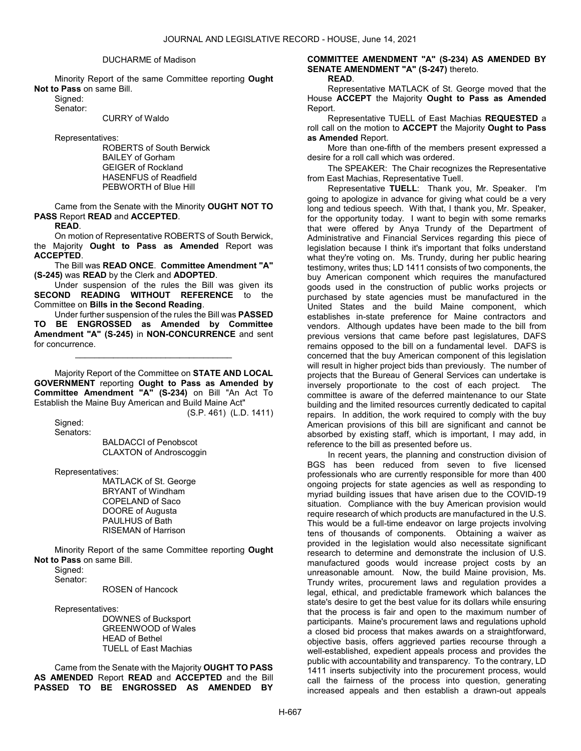#### DUCHARME of Madison

 Minority Report of the same Committee reporting Ought Not to Pass on same Bill.

Signed:

Senator:

CURRY of Waldo

Representatives:

 ROBERTS of South Berwick BAILEY of Gorham GEIGER of Rockland HASENFUS of Readfield PEBWORTH of Blue Hill

 Came from the Senate with the Minority OUGHT NOT TO PASS Report READ and ACCEPTED.

READ.

 On motion of Representative ROBERTS of South Berwick, the Majority Ought to Pass as Amended Report was ACCEPTED.

 The Bill was READ ONCE. Committee Amendment "A" (S-245) was READ by the Clerk and ADOPTED.

 Under suspension of the rules the Bill was given its SECOND READING WITHOUT REFERENCE to the Committee on Bills in the Second Reading.

 Under further suspension of the rules the Bill was PASSED TO BE ENGROSSED as Amended by Committee Amendment "A" (S-245) in NON-CONCURRENCE and sent for concurrence.

\_\_\_\_\_\_\_\_\_\_\_\_\_\_\_\_\_\_\_\_\_\_\_\_\_\_\_\_\_\_\_\_\_

 Majority Report of the Committee on STATE AND LOCAL GOVERNMENT reporting Ought to Pass as Amended by Committee Amendment "A" (S-234) on Bill "An Act To Establish the Maine Buy American and Build Maine Act"

(S.P. 461) (L.D. 1411)

 Signed: Senators:

 BALDACCI of Penobscot CLAXTON of Androscoggin

Representatives:

 MATLACK of St. George BRYANT of Windham COPELAND of Saco DOORE of Augusta PAULHUS of Bath RISEMAN of Harrison

 Minority Report of the same Committee reporting Ought Not to Pass on same Bill.

Signed:

Senator:

ROSEN of Hancock

Representatives:

 DOWNES of Bucksport GREENWOOD of Wales HEAD of Bethel TUELL of East Machias

 Came from the Senate with the Majority OUGHT TO PASS AS AMENDED Report READ and ACCEPTED and the Bill PASSED TO BE ENGROSSED AS AMENDED BY COMMITTEE AMENDMENT "A" (S-234) AS AMENDED BY SENATE AMENDMENT "A" (S-247) thereto.

## READ.

 Representative MATLACK of St. George moved that the House ACCEPT the Majority Ought to Pass as Amended Report.

 Representative TUELL of East Machias REQUESTED a roll call on the motion to ACCEPT the Majority Ought to Pass as Amended Report.

 More than one-fifth of the members present expressed a desire for a roll call which was ordered.

The SPEAKER: The Chair recognizes the Representative from East Machias, Representative Tuell.

Representative TUELL: Thank you, Mr. Speaker. I'm going to apologize in advance for giving what could be a very long and tedious speech. With that, I thank you, Mr. Speaker, for the opportunity today. I want to begin with some remarks that were offered by Anya Trundy of the Department of Administrative and Financial Services regarding this piece of legislation because I think it's important that folks understand what they're voting on. Ms. Trundy, during her public hearing testimony, writes thus; LD 1411 consists of two components, the buy American component which requires the manufactured goods used in the construction of public works projects or purchased by state agencies must be manufactured in the United States and the build Maine component, which establishes in-state preference for Maine contractors and vendors. Although updates have been made to the bill from previous versions that came before past legislatures, DAFS remains opposed to the bill on a fundamental level. DAFS is concerned that the buy American component of this legislation will result in higher project bids than previously. The number of projects that the Bureau of General Services can undertake is inversely proportionate to the cost of each project. The committee is aware of the deferred maintenance to our State building and the limited resources currently dedicated to capital repairs. In addition, the work required to comply with the buy American provisions of this bill are significant and cannot be absorbed by existing staff, which is important, I may add, in reference to the bill as presented before us.

In recent years, the planning and construction division of BGS has been reduced from seven to five licensed professionals who are currently responsible for more than 400 ongoing projects for state agencies as well as responding to myriad building issues that have arisen due to the COVID-19 situation. Compliance with the buy American provision would require research of which products are manufactured in the U.S. This would be a full-time endeavor on large projects involving tens of thousands of components. Obtaining a waiver as provided in the legislation would also necessitate significant research to determine and demonstrate the inclusion of U.S. manufactured goods would increase project costs by an unreasonable amount. Now, the build Maine provision, Ms. Trundy writes, procurement laws and regulation provides a legal, ethical, and predictable framework which balances the state's desire to get the best value for its dollars while ensuring that the process is fair and open to the maximum number of participants. Maine's procurement laws and regulations uphold a closed bid process that makes awards on a straightforward, objective basis, offers aggrieved parties recourse through a well-established, expedient appeals process and provides the public with accountability and transparency. To the contrary, LD 1411 inserts subjectivity into the procurement process, would call the fairness of the process into question, generating increased appeals and then establish a drawn-out appeals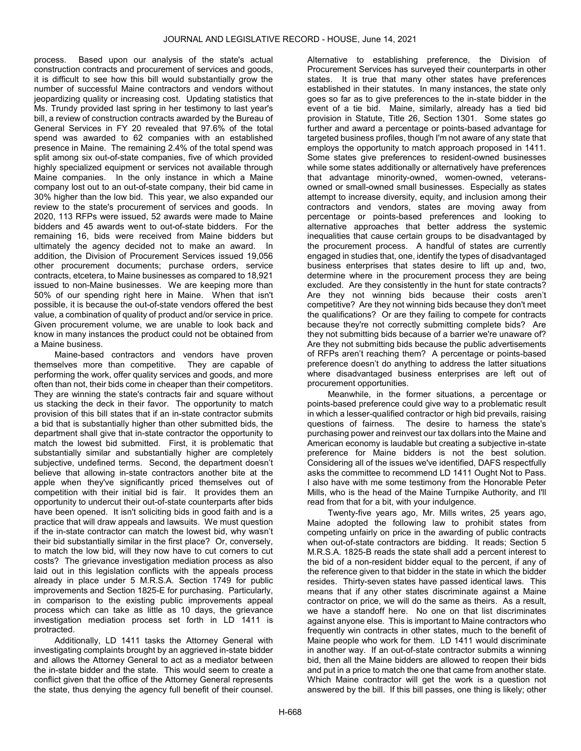process. Based upon our analysis of the state's actual construction contracts and procurement of services and goods, it is difficult to see how this bill would substantially grow the number of successful Maine contractors and vendors without jeopardizing quality or increasing cost. Updating statistics that Ms. Trundy provided last spring in her testimony to last year's bill, a review of construction contracts awarded by the Bureau of General Services in FY 20 revealed that 97.6% of the total spend was awarded to 62 companies with an established presence in Maine. The remaining 2.4% of the total spend was split among six out-of-state companies, five of which provided highly specialized equipment or services not available through Maine companies. In the only instance in which a Maine company lost out to an out-of-state company, their bid came in 30% higher than the low bid. This year, we also expanded our review to the state's procurement of services and goods. In 2020, 113 RFPs were issued, 52 awards were made to Maine bidders and 45 awards went to out-of-state bidders. For the remaining 16, bids were received from Maine bidders but ultimately the agency decided not to make an award. In addition, the Division of Procurement Services issued 19,056 other procurement documents; purchase orders, service contracts, etcetera, to Maine businesses as compared to 18,921 issued to non-Maine businesses. We are keeping more than 50% of our spending right here in Maine. When that isn't possible, it is because the out-of-state vendors offered the best value, a combination of quality of product and/or service in price. Given procurement volume, we are unable to look back and know in many instances the product could not be obtained from a Maine business.

Maine-based contractors and vendors have proven themselves more than competitive. They are capable of performing the work, offer quality services and goods, and more often than not, their bids come in cheaper than their competitors. They are winning the state's contracts fair and square without us stacking the deck in their favor. The opportunity to match provision of this bill states that if an in-state contractor submits a bid that is substantially higher than other submitted bids, the department shall give that in-state contractor the opportunity to match the lowest bid submitted. First, it is problematic that substantially similar and substantially higher are completely subjective, undefined terms. Second, the department doesn't believe that allowing in-state contractors another bite at the apple when they've significantly priced themselves out of competition with their initial bid is fair. It provides them an opportunity to undercut their out-of-state counterparts after bids have been opened. It isn't soliciting bids in good faith and is a practice that will draw appeals and lawsuits. We must question if the in-state contractor can match the lowest bid, why wasn't their bid substantially similar in the first place? Or, conversely, to match the low bid, will they now have to cut corners to cut costs? The grievance investigation mediation process as also laid out in this legislation conflicts with the appeals process already in place under 5 M.R.S.A. Section 1749 for public improvements and Section 1825-E for purchasing. Particularly, in comparison to the existing public improvements appeal process which can take as little as 10 days, the grievance investigation mediation process set forth in LD 1411 is protracted.

Additionally, LD 1411 tasks the Attorney General with investigating complaints brought by an aggrieved in-state bidder and allows the Attorney General to act as a mediator between the in-state bidder and the state. This would seem to create a conflict given that the office of the Attorney General represents the state, thus denying the agency full benefit of their counsel.

Alternative to establishing preference, the Division of Procurement Services has surveyed their counterparts in other states. It is true that many other states have preferences established in their statutes. In many instances, the state only goes so far as to give preferences to the in-state bidder in the event of a tie bid. Maine, similarly, already has a tied bid provision in Statute, Title 26, Section 1301. Some states go further and award a percentage or points-based advantage for targeted business profiles, though I'm not aware of any state that employs the opportunity to match approach proposed in 1411. Some states give preferences to resident-owned businesses while some states additionally or alternatively have preferences that advantage minority-owned, women-owned, veteransowned or small-owned small businesses. Especially as states attempt to increase diversity, equity, and inclusion among their contractors and vendors, states are moving away from percentage or points-based preferences and looking to alternative approaches that better address the systemic inequalities that cause certain groups to be disadvantaged by the procurement process. A handful of states are currently engaged in studies that, one, identify the types of disadvantaged business enterprises that states desire to lift up and, two, determine where in the procurement process they are being excluded. Are they consistently in the hunt for state contracts? Are they not winning bids because their costs aren't competitive? Are they not winning bids because they don't meet the qualifications? Or are they failing to compete for contracts because they're not correctly submitting complete bids? Are they not submitting bids because of a barrier we're unaware of? Are they not submitting bids because the public advertisements of RFPs aren't reaching them? A percentage or points-based preference doesn't do anything to address the latter situations where disadvantaged business enterprises are left out of procurement opportunities.

Meanwhile, in the former situations, a percentage or points-based preference could give way to a problematic result in which a lesser-qualified contractor or high bid prevails, raising questions of fairness. The desire to harness the state's purchasing power and reinvest our tax dollars into the Maine and American economy is laudable but creating a subjective in-state preference for Maine bidders is not the best solution. Considering all of the issues we've identified, DAFS respectfully asks the committee to recommend LD 1411 Ought Not to Pass. I also have with me some testimony from the Honorable Peter Mills, who is the head of the Maine Turnpike Authority, and I'll read from that for a bit, with your indulgence.

Twenty-five years ago, Mr. Mills writes, 25 years ago, Maine adopted the following law to prohibit states from competing unfairly on price in the awarding of public contracts when out-of-state contractors are bidding. It reads; Section 5 M.R.S.A. 1825-B reads the state shall add a percent interest to the bid of a non-resident bidder equal to the percent, if any of the reference given to that bidder in the state in which the bidder resides. Thirty-seven states have passed identical laws. This means that if any other states discriminate against a Maine contractor on price, we will do the same as theirs. As a result, we have a standoff here. No one on that list discriminates against anyone else. This is important to Maine contractors who frequently win contracts in other states, much to the benefit of Maine people who work for them. LD 1411 would discriminate in another way. If an out-of-state contractor submits a winning bid, then all the Maine bidders are allowed to reopen their bids and put in a price to match the one that came from another state. Which Maine contractor will get the work is a question not answered by the bill. If this bill passes, one thing is likely; other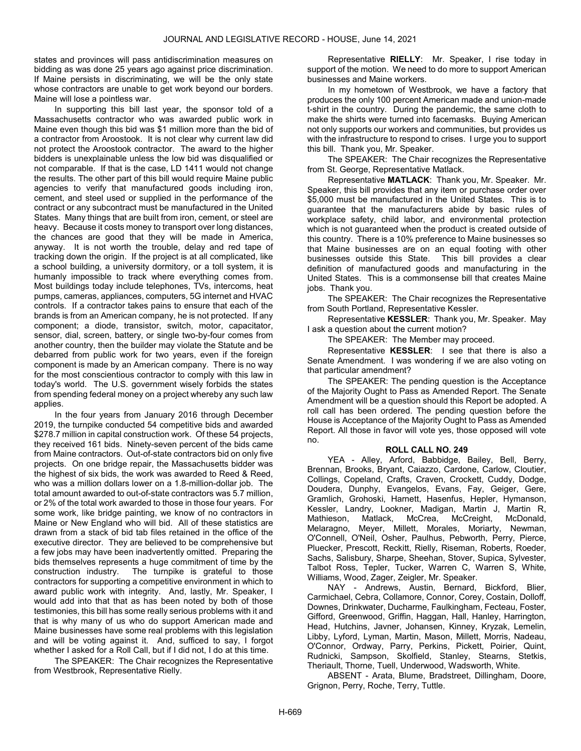states and provinces will pass antidiscrimination measures on bidding as was done 25 years ago against price discrimination. If Maine persists in discriminating, we will be the only state whose contractors are unable to get work beyond our borders. Maine will lose a pointless war.

In supporting this bill last year, the sponsor told of a Massachusetts contractor who was awarded public work in Maine even though this bid was \$1 million more than the bid of a contractor from Aroostook. It is not clear why current law did not protect the Aroostook contractor. The award to the higher bidders is unexplainable unless the low bid was disqualified or not comparable. If that is the case, LD 1411 would not change the results. The other part of this bill would require Maine public agencies to verify that manufactured goods including iron, cement, and steel used or supplied in the performance of the contract or any subcontract must be manufactured in the United States. Many things that are built from iron, cement, or steel are heavy. Because it costs money to transport over long distances, the chances are good that they will be made in America, anyway. It is not worth the trouble, delay and red tape of tracking down the origin. If the project is at all complicated, like a school building, a university dormitory, or a toll system, it is humanly impossible to track where everything comes from. Most buildings today include telephones, TVs, intercoms, heat pumps, cameras, appliances, computers, 5G internet and HVAC controls. If a contractor takes pains to ensure that each of the brands is from an American company, he is not protected. If any component; a diode, transistor, switch, motor, capacitator, sensor, dial, screen, battery, or single two-by-four comes from another country, then the builder may violate the Statute and be debarred from public work for two years, even if the foreign component is made by an American company. There is no way for the most conscientious contractor to comply with this law in today's world. The U.S. government wisely forbids the states from spending federal money on a project whereby any such law applies.

In the four years from January 2016 through December 2019, the turnpike conducted 54 competitive bids and awarded \$278.7 million in capital construction work. Of these 54 projects, they received 161 bids. Ninety-seven percent of the bids came from Maine contractors. Out-of-state contractors bid on only five projects. On one bridge repair, the Massachusetts bidder was the highest of six bids, the work was awarded to Reed & Reed, who was a million dollars lower on a 1.8-million-dollar job. The total amount awarded to out-of-state contractors was 5.7 million, or 2% of the total work awarded to those in those four years. For some work, like bridge painting, we know of no contractors in Maine or New England who will bid. All of these statistics are drawn from a stack of bid tab files retained in the office of the executive director. They are believed to be comprehensive but a few jobs may have been inadvertently omitted. Preparing the bids themselves represents a huge commitment of time by the construction industry. The turnpike is grateful to those contractors for supporting a competitive environment in which to award public work with integrity. And, lastly, Mr. Speaker, I would add into that that as has been noted by both of those testimonies, this bill has some really serious problems with it and that is why many of us who do support American made and Maine businesses have some real problems with this legislation and will be voting against it. And, sufficed to say, I forgot whether I asked for a Roll Call, but if I did not, I do at this time.

The SPEAKER: The Chair recognizes the Representative from Westbrook, Representative Rielly.

Representative RIELLY: Mr. Speaker, I rise today in support of the motion. We need to do more to support American businesses and Maine workers.

In my hometown of Westbrook, we have a factory that produces the only 100 percent American made and union-made t-shirt in the country. During the pandemic, the same cloth to make the shirts were turned into facemasks. Buying American not only supports our workers and communities, but provides us with the infrastructure to respond to crises. I urge you to support this bill. Thank you, Mr. Speaker.

The SPEAKER: The Chair recognizes the Representative from St. George, Representative Matlack.

Representative MATLACK: Thank you, Mr. Speaker. Mr. Speaker, this bill provides that any item or purchase order over \$5,000 must be manufactured in the United States. This is to guarantee that the manufacturers abide by basic rules of workplace safety, child labor, and environmental protection which is not guaranteed when the product is created outside of this country. There is a 10% preference to Maine businesses so that Maine businesses are on an equal footing with other businesses outside this State. This bill provides a clear definition of manufactured goods and manufacturing in the United States. This is a commonsense bill that creates Maine jobs. Thank you.

The SPEAKER: The Chair recognizes the Representative from South Portland, Representative Kessler.

Representative KESSLER: Thank you, Mr. Speaker. May I ask a question about the current motion?

The SPEAKER: The Member may proceed.

Representative KESSLER: I see that there is also a Senate Amendment. I was wondering if we are also voting on that particular amendment?

 The SPEAKER: The pending question is the Acceptance of the Majority Ought to Pass as Amended Report. The Senate Amendment will be a question should this Report be adopted. A roll call has been ordered. The pending question before the House is Acceptance of the Majority Ought to Pass as Amended Report. All those in favor will vote yes, those opposed will vote no.

## ROLL CALL NO. 249

 YEA - Alley, Arford, Babbidge, Bailey, Bell, Berry, Brennan, Brooks, Bryant, Caiazzo, Cardone, Carlow, Cloutier, Collings, Copeland, Crafts, Craven, Crockett, Cuddy, Dodge, Doudera, Dunphy, Evangelos, Evans, Fay, Geiger, Gere, Gramlich, Grohoski, Harnett, Hasenfus, Hepler, Hymanson, Kessler, Landry, Lookner, Madigan, Martin J, Martin R, Mathieson, Matlack, McCrea, McCreight, McDonald, Melaragno, Meyer, Millett, Morales, Moriarty, Newman, O'Connell, O'Neil, Osher, Paulhus, Pebworth, Perry, Pierce, Pluecker, Prescott, Reckitt, Rielly, Riseman, Roberts, Roeder, Sachs, Salisbury, Sharpe, Sheehan, Stover, Supica, Sylvester, Talbot Ross, Tepler, Tucker, Warren C, Warren S, White, Williams, Wood, Zager, Zeigler, Mr. Speaker.

 NAY - Andrews, Austin, Bernard, Bickford, Blier, Carmichael, Cebra, Collamore, Connor, Corey, Costain, Dolloff, Downes, Drinkwater, Ducharme, Faulkingham, Fecteau, Foster, Gifford, Greenwood, Griffin, Haggan, Hall, Hanley, Harrington, Head, Hutchins, Javner, Johansen, Kinney, Kryzak, Lemelin, Libby, Lyford, Lyman, Martin, Mason, Millett, Morris, Nadeau, O'Connor, Ordway, Parry, Perkins, Pickett, Poirier, Quint, Rudnicki, Sampson, Skolfield, Stanley, Stearns, Stetkis, Theriault, Thorne, Tuell, Underwood, Wadsworth, White.

 ABSENT - Arata, Blume, Bradstreet, Dillingham, Doore, Grignon, Perry, Roche, Terry, Tuttle.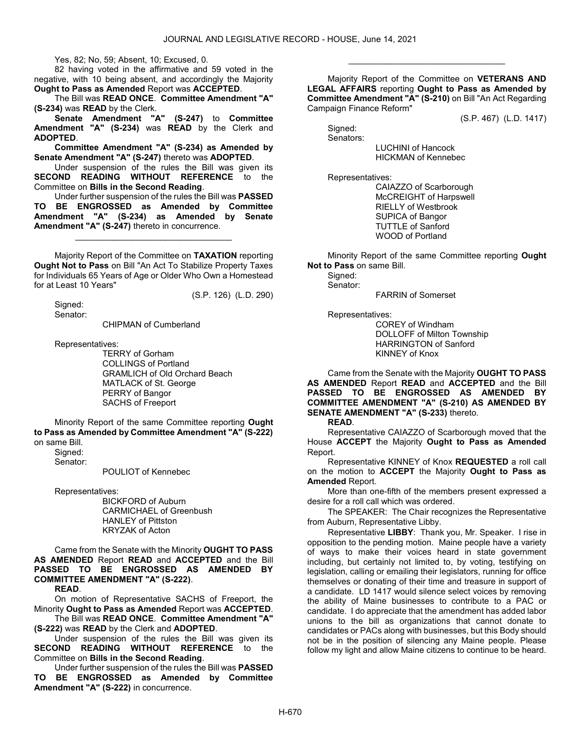Yes, 82; No, 59; Absent, 10; Excused, 0.

 82 having voted in the affirmative and 59 voted in the negative, with 10 being absent, and accordingly the Majority Ought to Pass as Amended Report was ACCEPTED.

 The Bill was READ ONCE. Committee Amendment "A" (S-234) was READ by the Clerk.

Senate Amendment "A" (S-247) to Committee Amendment "A" (S-234) was READ by the Clerk and ADOPTED.

Committee Amendment "A" (S-234) as Amended by Senate Amendment "A" (S-247) thereto was ADOPTED.

 Under suspension of the rules the Bill was given its SECOND READING WITHOUT REFERENCE to the Committee on Bills in the Second Reading.

 Under further suspension of the rules the Bill was PASSED TO BE ENGROSSED as Amended by Committee Amendment "A" (S-234) as Amended by Senate Amendment "A" (S-247) thereto in concurrence.

\_\_\_\_\_\_\_\_\_\_\_\_\_\_\_\_\_\_\_\_\_\_\_\_\_\_\_\_\_\_\_\_\_

 Majority Report of the Committee on TAXATION reporting Ought Not to Pass on Bill "An Act To Stabilize Property Taxes for Individuals 65 Years of Age or Older Who Own a Homestead for at Least 10 Years"

(S.P. 126) (L.D. 290)

 Signed: Senator:

CHIPMAN of Cumberland

Representatives:

 TERRY of Gorham COLLINGS of Portland GRAMLICH of Old Orchard Beach MATLACK of St. George PERRY of Bangor SACHS of Freeport

 Minority Report of the same Committee reporting Ought to Pass as Amended by Committee Amendment "A" (S-222) on same Bill.

 Signed: Senator:

POULIOT of Kennebec

Representatives:

 BICKFORD of Auburn CARMICHAEL of Greenbush HANLEY of Pittston KRYZAK of Acton

 Came from the Senate with the Minority OUGHT TO PASS AS AMENDED Report READ and ACCEPTED and the Bill PASSED TO BE ENGROSSED AS AMENDED BY COMMITTEE AMENDMENT "A" (S-222).

READ.

 On motion of Representative SACHS of Freeport, the Minority Ought to Pass as Amended Report was ACCEPTED.

 The Bill was READ ONCE. Committee Amendment "A" (S-222) was READ by the Clerk and ADOPTED.

 Under suspension of the rules the Bill was given its SECOND READING WITHOUT REFERENCE to the Committee on Bills in the Second Reading.

 Under further suspension of the rules the Bill was PASSED TO BE ENGROSSED as Amended by Committee Amendment "A" (S-222) in concurrence.

 Majority Report of the Committee on VETERANS AND LEGAL AFFAIRS reporting Ought to Pass as Amended by Committee Amendment "A" (S-210) on Bill "An Act Regarding Campaign Finance Reform"

\_\_\_\_\_\_\_\_\_\_\_\_\_\_\_\_\_\_\_\_\_\_\_\_\_\_\_\_\_\_\_\_\_

(S.P. 467) (L.D. 1417)

 Signed: Senators:

 LUCHINI of Hancock HICKMAN of Kennebec

Representatives:

 CAIAZZO of Scarborough McCREIGHT of Harpswell RIELLY of Westbrook SUPICA of Bangor TUTTLE of Sanford WOOD of Portland

 Minority Report of the same Committee reporting Ought Not to Pass on same Bill.

 Signed: Senator:

FARRIN of Somerset

Representatives:

 COREY of Windham DOLLOFF of Milton Township HARRINGTON of Sanford KINNEY of Knox

 Came from the Senate with the Majority OUGHT TO PASS AS AMENDED Report READ and ACCEPTED and the Bill PASSED TO BE ENGROSSED AS AMENDED BY COMMITTEE AMENDMENT "A" (S-210) AS AMENDED BY SENATE AMENDMENT "A" (S-233) thereto.

READ.

 Representative CAIAZZO of Scarborough moved that the House ACCEPT the Majority Ought to Pass as Amended Report.

 Representative KINNEY of Knox REQUESTED a roll call on the motion to **ACCEPT** the Majority **Ought to Pass as** Amended Report.

 More than one-fifth of the members present expressed a desire for a roll call which was ordered.

The SPEAKER: The Chair recognizes the Representative from Auburn, Representative Libby.

Representative LIBBY: Thank you, Mr. Speaker. I rise in opposition to the pending motion. Maine people have a variety of ways to make their voices heard in state government including, but certainly not limited to, by voting, testifying on legislation, calling or emailing their legislators, running for office themselves or donating of their time and treasure in support of a candidate. LD 1417 would silence select voices by removing the ability of Maine businesses to contribute to a PAC or candidate. I do appreciate that the amendment has added labor unions to the bill as organizations that cannot donate to candidates or PACs along with businesses, but this Body should not be in the position of silencing any Maine people. Please follow my light and allow Maine citizens to continue to be heard.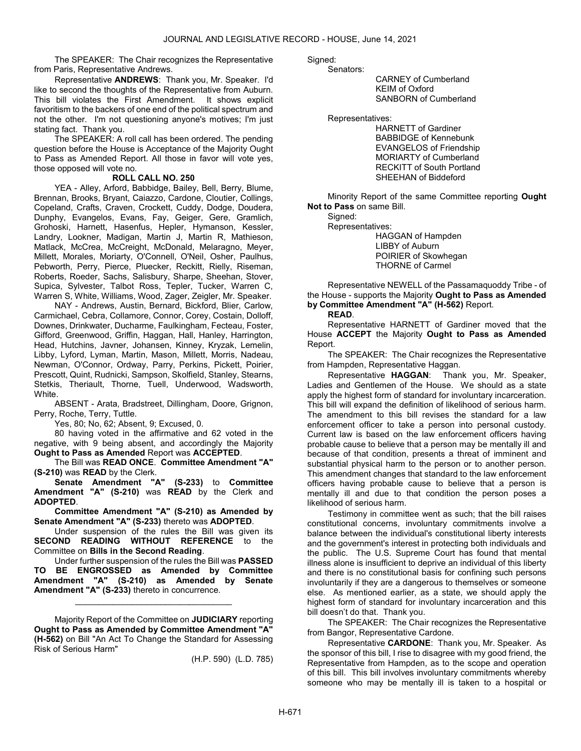The SPEAKER: The Chair recognizes the Representative from Paris, Representative Andrews.

Representative ANDREWS: Thank you, Mr. Speaker. I'd like to second the thoughts of the Representative from Auburn. This bill violates the First Amendment. It shows explicit favoritism to the backers of one end of the political spectrum and not the other. I'm not questioning anyone's motives; I'm just stating fact. Thank you.

 The SPEAKER: A roll call has been ordered. The pending question before the House is Acceptance of the Majority Ought to Pass as Amended Report. All those in favor will vote yes, those opposed will vote no.

#### ROLL CALL NO. 250

 YEA - Alley, Arford, Babbidge, Bailey, Bell, Berry, Blume, Brennan, Brooks, Bryant, Caiazzo, Cardone, Cloutier, Collings, Copeland, Crafts, Craven, Crockett, Cuddy, Dodge, Doudera, Dunphy, Evangelos, Evans, Fay, Geiger, Gere, Gramlich, Grohoski, Harnett, Hasenfus, Hepler, Hymanson, Kessler, Landry, Lookner, Madigan, Martin J, Martin R, Mathieson, Matlack, McCrea, McCreight, McDonald, Melaragno, Meyer, Millett, Morales, Moriarty, O'Connell, O'Neil, Osher, Paulhus, Pebworth, Perry, Pierce, Pluecker, Reckitt, Rielly, Riseman, Roberts, Roeder, Sachs, Salisbury, Sharpe, Sheehan, Stover, Supica, Sylvester, Talbot Ross, Tepler, Tucker, Warren C, Warren S, White, Williams, Wood, Zager, Zeigler, Mr. Speaker.

 NAY - Andrews, Austin, Bernard, Bickford, Blier, Carlow, Carmichael, Cebra, Collamore, Connor, Corey, Costain, Dolloff, Downes, Drinkwater, Ducharme, Faulkingham, Fecteau, Foster, Gifford, Greenwood, Griffin, Haggan, Hall, Hanley, Harrington, Head, Hutchins, Javner, Johansen, Kinney, Kryzak, Lemelin, Libby, Lyford, Lyman, Martin, Mason, Millett, Morris, Nadeau, Newman, O'Connor, Ordway, Parry, Perkins, Pickett, Poirier, Prescott, Quint, Rudnicki, Sampson, Skolfield, Stanley, Stearns, Stetkis, Theriault, Thorne, Tuell, Underwood, Wadsworth, White.

 ABSENT - Arata, Bradstreet, Dillingham, Doore, Grignon, Perry, Roche, Terry, Tuttle.

Yes, 80; No, 62; Absent, 9; Excused, 0.

 80 having voted in the affirmative and 62 voted in the negative, with 9 being absent, and accordingly the Majority Ought to Pass as Amended Report was ACCEPTED.

 The Bill was READ ONCE. Committee Amendment "A" (S-210) was READ by the Clerk.

Senate Amendment "A" (S-233) to Committee Amendment "A" (S-210) was READ by the Clerk and ADOPTED.

Committee Amendment "A" (S-210) as Amended by Senate Amendment "A" (S-233) thereto was ADOPTED.

 Under suspension of the rules the Bill was given its SECOND READING WITHOUT REFERENCE to the Committee on Bills in the Second Reading.

 Under further suspension of the rules the Bill was PASSED TO BE ENGROSSED as Amended by Committee Amendment "A" (S-210) as Amended by Senate Amendment "A" (S-233) thereto in concurrence.

\_\_\_\_\_\_\_\_\_\_\_\_\_\_\_\_\_\_\_\_\_\_\_\_\_\_\_\_\_\_\_\_\_

 Majority Report of the Committee on JUDICIARY reporting Ought to Pass as Amended by Committee Amendment "A" (H-562) on Bill "An Act To Change the Standard for Assessing Risk of Serious Harm"

(H.P. 590) (L.D. 785)

Sianed: Senators:

 CARNEY of Cumberland KEIM of Oxford SANBORN of Cumberland

Representatives:

 HARNETT of Gardiner BABBIDGE of Kennebunk EVANGELOS of Friendship MORIARTY of Cumberland RECKITT of South Portland SHEEHAN of Biddeford

 Minority Report of the same Committee reporting Ought Not to Pass on same Bill.

 Signed: Representatives: HAGGAN of Hampden LIBBY of Auburn POIRIER of Skowhegan THORNE of Carmel

 Representative NEWELL of the Passamaquoddy Tribe - of the House - supports the Majority Ought to Pass as Amended by Committee Amendment "A" (H-562) Report.

READ.

 Representative HARNETT of Gardiner moved that the House ACCEPT the Majority Ought to Pass as Amended Report.

The SPEAKER: The Chair recognizes the Representative from Hampden, Representative Haggan.

Representative HAGGAN: Thank you, Mr. Speaker, Ladies and Gentlemen of the House. We should as a state apply the highest form of standard for involuntary incarceration. This bill will expand the definition of likelihood of serious harm. The amendment to this bill revises the standard for a law enforcement officer to take a person into personal custody. Current law is based on the law enforcement officers having probable cause to believe that a person may be mentally ill and because of that condition, presents a threat of imminent and substantial physical harm to the person or to another person. This amendment changes that standard to the law enforcement officers having probable cause to believe that a person is mentally ill and due to that condition the person poses a likelihood of serious harm.

Testimony in committee went as such; that the bill raises constitutional concerns, involuntary commitments involve a balance between the individual's constitutional liberty interests and the government's interest in protecting both individuals and the public. The U.S. Supreme Court has found that mental illness alone is insufficient to deprive an individual of this liberty and there is no constitutional basis for confining such persons involuntarily if they are a dangerous to themselves or someone else. As mentioned earlier, as a state, we should apply the highest form of standard for involuntary incarceration and this bill doesn't do that. Thank you.

The SPEAKER: The Chair recognizes the Representative from Bangor, Representative Cardone.

Representative CARDONE: Thank you, Mr. Speaker. As the sponsor of this bill, I rise to disagree with my good friend, the Representative from Hampden, as to the scope and operation of this bill. This bill involves involuntary commitments whereby someone who may be mentally ill is taken to a hospital or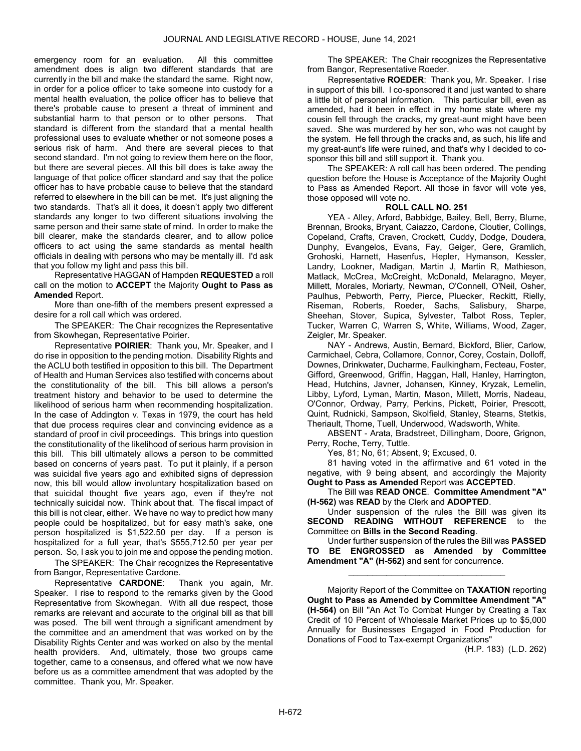emergency room for an evaluation. All this committee amendment does is align two different standards that are currently in the bill and make the standard the same. Right now, in order for a police officer to take someone into custody for a mental health evaluation, the police officer has to believe that there's probable cause to present a threat of imminent and substantial harm to that person or to other persons. That standard is different from the standard that a mental health professional uses to evaluate whether or not someone poses a serious risk of harm. And there are several pieces to that second standard. I'm not going to review them here on the floor, but there are several pieces. All this bill does is take away the language of that police officer standard and say that the police officer has to have probable cause to believe that the standard referred to elsewhere in the bill can be met. It's just aligning the two standards. That's all it does, it doesn't apply two different standards any longer to two different situations involving the same person and their same state of mind. In order to make the bill clearer, make the standards clearer, and to allow police officers to act using the same standards as mental health officials in dealing with persons who may be mentally ill. I'd ask that you follow my light and pass this bill.

 Representative HAGGAN of Hampden REQUESTED a roll call on the motion to ACCEPT the Majority Ought to Pass as Amended Report.

 More than one-fifth of the members present expressed a desire for a roll call which was ordered.

The SPEAKER: The Chair recognizes the Representative from Skowhegan, Representative Poirier.

Representative POIRIER: Thank you, Mr. Speaker, and I do rise in opposition to the pending motion. Disability Rights and the ACLU both testified in opposition to this bill. The Department of Health and Human Services also testified with concerns about the constitutionality of the bill. This bill allows a person's treatment history and behavior to be used to determine the likelihood of serious harm when recommending hospitalization. In the case of Addington v. Texas in 1979, the court has held that due process requires clear and convincing evidence as a standard of proof in civil proceedings. This brings into question the constitutionality of the likelihood of serious harm provision in this bill. This bill ultimately allows a person to be committed based on concerns of years past. To put it plainly, if a person was suicidal five years ago and exhibited signs of depression now, this bill would allow involuntary hospitalization based on that suicidal thought five years ago, even if they're not technically suicidal now. Think about that. The fiscal impact of this bill is not clear, either. We have no way to predict how many people could be hospitalized, but for easy math's sake, one person hospitalized is \$1,522.50 per day. If a person is hospitalized for a full year, that's \$555,712.50 per year per person. So, I ask you to join me and oppose the pending motion.

The SPEAKER: The Chair recognizes the Representative from Bangor, Representative Cardone.

Representative CARDONE: Thank you again, Mr. Speaker. I rise to respond to the remarks given by the Good Representative from Skowhegan. With all due respect, those remarks are relevant and accurate to the original bill as that bill was posed. The bill went through a significant amendment by the committee and an amendment that was worked on by the Disability Rights Center and was worked on also by the mental health providers. And, ultimately, those two groups came together, came to a consensus, and offered what we now have before us as a committee amendment that was adopted by the committee. Thank you, Mr. Speaker.

The SPEAKER: The Chair recognizes the Representative from Bangor, Representative Roeder.

Representative ROEDER: Thank you, Mr. Speaker. I rise in support of this bill. I co-sponsored it and just wanted to share a little bit of personal information. This particular bill, even as amended, had it been in effect in my home state where my cousin fell through the cracks, my great-aunt might have been saved. She was murdered by her son, who was not caught by the system. He fell through the cracks and, as such, his life and my great-aunt's life were ruined, and that's why I decided to cosponsor this bill and still support it. Thank you.

 The SPEAKER: A roll call has been ordered. The pending question before the House is Acceptance of the Majority Ought to Pass as Amended Report. All those in favor will vote yes, those opposed will vote no.

#### ROLL CALL NO. 251

 YEA - Alley, Arford, Babbidge, Bailey, Bell, Berry, Blume, Brennan, Brooks, Bryant, Caiazzo, Cardone, Cloutier, Collings, Copeland, Crafts, Craven, Crockett, Cuddy, Dodge, Doudera, Dunphy, Evangelos, Evans, Fay, Geiger, Gere, Gramlich, Grohoski, Harnett, Hasenfus, Hepler, Hymanson, Kessler, Landry, Lookner, Madigan, Martin J, Martin R, Mathieson, Matlack, McCrea, McCreight, McDonald, Melaragno, Meyer, Millett, Morales, Moriarty, Newman, O'Connell, O'Neil, Osher, Paulhus, Pebworth, Perry, Pierce, Pluecker, Reckitt, Rielly, Riseman, Roberts, Roeder, Sachs, Salisbury, Sharpe, Sheehan, Stover, Supica, Sylvester, Talbot Ross, Tepler, Tucker, Warren C, Warren S, White, Williams, Wood, Zager, Zeigler, Mr. Speaker.

 NAY - Andrews, Austin, Bernard, Bickford, Blier, Carlow, Carmichael, Cebra, Collamore, Connor, Corey, Costain, Dolloff, Downes, Drinkwater, Ducharme, Faulkingham, Fecteau, Foster, Gifford, Greenwood, Griffin, Haggan, Hall, Hanley, Harrington, Head, Hutchins, Javner, Johansen, Kinney, Kryzak, Lemelin, Libby, Lyford, Lyman, Martin, Mason, Millett, Morris, Nadeau, O'Connor, Ordway, Parry, Perkins, Pickett, Poirier, Prescott, Quint, Rudnicki, Sampson, Skolfield, Stanley, Stearns, Stetkis, Theriault, Thorne, Tuell, Underwood, Wadsworth, White.

 ABSENT - Arata, Bradstreet, Dillingham, Doore, Grignon, Perry, Roche, Terry, Tuttle.

Yes, 81; No, 61; Absent, 9; Excused, 0.

 81 having voted in the affirmative and 61 voted in the negative, with 9 being absent, and accordingly the Majority Ought to Pass as Amended Report was ACCEPTED.

 The Bill was READ ONCE. Committee Amendment "A" (H-562) was READ by the Clerk and ADOPTED.

 Under suspension of the rules the Bill was given its SECOND READING WITHOUT REFERENCE to the Committee on Bills in the Second Reading.

 Under further suspension of the rules the Bill was PASSED TO BE ENGROSSED as Amended by Committee Amendment "A" (H-562) and sent for concurrence.

\_\_\_\_\_\_\_\_\_\_\_\_\_\_\_\_\_\_\_\_\_\_\_\_\_\_\_\_\_\_\_\_\_

 Majority Report of the Committee on TAXATION reporting Ought to Pass as Amended by Committee Amendment "A" (H-564) on Bill "An Act To Combat Hunger by Creating a Tax Credit of 10 Percent of Wholesale Market Prices up to \$5,000 Annually for Businesses Engaged in Food Production for Donations of Food to Tax-exempt Organizations"

(H.P. 183) (L.D. 262)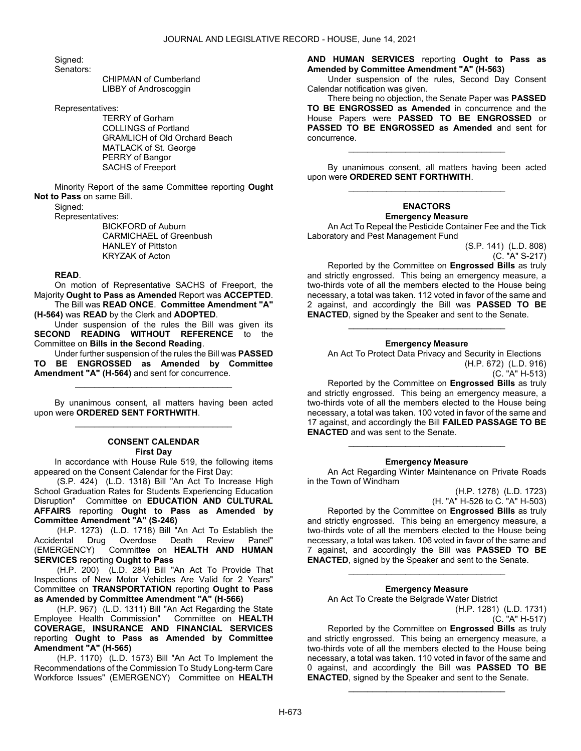Signed:

Senators:

 CHIPMAN of Cumberland LIBBY of Androscoggin

Representatives:

 TERRY of Gorham COLLINGS of Portland GRAMLICH of Old Orchard Beach MATLACK of St. George PERRY of Bangor SACHS of Freeport

 Minority Report of the same Committee reporting Ought Not to Pass on same Bill.

Signed:

Representatives:

 BICKFORD of Auburn CARMICHAEL of Greenbush HANLEY of Pittston KRYZAK of Acton

#### READ.

 On motion of Representative SACHS of Freeport, the Majority Ought to Pass as Amended Report was ACCEPTED.

 The Bill was READ ONCE. Committee Amendment "A" (H-564) was READ by the Clerk and ADOPTED.

 Under suspension of the rules the Bill was given its SECOND READING WITHOUT REFERENCE to the Committee on Bills in the Second Reading.

 Under further suspension of the rules the Bill was PASSED TO BE ENGROSSED as Amended by Committee Amendment "A" (H-564) and sent for concurrence.

\_\_\_\_\_\_\_\_\_\_\_\_\_\_\_\_\_\_\_\_\_\_\_\_\_\_\_\_\_\_\_\_\_

 By unanimous consent, all matters having been acted upon were ORDERED SENT FORTHWITH. \_\_\_\_\_\_\_\_\_\_\_\_\_\_\_\_\_\_\_\_\_\_\_\_\_\_\_\_\_\_\_\_\_

# CONSENT CALENDAR

First Day

 In accordance with House Rule 519, the following items appeared on the Consent Calendar for the First Day:

 (S.P. 424) (L.D. 1318) Bill "An Act To Increase High School Graduation Rates for Students Experiencing Education Disruption" Committee on EDUCATION AND CULTURAL AFFAIRS reporting Ought to Pass as Amended by Committee Amendment "A" (S-246)

 (H.P. 1273) (L.D. 1718) Bill "An Act To Establish the Accidental Drug Overdose Death Review Panel" (EMERGENCY) Committee on HEALTH AND HUMAN SERVICES reporting Ought to Pass

 (H.P. 200) (L.D. 284) Bill "An Act To Provide That Inspections of New Motor Vehicles Are Valid for 2 Years" Committee on TRANSPORTATION reporting Ought to Pass as Amended by Committee Amendment "A" (H-566)

 (H.P. 967) (L.D. 1311) Bill "An Act Regarding the State Employee Health Commission" Committee on HEALTH COVERAGE, INSURANCE AND FINANCIAL SERVICES reporting Ought to Pass as Amended by Committee Amendment "A" (H-565)

 (H.P. 1170) (L.D. 1573) Bill "An Act To Implement the Recommendations of the Commission To Study Long-term Care Workforce Issues" (EMERGENCY) Committee on HEALTH AND HUMAN SERVICES reporting Ought to Pass as Amended by Committee Amendment "A" (H-563)

 Under suspension of the rules, Second Day Consent Calendar notification was given.

 There being no objection, the Senate Paper was PASSED TO BE ENGROSSED as Amended in concurrence and the House Papers were PASSED TO BE ENGROSSED or PASSED TO BE ENGROSSED as Amended and sent for concurrence.

 By unanimous consent, all matters having been acted upon were ORDERED SENT FORTHWITH. \_\_\_\_\_\_\_\_\_\_\_\_\_\_\_\_\_\_\_\_\_\_\_\_\_\_\_\_\_\_\_\_\_

\_\_\_\_\_\_\_\_\_\_\_\_\_\_\_\_\_\_\_\_\_\_\_\_\_\_\_\_\_\_\_\_\_

#### ENACTORS Emergency Measure

 An Act To Repeal the Pesticide Container Fee and the Tick Laboratory and Pest Management Fund

> (S.P. 141) (L.D. 808) (C. "A" S-217)

 Reported by the Committee on Engrossed Bills as truly and strictly engrossed. This being an emergency measure, a two-thirds vote of all the members elected to the House being necessary, a total was taken. 112 voted in favor of the same and 2 against, and accordingly the Bill was **PASSED TO BE** ENACTED, signed by the Speaker and sent to the Senate.

## Emergency Measure

\_\_\_\_\_\_\_\_\_\_\_\_\_\_\_\_\_\_\_\_\_\_\_\_\_\_\_\_\_\_\_\_\_

 An Act To Protect Data Privacy and Security in Elections (H.P. 672) (L.D. 916)

(C. "A" H-513)

 Reported by the Committee on Engrossed Bills as truly and strictly engrossed. This being an emergency measure, a two-thirds vote of all the members elected to the House being necessary, a total was taken. 100 voted in favor of the same and 17 against, and accordingly the Bill FAILED PASSAGE TO BE ENACTED and was sent to the Senate.

#### Emergency Measure

\_\_\_\_\_\_\_\_\_\_\_\_\_\_\_\_\_\_\_\_\_\_\_\_\_\_\_\_\_\_\_\_\_

 An Act Regarding Winter Maintenance on Private Roads in the Town of Windham

(H.P. 1278) (L.D. 1723)

(H. "A" H-526 to C. "A" H-503) Reported by the Committee on **Engrossed Bills** as truly and strictly engrossed. This being an emergency measure, a two-thirds vote of all the members elected to the House being necessary, a total was taken. 106 voted in favor of the same and 7 against, and accordingly the Bill was **PASSED TO BE** ENACTED, signed by the Speaker and sent to the Senate.

#### Emergency Measure

\_\_\_\_\_\_\_\_\_\_\_\_\_\_\_\_\_\_\_\_\_\_\_\_\_\_\_\_\_\_\_\_\_

An Act To Create the Belgrade Water District

(H.P. 1281) (L.D. 1731) (C. "A" H-517)

 Reported by the Committee on Engrossed Bills as truly and strictly engrossed. This being an emergency measure, a two-thirds vote of all the members elected to the House being necessary, a total was taken. 110 voted in favor of the same and 0 against, and accordingly the Bill was PASSED TO BE ENACTED, signed by the Speaker and sent to the Senate.

\_\_\_\_\_\_\_\_\_\_\_\_\_\_\_\_\_\_\_\_\_\_\_\_\_\_\_\_\_\_\_\_\_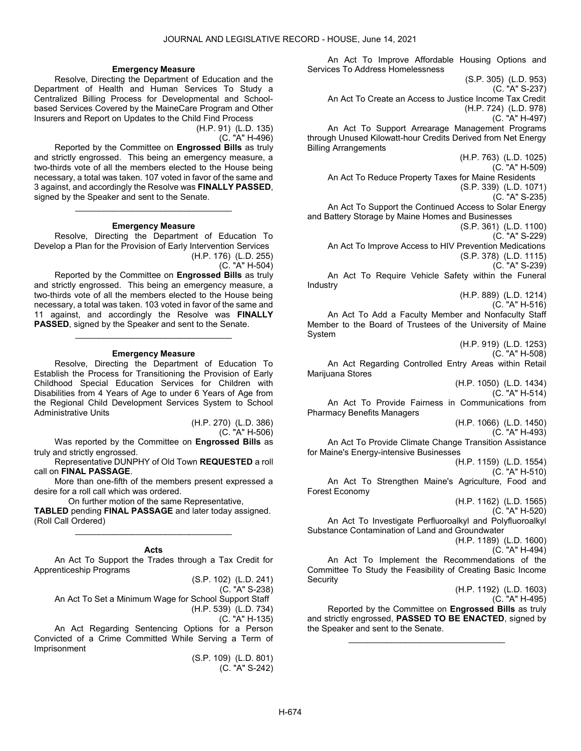#### Emergency Measure

 Resolve, Directing the Department of Education and the Department of Health and Human Services To Study a Centralized Billing Process for Developmental and Schoolbased Services Covered by the MaineCare Program and Other Insurers and Report on Updates to the Child Find Process

(H.P. 91) (L.D. 135)

(C. "A" H-496)

 Reported by the Committee on Engrossed Bills as truly and strictly engrossed. This being an emergency measure, a two-thirds vote of all the members elected to the House being necessary, a total was taken. 107 voted in favor of the same and 3 against, and accordingly the Resolve was FINALLY PASSED, signed by the Speaker and sent to the Senate.

#### Emergency Measure

\_\_\_\_\_\_\_\_\_\_\_\_\_\_\_\_\_\_\_\_\_\_\_\_\_\_\_\_\_\_\_\_\_

 Resolve, Directing the Department of Education To Develop a Plan for the Provision of Early Intervention Services (H.P. 176) (L.D. 255) (C. "A" H-504)

 Reported by the Committee on Engrossed Bills as truly and strictly engrossed. This being an emergency measure, a two-thirds vote of all the members elected to the House being necessary, a total was taken. 103 voted in favor of the same and 11 against, and accordingly the Resolve was FINALLY PASSED, signed by the Speaker and sent to the Senate.

#### Emergency Measure

\_\_\_\_\_\_\_\_\_\_\_\_\_\_\_\_\_\_\_\_\_\_\_\_\_\_\_\_\_\_\_\_\_

 Resolve, Directing the Department of Education To Establish the Process for Transitioning the Provision of Early Childhood Special Education Services for Children with Disabilities from 4 Years of Age to under 6 Years of Age from the Regional Child Development Services System to School Administrative Units

> (H.P. 270) (L.D. 386) (C. "A" H-506)

 Was reported by the Committee on Engrossed Bills as truly and strictly engrossed.

 Representative DUNPHY of Old Town REQUESTED a roll call on FINAL PASSAGE.

 More than one-fifth of the members present expressed a desire for a roll call which was ordered.

 On further motion of the same Representative, TABLED pending FINAL PASSAGE and later today assigned. (Roll Call Ordered)

Acts

\_\_\_\_\_\_\_\_\_\_\_\_\_\_\_\_\_\_\_\_\_\_\_\_\_\_\_\_\_\_\_\_\_

 An Act To Support the Trades through a Tax Credit for Apprenticeship Programs

(S.P. 102) (L.D. 241)

(C. "A" S-238)

 An Act To Set a Minimum Wage for School Support Staff (H.P. 539) (L.D. 734)

(C. "A" H-135)

 An Act Regarding Sentencing Options for a Person Convicted of a Crime Committed While Serving a Term of Imprisonment

> (S.P. 109) (L.D. 801) (C. "A" S-242)

 An Act To Improve Affordable Housing Options and Services To Address Homelessness

(S.P. 305) (L.D. 953) (C. "A" S-237) An Act To Create an Access to Justice Income Tax Credit (H.P. 724) (L.D. 978) (C. "A" H-497) An Act To Support Arrearage Management Programs through Unused Kilowatt-hour Credits Derived from Net Energy Billing Arrangements (H.P. 763) (L.D. 1025) (C. "A" H-509) An Act To Reduce Property Taxes for Maine Residents (S.P. 339) (L.D. 1071) (C. "A" S-235) An Act To Support the Continued Access to Solar Energy and Battery Storage by Maine Homes and Businesses (S.P. 361) (L.D. 1100) (C. "A" S-229) An Act To Improve Access to HIV Prevention Medications (S.P. 378) (L.D. 1115) (C. "A" S-239) An Act To Require Vehicle Safety within the Funeral Industry (H.P. 889) (L.D. 1214) (C. "A" H-516) An Act To Add a Faculty Member and Nonfaculty Staff Member to the Board of Trustees of the University of Maine System (H.P. 919) (L.D. 1253) (C. "A" H-508) An Act Regarding Controlled Entry Areas within Retail Marijuana Stores (H.P. 1050) (L.D. 1434) (C. "A" H-514) An Act To Provide Fairness in Communications from Pharmacy Benefits Managers (H.P. 1066) (L.D. 1450) (C. "A" H-493) An Act To Provide Climate Change Transition Assistance for Maine's Energy-intensive Businesses (H.P. 1159) (L.D. 1554) (C. "A" H-510) An Act To Strengthen Maine's Agriculture, Food and Forest Economy (H.P. 1162) (L.D. 1565) (C. "A" H-520) An Act To Investigate Perfluoroalkyl and Polyfluoroalkyl Substance Contamination of Land and Groundwater (H.P. 1189) (L.D. 1600) (C. "A" H-494) An Act To Implement the Recommendations of the Committee To Study the Feasibility of Creating Basic Income **Security** (H.P. 1192) (L.D. 1603) (C. "A" H-495) Reported by the Committee on Engrossed Bills as truly and strictly engrossed, PASSED TO BE ENACTED, signed by the Speaker and sent to the Senate. \_\_\_\_\_\_\_\_\_\_\_\_\_\_\_\_\_\_\_\_\_\_\_\_\_\_\_\_\_\_\_\_\_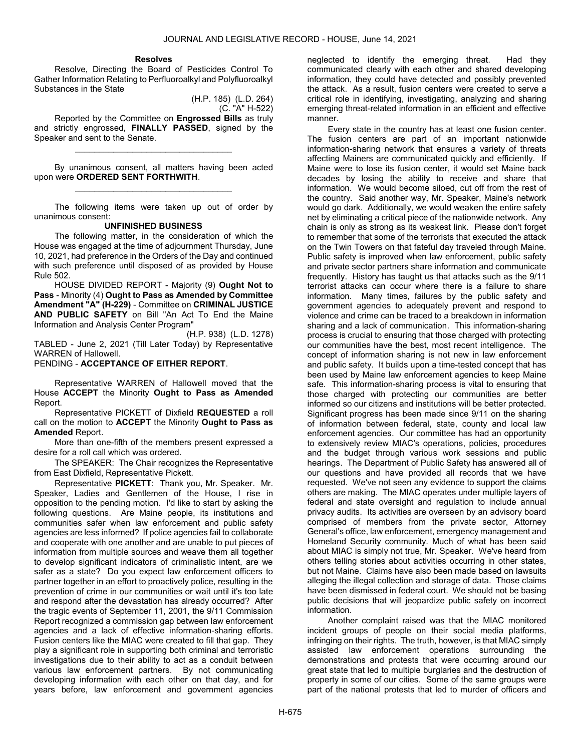## Resolves

 Resolve, Directing the Board of Pesticides Control To Gather Information Relating to Perfluoroalkyl and Polyfluoroalkyl Substances in the State

(H.P. 185) (L.D. 264) (C. "A" H-522)

 Reported by the Committee on Engrossed Bills as truly and strictly engrossed, FINALLY PASSED, signed by the Speaker and sent to the Senate.

\_\_\_\_\_\_\_\_\_\_\_\_\_\_\_\_\_\_\_\_\_\_\_\_\_\_\_\_\_\_\_\_\_

 By unanimous consent, all matters having been acted upon were ORDERED SENT FORTHWITH. \_\_\_\_\_\_\_\_\_\_\_\_\_\_\_\_\_\_\_\_\_\_\_\_\_\_\_\_\_\_\_\_\_

 The following items were taken up out of order by unanimous consent:

## UNFINISHED BUSINESS

 The following matter, in the consideration of which the House was engaged at the time of adjournment Thursday, June 10, 2021, had preference in the Orders of the Day and continued with such preference until disposed of as provided by House Rule 502.

 HOUSE DIVIDED REPORT - Majority (9) Ought Not to Pass - Minority (4) Ought to Pass as Amended by Committee Amendment "A" (H-229) - Committee on CRIMINAL JUSTICE AND PUBLIC SAFETY on Bill "An Act To End the Maine Information and Analysis Center Program"

(H.P. 938) (L.D. 1278) TABLED - June 2, 2021 (Till Later Today) by Representative WARREN of Hallowell.

PENDING - ACCEPTANCE OF EITHER REPORT.

 Representative WARREN of Hallowell moved that the House ACCEPT the Minority Ought to Pass as Amended Report.

 Representative PICKETT of Dixfield REQUESTED a roll call on the motion to ACCEPT the Minority Ought to Pass as Amended Report.

 More than one-fifth of the members present expressed a desire for a roll call which was ordered.

The SPEAKER: The Chair recognizes the Representative from East Dixfield, Representative Pickett.

Representative PICKETT: Thank you, Mr. Speaker. Mr. Speaker, Ladies and Gentlemen of the House, I rise in opposition to the pending motion. I'd like to start by asking the following questions. Are Maine people, its institutions and communities safer when law enforcement and public safety agencies are less informed? If police agencies fail to collaborate and cooperate with one another and are unable to put pieces of information from multiple sources and weave them all together to develop significant indicators of criminalistic intent, are we safer as a state? Do you expect law enforcement officers to partner together in an effort to proactively police, resulting in the prevention of crime in our communities or wait until it's too late and respond after the devastation has already occurred? After the tragic events of September 11, 2001, the 9/11 Commission Report recognized a commission gap between law enforcement agencies and a lack of effective information-sharing efforts. Fusion centers like the MIAC were created to fill that gap. They play a significant role in supporting both criminal and terroristic investigations due to their ability to act as a conduit between various law enforcement partners. By not communicating developing information with each other on that day, and for years before, law enforcement and government agencies

neglected to identify the emerging threat. Had they communicated clearly with each other and shared developing information, they could have detected and possibly prevented the attack. As a result, fusion centers were created to serve a critical role in identifying, investigating, analyzing and sharing emerging threat-related information in an efficient and effective manner.

Every state in the country has at least one fusion center. The fusion centers are part of an important nationwide information-sharing network that ensures a variety of threats affecting Mainers are communicated quickly and efficiently. If Maine were to lose its fusion center, it would set Maine back decades by losing the ability to receive and share that information. We would become siloed, cut off from the rest of the country. Said another way, Mr. Speaker, Maine's network would go dark. Additionally, we would weaken the entire safety net by eliminating a critical piece of the nationwide network. Any chain is only as strong as its weakest link. Please don't forget to remember that some of the terrorists that executed the attack on the Twin Towers on that fateful day traveled through Maine. Public safety is improved when law enforcement, public safety and private sector partners share information and communicate frequently. History has taught us that attacks such as the 9/11 terrorist attacks can occur where there is a failure to share information. Many times, failures by the public safety and government agencies to adequately prevent and respond to violence and crime can be traced to a breakdown in information sharing and a lack of communication. This information-sharing process is crucial to ensuring that those charged with protecting our communities have the best, most recent intelligence. The concept of information sharing is not new in law enforcement and public safety. It builds upon a time-tested concept that has been used by Maine law enforcement agencies to keep Maine safe. This information-sharing process is vital to ensuring that those charged with protecting our communities are better informed so our citizens and institutions will be better protected. Significant progress has been made since 9/11 on the sharing of information between federal, state, county and local law enforcement agencies. Our committee has had an opportunity to extensively review MIAC's operations, policies, procedures and the budget through various work sessions and public hearings. The Department of Public Safety has answered all of our questions and have provided all records that we have requested. We've not seen any evidence to support the claims others are making. The MIAC operates under multiple layers of federal and state oversight and regulation to include annual privacy audits. Its activities are overseen by an advisory board comprised of members from the private sector, Attorney General's office, law enforcement, emergency management and Homeland Security community. Much of what has been said about MIAC is simply not true, Mr. Speaker. We've heard from others telling stories about activities occurring in other states, but not Maine. Claims have also been made based on lawsuits alleging the illegal collection and storage of data. Those claims have been dismissed in federal court. We should not be basing public decisions that will jeopardize public safety on incorrect information.

Another complaint raised was that the MIAC monitored incident groups of people on their social media platforms, infringing on their rights. The truth, however, is that MIAC simply assisted law enforcement operations surrounding the demonstrations and protests that were occurring around our great state that led to multiple burglaries and the destruction of property in some of our cities. Some of the same groups were part of the national protests that led to murder of officers and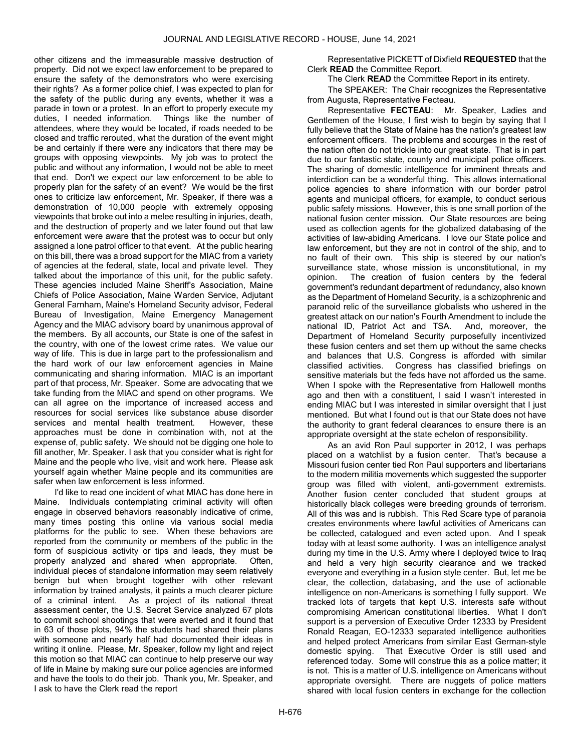other citizens and the immeasurable massive destruction of property. Did not we expect law enforcement to be prepared to ensure the safety of the demonstrators who were exercising their rights? As a former police chief, I was expected to plan for the safety of the public during any events, whether it was a parade in town or a protest. In an effort to properly execute my duties, I needed information. Things like the number of attendees, where they would be located, if roads needed to be closed and traffic rerouted, what the duration of the event might be and certainly if there were any indicators that there may be groups with opposing viewpoints. My job was to protect the public and without any information, I would not be able to meet that end. Don't we expect our law enforcement to be able to properly plan for the safety of an event? We would be the first ones to criticize law enforcement, Mr. Speaker, if there was a demonstration of 10,000 people with extremely opposing viewpoints that broke out into a melee resulting in injuries, death, and the destruction of property and we later found out that law enforcement were aware that the protest was to occur but only assigned a lone patrol officer to that event. At the public hearing on this bill, there was a broad support for the MIAC from a variety of agencies at the federal, state, local and private level. They talked about the importance of this unit, for the public safety. These agencies included Maine Sheriff's Association, Maine Chiefs of Police Association, Maine Warden Service, Adjutant General Farnham, Maine's Homeland Security advisor, Federal Bureau of Investigation, Maine Emergency Management Agency and the MIAC advisory board by unanimous approval of the members. By all accounts, our State is one of the safest in the country, with one of the lowest crime rates. We value our way of life. This is due in large part to the professionalism and the hard work of our law enforcement agencies in Maine communicating and sharing information. MIAC is an important part of that process, Mr. Speaker. Some are advocating that we take funding from the MIAC and spend on other programs. We can all agree on the importance of increased access and resources for social services like substance abuse disorder services and mental health treatment. However, these approaches must be done in combination with, not at the expense of, public safety. We should not be digging one hole to fill another, Mr. Speaker. I ask that you consider what is right for Maine and the people who live, visit and work here. Please ask yourself again whether Maine people and its communities are safer when law enforcement is less informed.

I'd like to read one incident of what MIAC has done here in Maine. Individuals contemplating criminal activity will often engage in observed behaviors reasonably indicative of crime, many times posting this online via various social media platforms for the public to see. When these behaviors are reported from the community or members of the public in the form of suspicious activity or tips and leads, they must be properly analyzed and shared when appropriate. Often, individual pieces of standalone information may seem relatively benign but when brought together with other relevant information by trained analysts, it paints a much clearer picture of a criminal intent. As a project of its national threat assessment center, the U.S. Secret Service analyzed 67 plots to commit school shootings that were averted and it found that in 63 of those plots, 94% the students had shared their plans with someone and nearly half had documented their ideas in writing it online. Please, Mr. Speaker, follow my light and reject this motion so that MIAC can continue to help preserve our way of life in Maine by making sure our police agencies are informed and have the tools to do their job. Thank you, Mr. Speaker, and I ask to have the Clerk read the report

 Representative PICKETT of Dixfield REQUESTED that the Clerk READ the Committee Report.

The Clerk READ the Committee Report in its entirety.

The SPEAKER: The Chair recognizes the Representative from Augusta, Representative Fecteau.

Representative FECTEAU: Mr. Speaker, Ladies and Gentlemen of the House, I first wish to begin by saying that I fully believe that the State of Maine has the nation's greatest law enforcement officers. The problems and scourges in the rest of the nation often do not trickle into our great state. That is in part due to our fantastic state, county and municipal police officers. The sharing of domestic intelligence for imminent threats and interdiction can be a wonderful thing. This allows international police agencies to share information with our border patrol agents and municipal officers, for example, to conduct serious public safety missions. However, this is one small portion of the national fusion center mission. Our State resources are being used as collection agents for the globalized databasing of the activities of law-abiding Americans. I love our State police and law enforcement, but they are not in control of the ship, and to no fault of their own. This ship is steered by our nation's surveillance state, whose mission is unconstitutional, in my opinion. The creation of fusion centers by the federal government's redundant department of redundancy, also known as the Department of Homeland Security, is a schizophrenic and paranoid relic of the surveillance globalists who ushered in the greatest attack on our nation's Fourth Amendment to include the national ID, Patriot Act and TSA. And, moreover, the Department of Homeland Security purposefully incentivized these fusion centers and set them up without the same checks and balances that U.S. Congress is afforded with similar classified activities. Congress has classified briefings on sensitive materials but the feds have not afforded us the same. When I spoke with the Representative from Hallowell months ago and then with a constituent, I said I wasn't interested in ending MIAC but I was interested in similar oversight that I just mentioned. But what I found out is that our State does not have the authority to grant federal clearances to ensure there is an appropriate oversight at the state echelon of responsibility.

As an avid Ron Paul supporter in 2012, I was perhaps placed on a watchlist by a fusion center. That's because a Missouri fusion center tied Ron Paul supporters and libertarians to the modern militia movements which suggested the supporter group was filled with violent, anti-government extremists. Another fusion center concluded that student groups at historically black colleges were breeding grounds of terrorism. All of this was and is rubbish. This Red Scare type of paranoia creates environments where lawful activities of Americans can be collected, catalogued and even acted upon. And I speak today with at least some authority. I was an intelligence analyst during my time in the U.S. Army where I deployed twice to Iraq and held a very high security clearance and we tracked everyone and everything in a fusion style center. But, let me be clear, the collection, databasing, and the use of actionable intelligence on non-Americans is something I fully support. We tracked lots of targets that kept U.S. interests safe without compromising American constitutional liberties. What I don't support is a perversion of Executive Order 12333 by President Ronald Reagan, EO-12333 separated intelligence authorities and helped protect Americans from similar East German-style domestic spying. That Executive Order is still used and referenced today. Some will construe this as a police matter; it is not. This is a matter of U.S. intelligence on Americans without appropriate oversight. There are nuggets of police matters shared with local fusion centers in exchange for the collection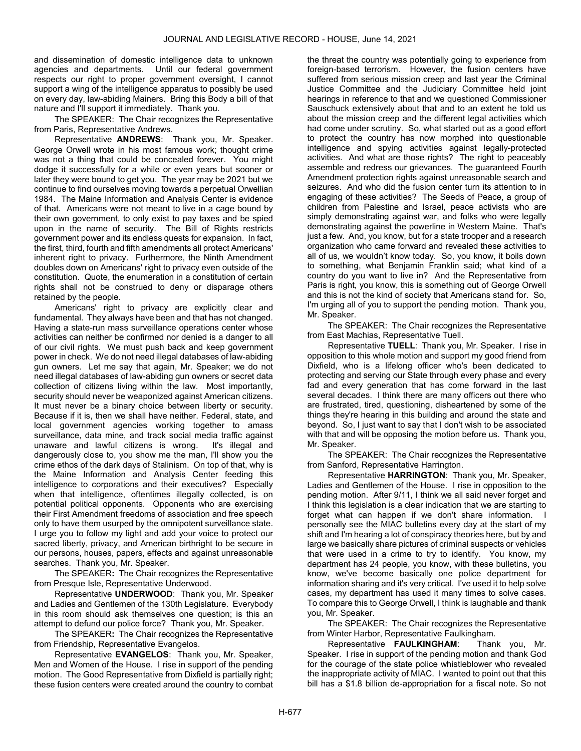and dissemination of domestic intelligence data to unknown agencies and departments. Until our federal government respects our right to proper government oversight, I cannot support a wing of the intelligence apparatus to possibly be used on every day, law-abiding Mainers. Bring this Body a bill of that nature and I'll support it immediately. Thank you.

The SPEAKER: The Chair recognizes the Representative from Paris, Representative Andrews.

Representative ANDREWS: Thank you, Mr. Speaker. George Orwell wrote in his most famous work; thought crime was not a thing that could be concealed forever. You might dodge it successfully for a while or even years but sooner or later they were bound to get you. The year may be 2021 but we continue to find ourselves moving towards a perpetual Orwellian 1984. The Maine Information and Analysis Center is evidence of that. Americans were not meant to live in a cage bound by their own government, to only exist to pay taxes and be spied upon in the name of security. The Bill of Rights restricts government power and its endless quests for expansion. In fact, the first, third, fourth and fifth amendments all protect Americans' inherent right to privacy. Furthermore, the Ninth Amendment doubles down on Americans' right to privacy even outside of the constitution. Quote, the enumeration in a constitution of certain rights shall not be construed to deny or disparage others retained by the people.

Americans' right to privacy are explicitly clear and fundamental. They always have been and that has not changed. Having a state-run mass surveillance operations center whose activities can neither be confirmed nor denied is a danger to all of our civil rights. We must push back and keep government power in check. We do not need illegal databases of law-abiding gun owners. Let me say that again, Mr. Speaker; we do not need illegal databases of law-abiding gun owners or secret data collection of citizens living within the law. Most importantly, security should never be weaponized against American citizens. It must never be a binary choice between liberty or security. Because if it is, then we shall have neither. Federal, state, and local government agencies working together to amass surveillance, data mine, and track social media traffic against unaware and lawful citizens is wrong. It's illegal and dangerously close to, you show me the man, I'll show you the crime ethos of the dark days of Stalinism. On top of that, why is the Maine Information and Analysis Center feeding this intelligence to corporations and their executives? Especially when that intelligence, oftentimes illegally collected, is on potential political opponents. Opponents who are exercising their First Amendment freedoms of association and free speech only to have them usurped by the omnipotent surveillance state. I urge you to follow my light and add your voice to protect our sacred liberty, privacy, and American birthright to be secure in our persons, houses, papers, effects and against unreasonable searches. Thank you, Mr. Speaker.

The SPEAKER: The Chair recognizes the Representative from Presque Isle, Representative Underwood.

Representative UNDERWOOD: Thank you, Mr. Speaker and Ladies and Gentlemen of the 130th Legislature. Everybody in this room should ask themselves one question; is this an attempt to defund our police force? Thank you, Mr. Speaker.

The SPEAKER: The Chair recognizes the Representative from Friendship, Representative Evangelos.

Representative EVANGELOS: Thank you, Mr. Speaker, Men and Women of the House. I rise in support of the pending motion. The Good Representative from Dixfield is partially right; these fusion centers were created around the country to combat

the threat the country was potentially going to experience from foreign-based terrorism. However, the fusion centers have suffered from serious mission creep and last year the Criminal Justice Committee and the Judiciary Committee held joint hearings in reference to that and we questioned Commissioner Sauschuck extensively about that and to an extent he told us about the mission creep and the different legal activities which had come under scrutiny. So, what started out as a good effort to protect the country has now morphed into questionable intelligence and spying activities against legally-protected activities. And what are those rights? The right to peaceably assemble and redress our grievances. The guaranteed Fourth Amendment protection rights against unreasonable search and seizures. And who did the fusion center turn its attention to in engaging of these activities? The Seeds of Peace, a group of children from Palestine and Israel, peace activists who are simply demonstrating against war, and folks who were legally demonstrating against the powerline in Western Maine. That's just a few. And, you know, but for a state trooper and a research organization who came forward and revealed these activities to all of us, we wouldn't know today. So, you know, it boils down to something, what Benjamin Franklin said; what kind of a country do you want to live in? And the Representative from Paris is right, you know, this is something out of George Orwell and this is not the kind of society that Americans stand for. So, I'm urging all of you to support the pending motion. Thank you, Mr. Speaker.

The SPEAKER: The Chair recognizes the Representative from East Machias, Representative Tuell.

Representative TUELL: Thank you, Mr. Speaker. I rise in opposition to this whole motion and support my good friend from Dixfield, who is a lifelong officer who's been dedicated to protecting and serving our State through every phase and every fad and every generation that has come forward in the last several decades. I think there are many officers out there who are frustrated, tired, questioning, disheartened by some of the things they're hearing in this building and around the state and beyond. So, I just want to say that I don't wish to be associated with that and will be opposing the motion before us. Thank you, Mr. Speaker.

The SPEAKER: The Chair recognizes the Representative from Sanford, Representative Harrington.

Representative HARRINGTON: Thank you, Mr. Speaker, Ladies and Gentlemen of the House. I rise in opposition to the pending motion. After 9/11, I think we all said never forget and I think this legislation is a clear indication that we are starting to forget what can happen if we don't share information. I personally see the MIAC bulletins every day at the start of my shift and I'm hearing a lot of conspiracy theories here, but by and large we basically share pictures of criminal suspects or vehicles that were used in a crime to try to identify. You know, my department has 24 people, you know, with these bulletins, you know, we've become basically one police department for information sharing and it's very critical. I've used it to help solve cases, my department has used it many times to solve cases. To compare this to George Orwell, I think is laughable and thank you, Mr. Speaker.

The SPEAKER: The Chair recognizes the Representative from Winter Harbor, Representative Faulkingham.

Representative FAULKINGHAM: Thank you, Mr. Speaker. I rise in support of the pending motion and thank God for the courage of the state police whistleblower who revealed the inappropriate activity of MIAC. I wanted to point out that this bill has a \$1.8 billion de-appropriation for a fiscal note. So not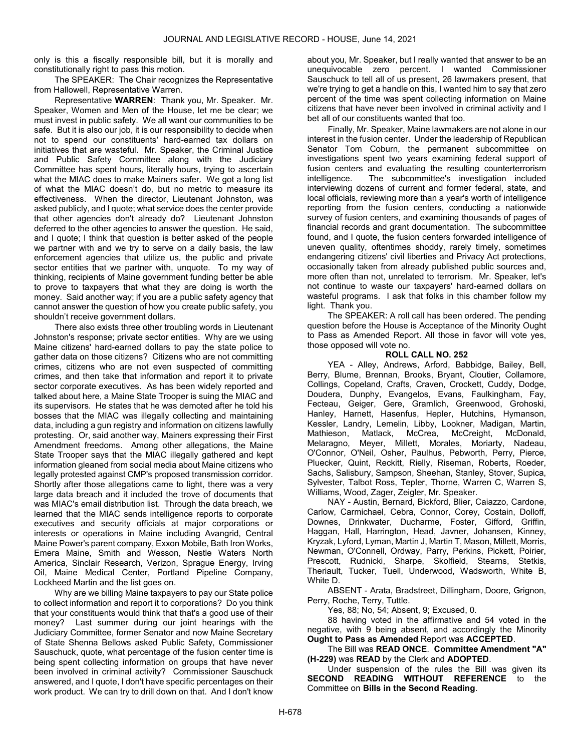only is this a fiscally responsible bill, but it is morally and constitutionally right to pass this motion.

The SPEAKER: The Chair recognizes the Representative from Hallowell, Representative Warren.

Representative WARREN: Thank you, Mr. Speaker. Mr. Speaker, Women and Men of the House, let me be clear; we must invest in public safety. We all want our communities to be safe. But it is also our job, it is our responsibility to decide when not to spend our constituents' hard-earned tax dollars on initiatives that are wasteful. Mr. Speaker, the Criminal Justice and Public Safety Committee along with the Judiciary Committee has spent hours, literally hours, trying to ascertain what the MIAC does to make Mainers safer. We got a long list of what the MIAC doesn't do, but no metric to measure its effectiveness. When the director, Lieutenant Johnston, was asked publicly, and I quote; what service does the center provide that other agencies don't already do? Lieutenant Johnston deferred to the other agencies to answer the question. He said, and I quote; I think that question is better asked of the people we partner with and we try to serve on a daily basis, the law enforcement agencies that utilize us, the public and private sector entities that we partner with, unquote. To my way of thinking, recipients of Maine government funding better be able to prove to taxpayers that what they are doing is worth the money. Said another way; if you are a public safety agency that cannot answer the question of how you create public safety, you shouldn't receive government dollars.

There also exists three other troubling words in Lieutenant Johnston's response; private sector entities. Why are we using Maine citizens' hard-earned dollars to pay the state police to gather data on those citizens? Citizens who are not committing crimes, citizens who are not even suspected of committing crimes, and then take that information and report it to private sector corporate executives. As has been widely reported and talked about here, a Maine State Trooper is suing the MIAC and its supervisors. He states that he was demoted after he told his bosses that the MIAC was illegally collecting and maintaining data, including a gun registry and information on citizens lawfully protesting. Or, said another way, Mainers expressing their First Amendment freedoms. Among other allegations, the Maine State Trooper says that the MIAC illegally gathered and kept information gleaned from social media about Maine citizens who legally protested against CMP's proposed transmission corridor. Shortly after those allegations came to light, there was a very large data breach and it included the trove of documents that was MIAC's email distribution list. Through the data breach, we learned that the MIAC sends intelligence reports to corporate executives and security officials at major corporations or interests or operations in Maine including Avangrid, Central Maine Power's parent company, Exxon Mobile, Bath Iron Works, Emera Maine, Smith and Wesson, Nestle Waters North America, Sinclair Research, Verizon, Sprague Energy, Irving Oil, Maine Medical Center, Portland Pipeline Company, Lockheed Martin and the list goes on.

Why are we billing Maine taxpayers to pay our State police to collect information and report it to corporations? Do you think that your constituents would think that that's a good use of their money? Last summer during our joint hearings with the Judiciary Committee, former Senator and now Maine Secretary of State Shenna Bellows asked Public Safety, Commissioner Sauschuck, quote, what percentage of the fusion center time is being spent collecting information on groups that have never been involved in criminal activity? Commissioner Sauschuck answered, and I quote, I don't have specific percentages on their work product. We can try to drill down on that. And I don't know

about you, Mr. Speaker, but I really wanted that answer to be an unequivocable zero percent. I wanted Commissioner Sauschuck to tell all of us present, 26 lawmakers present, that we're trying to get a handle on this, I wanted him to say that zero percent of the time was spent collecting information on Maine citizens that have never been involved in criminal activity and I bet all of our constituents wanted that too.

Finally, Mr. Speaker, Maine lawmakers are not alone in our interest in the fusion center. Under the leadership of Republican Senator Tom Coburn, the permanent subcommittee on investigations spent two years examining federal support of fusion centers and evaluating the resulting counterterrorism intelligence. The subcommittee's investigation included interviewing dozens of current and former federal, state, and local officials, reviewing more than a year's worth of intelligence reporting from the fusion centers, conducting a nationwide survey of fusion centers, and examining thousands of pages of financial records and grant documentation. The subcommittee found, and I quote, the fusion centers forwarded intelligence of uneven quality, oftentimes shoddy, rarely timely, sometimes endangering citizens' civil liberties and Privacy Act protections, occasionally taken from already published public sources and, more often than not, unrelated to terrorism. Mr. Speaker, let's not continue to waste our taxpayers' hard-earned dollars on wasteful programs. I ask that folks in this chamber follow my light. Thank you.

 The SPEAKER: A roll call has been ordered. The pending question before the House is Acceptance of the Minority Ought to Pass as Amended Report. All those in favor will vote yes, those opposed will vote no.

## ROLL CALL NO. 252

 YEA - Alley, Andrews, Arford, Babbidge, Bailey, Bell, Berry, Blume, Brennan, Brooks, Bryant, Cloutier, Collamore, Collings, Copeland, Crafts, Craven, Crockett, Cuddy, Dodge, Doudera, Dunphy, Evangelos, Evans, Faulkingham, Fay, Fecteau, Geiger, Gere, Gramlich, Greenwood, Grohoski, Hanley, Harnett, Hasenfus, Hepler, Hutchins, Hymanson, Kessler, Landry, Lemelin, Libby, Lookner, Madigan, Martin, Mathieson, Matlack, McCrea, McCreight, McDonald, Melaragno, Meyer, Millett, Morales, Moriarty, Nadeau, O'Connor, O'Neil, Osher, Paulhus, Pebworth, Perry, Pierce, Pluecker, Quint, Reckitt, Rielly, Riseman, Roberts, Roeder, Sachs, Salisbury, Sampson, Sheehan, Stanley, Stover, Supica, Sylvester, Talbot Ross, Tepler, Thorne, Warren C, Warren S, Williams, Wood, Zager, Zeigler, Mr. Speaker.

 NAY - Austin, Bernard, Bickford, Blier, Caiazzo, Cardone, Carlow, Carmichael, Cebra, Connor, Corey, Costain, Dolloff, Downes, Drinkwater, Ducharme, Foster, Gifford, Griffin, Haggan, Hall, Harrington, Head, Javner, Johansen, Kinney, Kryzak, Lyford, Lyman, Martin J, Martin T, Mason, Millett, Morris, Newman, O'Connell, Ordway, Parry, Perkins, Pickett, Poirier, Prescott, Rudnicki, Sharpe, Skolfield, Stearns, Stetkis, Theriault, Tucker, Tuell, Underwood, Wadsworth, White B, White D.

 ABSENT - Arata, Bradstreet, Dillingham, Doore, Grignon, Perry, Roche, Terry, Tuttle.

Yes, 88; No, 54; Absent, 9; Excused, 0.

 88 having voted in the affirmative and 54 voted in the negative, with 9 being absent, and accordingly the Minority Ought to Pass as Amended Report was ACCEPTED.

 The Bill was READ ONCE. Committee Amendment "A" (H-229) was READ by the Clerk and ADOPTED.

 Under suspension of the rules the Bill was given its SECOND READING WITHOUT REFERENCE to the Committee on Bills in the Second Reading.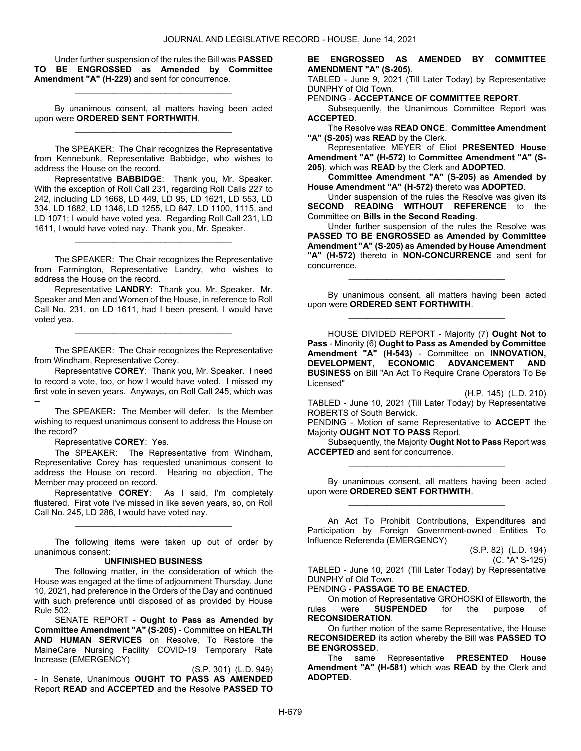Under further suspension of the rules the Bill was PASSED TO BE ENGROSSED as Amended by Committee Amendment "A" (H-229) and sent for concurrence.

\_\_\_\_\_\_\_\_\_\_\_\_\_\_\_\_\_\_\_\_\_\_\_\_\_\_\_\_\_\_\_\_\_

 By unanimous consent, all matters having been acted upon were ORDERED SENT FORTHWITH. \_\_\_\_\_\_\_\_\_\_\_\_\_\_\_\_\_\_\_\_\_\_\_\_\_\_\_\_\_\_\_\_\_

 The SPEAKER: The Chair recognizes the Representative from Kennebunk, Representative Babbidge, who wishes to address the House on the record.

Representative BABBIDGE: Thank you, Mr. Speaker. With the exception of Roll Call 231, regarding Roll Calls 227 to 242, including LD 1668, LD 449, LD 95, LD 1621, LD 553, LD 334, LD 1682, LD 1346, LD 1255, LD 847, LD 1100, 1115, and LD 1071; I would have voted yea. Regarding Roll Call 231, LD 1611, I would have voted nay. Thank you, Mr. Speaker.

The SPEAKER: The Chair recognizes the Representative from Farmington, Representative Landry, who wishes to address the House on the record.

\_\_\_\_\_\_\_\_\_\_\_\_\_\_\_\_\_\_\_\_\_\_\_\_\_\_\_\_\_\_\_\_\_

Representative LANDRY: Thank you, Mr. Speaker. Mr. Speaker and Men and Women of the House, in reference to Roll Call No. 231, on LD 1611, had I been present, I would have voted yea.

\_\_\_\_\_\_\_\_\_\_\_\_\_\_\_\_\_\_\_\_\_\_\_\_\_\_\_\_\_\_\_\_\_

The SPEAKER: The Chair recognizes the Representative from Windham, Representative Corey.

Representative COREY: Thank you, Mr. Speaker. I need to record a vote, too, or how I would have voted. I missed my first vote in seven years. Anyways, on Roll Call 245, which was --

The SPEAKER: The Member will defer. Is the Member wishing to request unanimous consent to address the House on the record?

Representative COREY: Yes.

The SPEAKER: The Representative from Windham, Representative Corey has requested unanimous consent to address the House on record. Hearing no objection, The Member may proceed on record.

Representative COREY: As I said, I'm completely flustered. First vote I've missed in like seven years, so, on Roll Call No. 245, LD 286, I would have voted nay.

\_\_\_\_\_\_\_\_\_\_\_\_\_\_\_\_\_\_\_\_\_\_\_\_\_\_\_\_\_\_\_\_\_

 The following items were taken up out of order by unanimous consent:

#### UNFINISHED BUSINESS

 The following matter, in the consideration of which the House was engaged at the time of adjournment Thursday, June 10, 2021, had preference in the Orders of the Day and continued with such preference until disposed of as provided by House Rule 502.

 SENATE REPORT - Ought to Pass as Amended by Committee Amendment "A" (S-205) - Committee on HEALTH AND HUMAN SERVICES on Resolve, To Restore the MaineCare Nursing Facility COVID-19 Temporary Rate Increase (EMERGENCY)

(S.P. 301) (L.D. 949) - In Senate, Unanimous OUGHT TO PASS AS AMENDED Report READ and ACCEPTED and the Resolve PASSED TO

#### BE ENGROSSED AS AMENDED BY COMMITTEE AMENDMENT "A" (S-205).

TABLED - June 9, 2021 (Till Later Today) by Representative DUNPHY of Old Town.

PENDING - ACCEPTANCE OF COMMITTEE REPORT.

 Subsequently, the Unanimous Committee Report was ACCEPTED.

 The Resolve was READ ONCE. Committee Amendment "A" (S-205) was READ by the Clerk.

 Representative MEYER of Eliot PRESENTED House Amendment "A" (H-572) to Committee Amendment "A" (S-205), which was READ by the Clerk and ADOPTED.

Committee Amendment "A" (S-205) as Amended by House Amendment "A" (H-572) thereto was ADOPTED.

 Under suspension of the rules the Resolve was given its SECOND READING WITHOUT REFERENCE to the Committee on Bills in the Second Reading.

 Under further suspension of the rules the Resolve was PASSED TO BE ENGROSSED as Amended by Committee Amendment "A" (S-205) as Amended by House Amendment "A" (H-572) thereto in NON-CONCURRENCE and sent for concurrence.

 By unanimous consent, all matters having been acted upon were ORDERED SENT FORTHWITH. \_\_\_\_\_\_\_\_\_\_\_\_\_\_\_\_\_\_\_\_\_\_\_\_\_\_\_\_\_\_\_\_\_

\_\_\_\_\_\_\_\_\_\_\_\_\_\_\_\_\_\_\_\_\_\_\_\_\_\_\_\_\_\_\_\_\_

 HOUSE DIVIDED REPORT - Majority (7) Ought Not to Pass - Minority (6) Ought to Pass as Amended by Committee Amendment "A" (H-543) - Committee on INNOVATION, DEVELOPMENT, ECONOMIC ADVANCEMENT AND BUSINESS on Bill "An Act To Require Crane Operators To Be Licensed"

(H.P. 145) (L.D. 210)

TABLED - June 10, 2021 (Till Later Today) by Representative ROBERTS of South Berwick.

PENDING - Motion of same Representative to ACCEPT the Majority OUGHT NOT TO PASS Report.

 Subsequently, the Majority Ought Not to Pass Report was ACCEPTED and sent for concurrence. \_\_\_\_\_\_\_\_\_\_\_\_\_\_\_\_\_\_\_\_\_\_\_\_\_\_\_\_\_\_\_\_\_

 By unanimous consent, all matters having been acted upon were ORDERED SENT FORTHWITH. \_\_\_\_\_\_\_\_\_\_\_\_\_\_\_\_\_\_\_\_\_\_\_\_\_\_\_\_\_\_\_\_\_

 An Act To Prohibit Contributions, Expenditures and Participation by Foreign Government-owned Entities To Influence Referenda (EMERGENCY)

(S.P. 82) (L.D. 194)

(C. "A" S-125)

TABLED - June 10, 2021 (Till Later Today) by Representative DUNPHY of Old Town.

## PENDING - PASSAGE TO BE ENACTED.

On motion of Representative GROHOSKI of Ellsworth, the<br>rules were **SUSPENDED** for the purpose of **SUSPENDED** for the purpose of RECONSIDERATION.

 On further motion of the same Representative, the House RECONSIDERED its action whereby the Bill was PASSED TO BE ENGROSSED.

 The same Representative PRESENTED House Amendment "A" (H-581) which was READ by the Clerk and ADOPTED.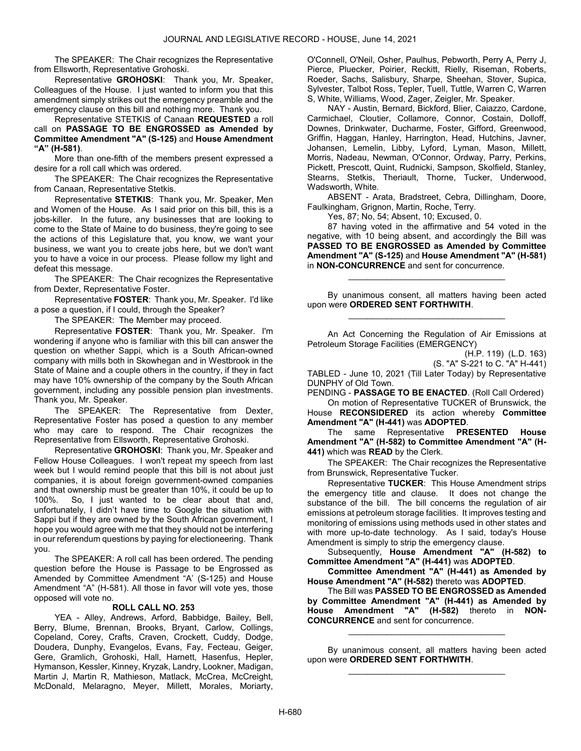The SPEAKER: The Chair recognizes the Representative from Ellsworth, Representative Grohoski.

Representative GROHOSKI: Thank you, Mr. Speaker, Colleagues of the House. I just wanted to inform you that this amendment simply strikes out the emergency preamble and the emergency clause on this bill and nothing more. Thank you.

Representative STETKIS of Canaan REQUESTED a roll call on PASSAGE TO BE ENGROSSED as Amended by Committee Amendment "A" (S-125) and House Amendment "A" (H-581).

 More than one-fifth of the members present expressed a desire for a roll call which was ordered.

The SPEAKER: The Chair recognizes the Representative from Canaan, Representative Stetkis.

Representative STETKIS: Thank you, Mr. Speaker, Men and Women of the House. As I said prior on this bill, this is a jobs-killer. In the future, any businesses that are looking to come to the State of Maine to do business, they're going to see the actions of this Legislature that, you know, we want your business, we want you to create jobs here, but we don't want you to have a voice in our process. Please follow my light and defeat this message.

The SPEAKER: The Chair recognizes the Representative from Dexter, Representative Foster.

Representative FOSTER: Thank you, Mr. Speaker. I'd like a pose a question, if I could, through the Speaker?

The SPEAKER: The Member may proceed.

Representative FOSTER: Thank you, Mr. Speaker. I'm wondering if anyone who is familiar with this bill can answer the question on whether Sappi, which is a South African-owned company with mills both in Skowhegan and in Westbrook in the State of Maine and a couple others in the country, if they in fact may have 10% ownership of the company by the South African government, including any possible pension plan investments. Thank you, Mr. Speaker.

The SPEAKER: The Representative from Dexter, Representative Foster has posed a question to any member who may care to respond. The Chair recognizes the Representative from Ellsworth, Representative Grohoski.

Representative GROHOSKI: Thank you, Mr. Speaker and Fellow House Colleagues. I won't repeat my speech from last week but I would remind people that this bill is not about just companies, it is about foreign government-owned companies and that ownership must be greater than 10%, it could be up to 100%. So, I just wanted to be clear about that and, unfortunately, I didn't have time to Google the situation with Sappi but if they are owned by the South African government, I hope you would agree with me that they should not be interfering in our referendum questions by paying for electioneering. Thank you.

 The SPEAKER: A roll call has been ordered. The pending question before the House is Passage to be Engrossed as Amended by Committee Amendment "A' (S-125) and House Amendment "A" (H-581). All those in favor will vote yes, those opposed will vote no.

## ROLL CALL NO. 253

 YEA - Alley, Andrews, Arford, Babbidge, Bailey, Bell, Berry, Blume, Brennan, Brooks, Bryant, Carlow, Collings, Copeland, Corey, Crafts, Craven, Crockett, Cuddy, Dodge, Doudera, Dunphy, Evangelos, Evans, Fay, Fecteau, Geiger, Gere, Gramlich, Grohoski, Hall, Harnett, Hasenfus, Hepler, Hymanson, Kessler, Kinney, Kryzak, Landry, Lookner, Madigan, Martin J, Martin R, Mathieson, Matlack, McCrea, McCreight, McDonald, Melaragno, Meyer, Millett, Morales, Moriarty, O'Connell, O'Neil, Osher, Paulhus, Pebworth, Perry A, Perry J, Pierce, Pluecker, Poirier, Reckitt, Rielly, Riseman, Roberts, Roeder, Sachs, Salisbury, Sharpe, Sheehan, Stover, Supica, Sylvester, Talbot Ross, Tepler, Tuell, Tuttle, Warren C, Warren S, White, Williams, Wood, Zager, Zeigler, Mr. Speaker.

 NAY - Austin, Bernard, Bickford, Blier, Caiazzo, Cardone, Carmichael, Cloutier, Collamore, Connor, Costain, Dolloff, Downes, Drinkwater, Ducharme, Foster, Gifford, Greenwood, Griffin, Haggan, Hanley, Harrington, Head, Hutchins, Javner, Johansen, Lemelin, Libby, Lyford, Lyman, Mason, Millett, Morris, Nadeau, Newman, O'Connor, Ordway, Parry, Perkins, Pickett, Prescott, Quint, Rudnicki, Sampson, Skolfield, Stanley, Stearns, Stetkis, Theriault, Thorne, Tucker, Underwood, Wadsworth, White.

 ABSENT - Arata, Bradstreet, Cebra, Dillingham, Doore, Faulkingham, Grignon, Martin, Roche, Terry.

Yes, 87; No, 54; Absent, 10; Excused, 0.

 87 having voted in the affirmative and 54 voted in the negative, with 10 being absent, and accordingly the Bill was PASSED TO BE ENGROSSED as Amended by Committee Amendment "A" (S-125) and House Amendment "A" (H-581) in NON-CONCURRENCE and sent for concurrence.

 By unanimous consent, all matters having been acted upon were ORDERED SENT FORTHWITH. \_\_\_\_\_\_\_\_\_\_\_\_\_\_\_\_\_\_\_\_\_\_\_\_\_\_\_\_\_\_\_\_\_

\_\_\_\_\_\_\_\_\_\_\_\_\_\_\_\_\_\_\_\_\_\_\_\_\_\_\_\_\_\_\_\_\_

 An Act Concerning the Regulation of Air Emissions at Petroleum Storage Facilities (EMERGENCY)

(H.P. 119) (L.D. 163)

(S. "A" S-221 to C. "A" H-441)

TABLED - June 10, 2021 (Till Later Today) by Representative DUNPHY of Old Town.

PENDING - PASSAGE TO BE ENACTED. (Roll Call Ordered)

 On motion of Representative TUCKER of Brunswick, the House RECONSIDERED its action whereby Committee Amendment "A" (H-441) was ADOPTED.

 The same Representative PRESENTED House Amendment "A" (H-582) to Committee Amendment "A" (H-441) which was READ by the Clerk.

 The SPEAKER: The Chair recognizes the Representative from Brunswick, Representative Tucker.

Representative TUCKER: This House Amendment strips the emergency title and clause. It does not change the substance of the bill. The bill concerns the regulation of air emissions at petroleum storage facilities. It improves testing and monitoring of emissions using methods used in other states and with more up-to-date technology. As I said, today's House Amendment is simply to strip the emergency clause.

 Subsequently, House Amendment "A" (H-582) to Committee Amendment "A" (H-441) was ADOPTED.

 Committee Amendment "A" (H-441) as Amended by House Amendment "A" (H-582) thereto was ADOPTED.

 The Bill was PASSED TO BE ENGROSSED as Amended by Committee Amendment "A" (H-441) as Amended by<br>House Amendment "A" (H-582) thereto in NON- $(H-582)$  thereto in NON-CONCURRENCE and sent for concurrence.

 By unanimous consent, all matters having been acted upon were ORDERED SENT FORTHWITH. \_\_\_\_\_\_\_\_\_\_\_\_\_\_\_\_\_\_\_\_\_\_\_\_\_\_\_\_\_\_\_\_\_

\_\_\_\_\_\_\_\_\_\_\_\_\_\_\_\_\_\_\_\_\_\_\_\_\_\_\_\_\_\_\_\_\_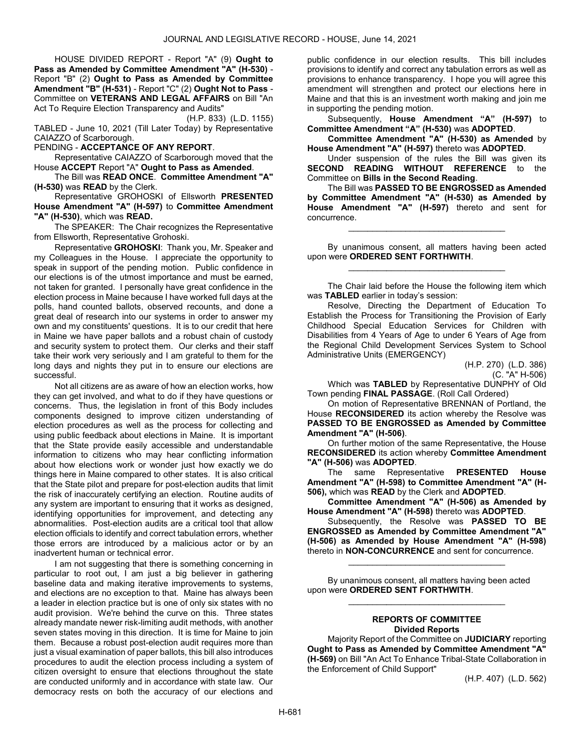HOUSE DIVIDED REPORT - Report "A" (9) Ought to Pass as Amended by Committee Amendment "A" (H-530) - Report "B" (2) Ought to Pass as Amended by Committee Amendment "B" (H-531) - Report "C" (2) Ought Not to Pass - Committee on VETERANS AND LEGAL AFFAIRS on Bill "An Act To Require Election Transparency and Audits"

(H.P. 833) (L.D. 1155) TABLED - June 10, 2021 (Till Later Today) by Representative CAIAZZO of Scarborough.

PENDING - ACCEPTANCE OF ANY REPORT.

 Representative CAIAZZO of Scarborough moved that the House ACCEPT Report "A" Ought to Pass as Amended.

 The Bill was READ ONCE. Committee Amendment "A" (H-530) was READ by the Clerk.

 Representative GROHOSKI of Ellsworth PRESENTED House Amendment "A" (H-597) to Committee Amendment "A" (H-530), which was READ.

The SPEAKER: The Chair recognizes the Representative from Ellsworth, Representative Grohoski.

Representative GROHOSKI: Thank you, Mr. Speaker and my Colleagues in the House. I appreciate the opportunity to speak in support of the pending motion. Public confidence in our elections is of the utmost importance and must be earned, not taken for granted. I personally have great confidence in the election process in Maine because I have worked full days at the polls, hand counted ballots, observed recounts, and done a great deal of research into our systems in order to answer my own and my constituents' questions. It is to our credit that here in Maine we have paper ballots and a robust chain of custody and security system to protect them. Our clerks and their staff take their work very seriously and I am grateful to them for the long days and nights they put in to ensure our elections are successful.

Not all citizens are as aware of how an election works, how they can get involved, and what to do if they have questions or concerns. Thus, the legislation in front of this Body includes components designed to improve citizen understanding of election procedures as well as the process for collecting and using public feedback about elections in Maine. It is important that the State provide easily accessible and understandable information to citizens who may hear conflicting information about how elections work or wonder just how exactly we do things here in Maine compared to other states. It is also critical that the State pilot and prepare for post-election audits that limit the risk of inaccurately certifying an election. Routine audits of any system are important to ensuring that it works as designed, identifying opportunities for improvement, and detecting any abnormalities. Post-election audits are a critical tool that allow election officials to identify and correct tabulation errors, whether those errors are introduced by a malicious actor or by an inadvertent human or technical error.

I am not suggesting that there is something concerning in particular to root out, I am just a big believer in gathering baseline data and making iterative improvements to systems, and elections are no exception to that. Maine has always been a leader in election practice but is one of only six states with no audit provision. We're behind the curve on this. Three states already mandate newer risk-limiting audit methods, with another seven states moving in this direction. It is time for Maine to join them. Because a robust post-election audit requires more than just a visual examination of paper ballots, this bill also introduces procedures to audit the election process including a system of citizen oversight to ensure that elections throughout the state are conducted uniformly and in accordance with state law. Our democracy rests on both the accuracy of our elections and

public confidence in our election results. This bill includes provisions to identify and correct any tabulation errors as well as provisions to enhance transparency. I hope you will agree this amendment will strengthen and protect our elections here in Maine and that this is an investment worth making and join me in supporting the pending motion.

 Subsequently, House Amendment "A" (H-597) to Committee Amendment "A" (H-530) was ADOPTED.

Committee Amendment "A" (H-530) as Amended by House Amendment "A" (H-597) thereto was ADOPTED.

 Under suspension of the rules the Bill was given its SECOND READING WITHOUT REFERENCE to the Committee on Bills in the Second Reading.

 The Bill was PASSED TO BE ENGROSSED as Amended by Committee Amendment "A" (H-530) as Amended by House Amendment "A" (H-597) thereto and sent for concurrence.

\_\_\_\_\_\_\_\_\_\_\_\_\_\_\_\_\_\_\_\_\_\_\_\_\_\_\_\_\_\_\_\_\_

 By unanimous consent, all matters having been acted upon were ORDERED SENT FORTHWITH. \_\_\_\_\_\_\_\_\_\_\_\_\_\_\_\_\_\_\_\_\_\_\_\_\_\_\_\_\_\_\_\_\_

| The Chair laid before the House the following item which |  |
|----------------------------------------------------------|--|
| was TABLED earlier in today's session:                   |  |

 Resolve, Directing the Department of Education To Establish the Process for Transitioning the Provision of Early Childhood Special Education Services for Children with Disabilities from 4 Years of Age to under 6 Years of Age from the Regional Child Development Services System to School Administrative Units (EMERGENCY)

> (H.P. 270) (L.D. 386) (C. "A" H-506)

Which was TABLED by Representative DUNPHY of Old Town pending FINAL PASSAGE. (Roll Call Ordered)

 On motion of Representative BRENNAN of Portland, the House RECONSIDERED its action whereby the Resolve was PASSED TO BE ENGROSSED as Amended by Committee Amendment "A" (H-506).

 On further motion of the same Representative, the House RECONSIDERED its action whereby Committee Amendment "A" (H-506) was ADOPTED.

The same Representative PRESENTED House Amendment "A" (H-598) to Committee Amendment "A" (H-506), which was READ by the Clerk and ADOPTED.

 Committee Amendment "A" (H-506) as Amended by House Amendment "A" (H-598) thereto was ADOPTED.

 Subsequently, the Resolve was PASSED TO BE ENGROSSED as Amended by Committee Amendment "A" (H-506) as Amended by House Amendment "A" (H-598) thereto in NON-CONCURRENCE and sent for concurrence.

\_\_\_\_\_\_\_\_\_\_\_\_\_\_\_\_\_\_\_\_\_\_\_\_\_\_\_\_\_\_\_\_\_

 By unanimous consent, all matters having been acted upon were ORDERED SENT FORTHWITH.

## REPORTS OF COMMITTEE Divided Reports

\_\_\_\_\_\_\_\_\_\_\_\_\_\_\_\_\_\_\_\_\_\_\_\_\_\_\_\_\_\_\_\_\_

 Majority Report of the Committee on JUDICIARY reporting Ought to Pass as Amended by Committee Amendment "A" (H-569) on Bill "An Act To Enhance Tribal-State Collaboration in the Enforcement of Child Support"

(H.P. 407) (L.D. 562)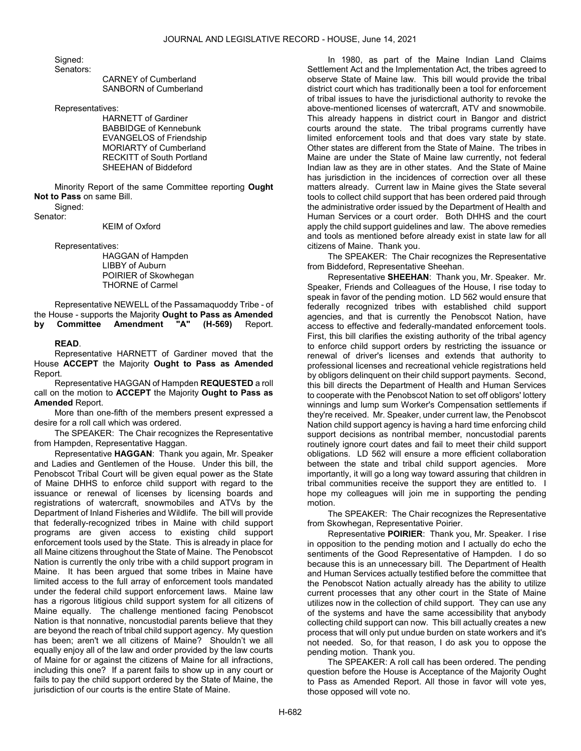Signed: Senators:

 CARNEY of Cumberland SANBORN of Cumberland

Representatives:

 HARNETT of Gardiner BABBIDGE of Kennebunk EVANGELOS of Friendship MORIARTY of Cumberland RECKITT of South Portland SHEEHAN of Biddeford

 Minority Report of the same Committee reporting Ought Not to Pass on same Bill. Signed:

Senator:

KEIM of Oxford

Representatives:

 HAGGAN of Hampden LIBBY of Auburn POIRIER of Skowhegan THORNE of Carmel

 Representative NEWELL of the Passamaquoddy Tribe - of the House - supports the Majority Ought to Pass as Amended by Committee Amendment "A" (H-569) Report.

## READ.

 Representative HARNETT of Gardiner moved that the House ACCEPT the Majority Ought to Pass as Amended Report.

 Representative HAGGAN of Hampden REQUESTED a roll call on the motion to ACCEPT the Majority Ought to Pass as Amended Report.

 More than one-fifth of the members present expressed a desire for a roll call which was ordered.

The SPEAKER: The Chair recognizes the Representative from Hampden, Representative Haggan.

Representative HAGGAN: Thank you again, Mr. Speaker and Ladies and Gentlemen of the House. Under this bill, the Penobscot Tribal Court will be given equal power as the State of Maine DHHS to enforce child support with regard to the issuance or renewal of licenses by licensing boards and registrations of watercraft, snowmobiles and ATVs by the Department of Inland Fisheries and Wildlife. The bill will provide that federally-recognized tribes in Maine with child support programs are given access to existing child support enforcement tools used by the State. This is already in place for all Maine citizens throughout the State of Maine. The Penobscot Nation is currently the only tribe with a child support program in Maine. It has been argued that some tribes in Maine have limited access to the full array of enforcement tools mandated under the federal child support enforcement laws. Maine law has a rigorous litigious child support system for all citizens of Maine equally. The challenge mentioned facing Penobscot Nation is that nonnative, noncustodial parents believe that they are beyond the reach of tribal child support agency. My question has been; aren't we all citizens of Maine? Shouldn't we all equally enjoy all of the law and order provided by the law courts of Maine for or against the citizens of Maine for all infractions, including this one? If a parent fails to show up in any court or fails to pay the child support ordered by the State of Maine, the jurisdiction of our courts is the entire State of Maine.

In 1980, as part of the Maine Indian Land Claims Settlement Act and the Implementation Act, the tribes agreed to observe State of Maine law. This bill would provide the tribal district court which has traditionally been a tool for enforcement of tribal issues to have the jurisdictional authority to revoke the above-mentioned licenses of watercraft, ATV and snowmobile. This already happens in district court in Bangor and district courts around the state. The tribal programs currently have limited enforcement tools and that does vary state by state. Other states are different from the State of Maine. The tribes in Maine are under the State of Maine law currently, not federal Indian law as they are in other states. And the State of Maine has jurisdiction in the incidences of correction over all these matters already. Current law in Maine gives the State several tools to collect child support that has been ordered paid through the administrative order issued by the Department of Health and Human Services or a court order. Both DHHS and the court apply the child support guidelines and law. The above remedies and tools as mentioned before already exist in state law for all citizens of Maine. Thank you.

The SPEAKER: The Chair recognizes the Representative from Biddeford, Representative Sheehan.

Representative SHEEHAN: Thank you, Mr. Speaker. Mr. Speaker, Friends and Colleagues of the House, I rise today to speak in favor of the pending motion. LD 562 would ensure that federally recognized tribes with established child support agencies, and that is currently the Penobscot Nation, have access to effective and federally-mandated enforcement tools. First, this bill clarifies the existing authority of the tribal agency to enforce child support orders by restricting the issuance or renewal of driver's licenses and extends that authority to professional licenses and recreational vehicle registrations held by obligors delinquent on their child support payments. Second, this bill directs the Department of Health and Human Services to cooperate with the Penobscot Nation to set off obligors' lottery winnings and lump sum Worker's Compensation settlements if they're received. Mr. Speaker, under current law, the Penobscot Nation child support agency is having a hard time enforcing child support decisions as nontribal member, noncustodial parents routinely ignore court dates and fail to meet their child support obligations. LD 562 will ensure a more efficient collaboration between the state and tribal child support agencies. More importantly, it will go a long way toward assuring that children in tribal communities receive the support they are entitled to. I hope my colleagues will join me in supporting the pending motion.

The SPEAKER: The Chair recognizes the Representative from Skowhegan, Representative Poirier.

Representative POIRIER: Thank you, Mr. Speaker. I rise in opposition to the pending motion and I actually do echo the sentiments of the Good Representative of Hampden. I do so because this is an unnecessary bill. The Department of Health and Human Services actually testified before the committee that the Penobscot Nation actually already has the ability to utilize current processes that any other court in the State of Maine utilizes now in the collection of child support. They can use any of the systems and have the same accessibility that anybody collecting child support can now. This bill actually creates a new process that will only put undue burden on state workers and it's not needed. So, for that reason, I do ask you to oppose the pending motion. Thank you.

 The SPEAKER: A roll call has been ordered. The pending question before the House is Acceptance of the Majority Ought to Pass as Amended Report. All those in favor will vote yes, those opposed will vote no.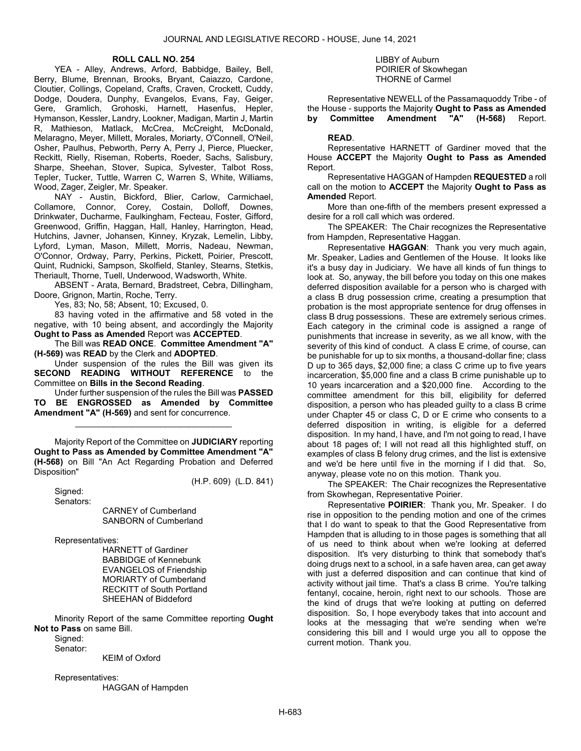## ROLL CALL NO. 254

 YEA - Alley, Andrews, Arford, Babbidge, Bailey, Bell, Berry, Blume, Brennan, Brooks, Bryant, Caiazzo, Cardone, Cloutier, Collings, Copeland, Crafts, Craven, Crockett, Cuddy, Dodge, Doudera, Dunphy, Evangelos, Evans, Fay, Geiger, Gere, Gramlich, Grohoski, Harnett, Hasenfus, Hepler, Hymanson, Kessler, Landry, Lookner, Madigan, Martin J, Martin R, Mathieson, Matlack, McCrea, McCreight, McDonald, Melaragno, Meyer, Millett, Morales, Moriarty, O'Connell, O'Neil, Osher, Paulhus, Pebworth, Perry A, Perry J, Pierce, Pluecker, Reckitt, Rielly, Riseman, Roberts, Roeder, Sachs, Salisbury, Sharpe, Sheehan, Stover, Supica, Sylvester, Talbot Ross, Tepler, Tucker, Tuttle, Warren C, Warren S, White, Williams, Wood, Zager, Zeigler, Mr. Speaker.

 NAY - Austin, Bickford, Blier, Carlow, Carmichael, Collamore, Connor, Corey, Costain, Dolloff, Downes, Drinkwater, Ducharme, Faulkingham, Fecteau, Foster, Gifford, Greenwood, Griffin, Haggan, Hall, Hanley, Harrington, Head, Hutchins, Javner, Johansen, Kinney, Kryzak, Lemelin, Libby, Lyford, Lyman, Mason, Millett, Morris, Nadeau, Newman, O'Connor, Ordway, Parry, Perkins, Pickett, Poirier, Prescott, Quint, Rudnicki, Sampson, Skolfield, Stanley, Stearns, Stetkis, Theriault, Thorne, Tuell, Underwood, Wadsworth, White.

 ABSENT - Arata, Bernard, Bradstreet, Cebra, Dillingham, Doore, Grignon, Martin, Roche, Terry.

Yes, 83; No, 58; Absent, 10; Excused, 0.

 83 having voted in the affirmative and 58 voted in the negative, with 10 being absent, and accordingly the Majority Ought to Pass as Amended Report was ACCEPTED.

 The Bill was READ ONCE. Committee Amendment "A" (H-569) was READ by the Clerk and ADOPTED.

 Under suspension of the rules the Bill was given its SECOND READING WITHOUT REFERENCE to the Committee on Bills in the Second Reading.

 Under further suspension of the rules the Bill was PASSED TO BE ENGROSSED as Amended by Committee Amendment "A" (H-569) and sent for concurrence.

\_\_\_\_\_\_\_\_\_\_\_\_\_\_\_\_\_\_\_\_\_\_\_\_\_\_\_\_\_\_\_\_\_

 Majority Report of the Committee on JUDICIARY reporting Ought to Pass as Amended by Committee Amendment "A" (H-568) on Bill "An Act Regarding Probation and Deferred Disposition"

(H.P. 609) (L.D. 841)

 Signed: Senators:

 CARNEY of Cumberland SANBORN of Cumberland

Representatives:

 HARNETT of Gardiner BABBIDGE of Kennebunk EVANGELOS of Friendship MORIARTY of Cumberland RECKITT of South Portland SHEEHAN of Biddeford

 Minority Report of the same Committee reporting Ought Not to Pass on same Bill.

Signed: Senator:

KEIM of Oxford

Representatives:

HAGGAN of Hampden

#### LIBBY of Auburn POIRIER of Skowhegan THORNE of Carmel

 Representative NEWELL of the Passamaquoddy Tribe - of the House - supports the Majority Ought to Pass as Amended by Committee Amendment "A" (H-568) Report.

## READ.

 Representative HARNETT of Gardiner moved that the House ACCEPT the Majority Ought to Pass as Amended Report.

 Representative HAGGAN of Hampden REQUESTED a roll call on the motion to ACCEPT the Majority Ought to Pass as Amended Report.

 More than one-fifth of the members present expressed a desire for a roll call which was ordered.

The SPEAKER: The Chair recognizes the Representative from Hampden, Representative Haggan.

Representative HAGGAN: Thank you very much again, Mr. Speaker, Ladies and Gentlemen of the House. It looks like it's a busy day in Judiciary. We have all kinds of fun things to look at. So, anyway, the bill before you today on this one makes deferred disposition available for a person who is charged with a class B drug possession crime, creating a presumption that probation is the most appropriate sentence for drug offenses in class B drug possessions. These are extremely serious crimes. Each category in the criminal code is assigned a range of punishments that increase in severity, as we all know, with the severity of this kind of conduct. A class E crime, of course, can be punishable for up to six months, a thousand-dollar fine; class D up to 365 days, \$2,000 fine; a class C crime up to five years incarceration, \$5,000 fine and a class B crime punishable up to 10 years incarceration and a \$20,000 fine. According to the committee amendment for this bill, eligibility for deferred disposition, a person who has pleaded guilty to a class B crime under Chapter 45 or class C, D or E crime who consents to a deferred disposition in writing, is eligible for a deferred disposition. In my hand, I have, and I'm not going to read, I have about 18 pages of; I will not read all this highlighted stuff, on examples of class B felony drug crimes, and the list is extensive and we'd be here until five in the morning if I did that. So, anyway, please vote no on this motion. Thank you.

The SPEAKER: The Chair recognizes the Representative from Skowhegan, Representative Poirier.

Representative POIRIER: Thank you, Mr. Speaker. I do rise in opposition to the pending motion and one of the crimes that I do want to speak to that the Good Representative from Hampden that is alluding to in those pages is something that all of us need to think about when we're looking at deferred disposition. It's very disturbing to think that somebody that's doing drugs next to a school, in a safe haven area, can get away with just a deferred disposition and can continue that kind of activity without jail time. That's a class B crime. You're talking fentanyl, cocaine, heroin, right next to our schools. Those are the kind of drugs that we're looking at putting on deferred disposition. So, I hope everybody takes that into account and looks at the messaging that we're sending when we're considering this bill and I would urge you all to oppose the current motion. Thank you.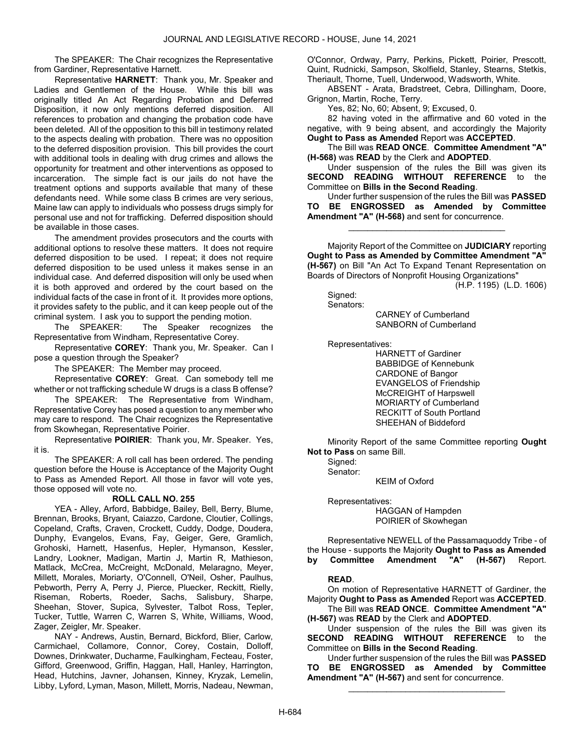The SPEAKER: The Chair recognizes the Representative from Gardiner, Representative Harnett.

Representative HARNETT: Thank you, Mr. Speaker and Ladies and Gentlemen of the House. While this bill was originally titled An Act Regarding Probation and Deferred Disposition, it now only mentions deferred disposition. All references to probation and changing the probation code have been deleted. All of the opposition to this bill in testimony related to the aspects dealing with probation. There was no opposition to the deferred disposition provision. This bill provides the court with additional tools in dealing with drug crimes and allows the opportunity for treatment and other interventions as opposed to incarceration. The simple fact is our jails do not have the treatment options and supports available that many of these defendants need. While some class B crimes are very serious, Maine law can apply to individuals who possess drugs simply for personal use and not for trafficking. Deferred disposition should be available in those cases.

The amendment provides prosecutors and the courts with additional options to resolve these matters. It does not require deferred disposition to be used. I repeat; it does not require deferred disposition to be used unless it makes sense in an individual case. And deferred disposition will only be used when it is both approved and ordered by the court based on the individual facts of the case in front of it. It provides more options, it provides safety to the public, and it can keep people out of the criminal system. I ask you to support the pending motion.

The SPEAKER: The Speaker recognizes the Representative from Windham, Representative Corey.

Representative COREY: Thank you, Mr. Speaker. Can I pose a question through the Speaker?

The SPEAKER: The Member may proceed.

Representative COREY: Great. Can somebody tell me whether or not trafficking schedule W drugs is a class B offense?

The SPEAKER: The Representative from Windham, Representative Corey has posed a question to any member who may care to respond. The Chair recognizes the Representative from Skowhegan, Representative Poirier.

Representative POIRIER: Thank you, Mr. Speaker. Yes, it is.

 The SPEAKER: A roll call has been ordered. The pending question before the House is Acceptance of the Majority Ought to Pass as Amended Report. All those in favor will vote yes, those opposed will vote no.

#### ROLL CALL NO. 255

 YEA - Alley, Arford, Babbidge, Bailey, Bell, Berry, Blume, Brennan, Brooks, Bryant, Caiazzo, Cardone, Cloutier, Collings, Copeland, Crafts, Craven, Crockett, Cuddy, Dodge, Doudera, Dunphy, Evangelos, Evans, Fay, Geiger, Gere, Gramlich, Grohoski, Harnett, Hasenfus, Hepler, Hymanson, Kessler, Landry, Lookner, Madigan, Martin J, Martin R, Mathieson, Matlack, McCrea, McCreight, McDonald, Melaragno, Meyer, Millett, Morales, Moriarty, O'Connell, O'Neil, Osher, Paulhus, Pebworth, Perry A, Perry J, Pierce, Pluecker, Reckitt, Rielly, Riseman, Roberts, Roeder, Sachs, Salisbury, Sharpe, Sheehan, Stover, Supica, Sylvester, Talbot Ross, Tepler, Tucker, Tuttle, Warren C, Warren S, White, Williams, Wood, Zager, Zeigler, Mr. Speaker.

 NAY - Andrews, Austin, Bernard, Bickford, Blier, Carlow, Carmichael, Collamore, Connor, Corey, Costain, Dolloff, Downes, Drinkwater, Ducharme, Faulkingham, Fecteau, Foster, Gifford, Greenwood, Griffin, Haggan, Hall, Hanley, Harrington, Head, Hutchins, Javner, Johansen, Kinney, Kryzak, Lemelin, Libby, Lyford, Lyman, Mason, Millett, Morris, Nadeau, Newman, O'Connor, Ordway, Parry, Perkins, Pickett, Poirier, Prescott, Quint, Rudnicki, Sampson, Skolfield, Stanley, Stearns, Stetkis, Theriault, Thorne, Tuell, Underwood, Wadsworth, White.

 ABSENT - Arata, Bradstreet, Cebra, Dillingham, Doore, Grignon, Martin, Roche, Terry.

Yes, 82; No, 60; Absent, 9; Excused, 0.

 82 having voted in the affirmative and 60 voted in the negative, with 9 being absent, and accordingly the Majority Ought to Pass as Amended Report was ACCEPTED.

 The Bill was READ ONCE. Committee Amendment "A" (H-568) was READ by the Clerk and ADOPTED.

 Under suspension of the rules the Bill was given its SECOND READING WITHOUT REFERENCE to the Committee on Bills in the Second Reading.

 Under further suspension of the rules the Bill was PASSED TO BE ENGROSSED as Amended by Committee Amendment "A" (H-568) and sent for concurrence.

\_\_\_\_\_\_\_\_\_\_\_\_\_\_\_\_\_\_\_\_\_\_\_\_\_\_\_\_\_\_\_\_\_

 Majority Report of the Committee on JUDICIARY reporting Ought to Pass as Amended by Committee Amendment "A" (H-567) on Bill "An Act To Expand Tenant Representation on Boards of Directors of Nonprofit Housing Organizations"

(H.P. 1195) (L.D. 1606)

Signed: Senators:

 CARNEY of Cumberland SANBORN of Cumberland

Representatives:

 HARNETT of Gardiner BABBIDGE of Kennebunk CARDONE of Bangor EVANGELOS of Friendship McCREIGHT of Harpswell MORIARTY of Cumberland RECKITT of South Portland SHEEHAN of Biddeford

 Minority Report of the same Committee reporting Ought Not to Pass on same Bill.

 Signed: Senator:

KEIM of Oxford

 Representatives: HAGGAN of Hampden POIRIER of Skowhegan

 Representative NEWELL of the Passamaquoddy Tribe - of the House - supports the Majority Ought to Pass as Amended<br>by Committee Amendment "A" (H-567) Report. by Committee Amendment "A"

## READ.

 On motion of Representative HARNETT of Gardiner, the Majority Ought to Pass as Amended Report was ACCEPTED.

 The Bill was READ ONCE. Committee Amendment "A" (H-567) was READ by the Clerk and ADOPTED.

 Under suspension of the rules the Bill was given its SECOND READING WITHOUT REFERENCE to the Committee on Bills in the Second Reading.

 Under further suspension of the rules the Bill was PASSED TO BE ENGROSSED as Amended by Committee Amendment "A" (H-567) and sent for concurrence.

\_\_\_\_\_\_\_\_\_\_\_\_\_\_\_\_\_\_\_\_\_\_\_\_\_\_\_\_\_\_\_\_\_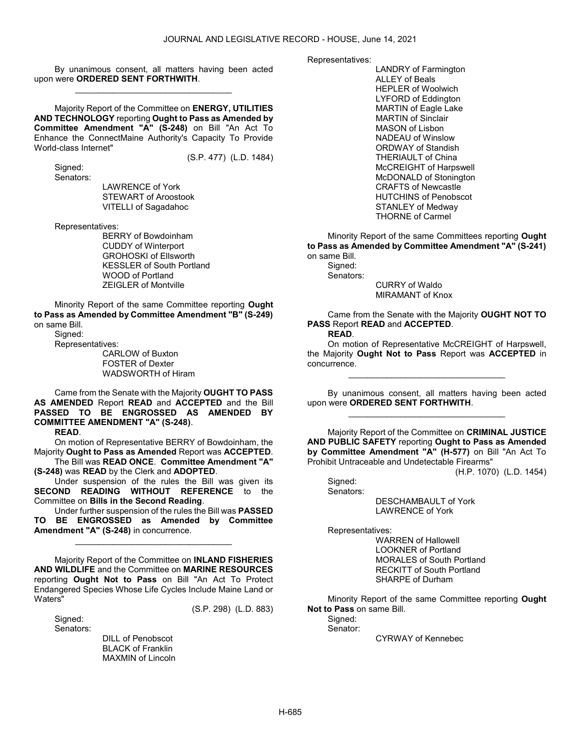By unanimous consent, all matters having been acted upon were ORDERED SENT FORTHWITH. \_\_\_\_\_\_\_\_\_\_\_\_\_\_\_\_\_\_\_\_\_\_\_\_\_\_\_\_\_\_\_\_\_

 Majority Report of the Committee on ENERGY, UTILITIES AND TECHNOLOGY reporting Ought to Pass as Amended by Committee Amendment "A" (S-248) on Bill "An Act To Enhance the ConnectMaine Authority's Capacity To Provide World-class Internet"

(S.P. 477) (L.D. 1484)

Signed:

Senators:

 LAWRENCE of York STEWART of Aroostook VITELLI of Sagadahoc

Representatives:

 BERRY of Bowdoinham CUDDY of Winterport GROHOSKI of Ellsworth KESSLER of South Portland WOOD of Portland ZEIGLER of Montville

 Minority Report of the same Committee reporting Ought to Pass as Amended by Committee Amendment "B" (S-249) on same Bill.

Signed:

Representatives:

 CARLOW of Buxton FOSTER of Dexter WADSWORTH of Hiram

 Came from the Senate with the Majority OUGHT TO PASS AS AMENDED Report READ and ACCEPTED and the Bill PASSED TO BE ENGROSSED AS AMENDED BY COMMITTEE AMENDMENT "A" (S-248). READ.

 On motion of Representative BERRY of Bowdoinham, the Majority Ought to Pass as Amended Report was ACCEPTED.

 The Bill was READ ONCE. Committee Amendment "A" (S-248) was READ by the Clerk and ADOPTED.

 Under suspension of the rules the Bill was given its SECOND READING WITHOUT REFERENCE to the Committee on Bills in the Second Reading.

 Under further suspension of the rules the Bill was PASSED TO BE ENGROSSED as Amended by Committee Amendment "A" (S-248) in concurrence.

\_\_\_\_\_\_\_\_\_\_\_\_\_\_\_\_\_\_\_\_\_\_\_\_\_\_\_\_\_\_\_\_\_

 Majority Report of the Committee on INLAND FISHERIES AND WILDLIFE and the Committee on MARINE RESOURCES reporting Ought Not to Pass on Bill "An Act To Protect Endangered Species Whose Life Cycles Include Maine Land or Waters" (S.P. 298) (L.D. 883)

 Signed: Senators:

 DILL of Penobscot BLACK of Franklin MAXMIN of Lincoln Representatives:

 LANDRY of Farmington ALLEY of Beals HEPLER of Woolwich LYFORD of Eddington MARTIN of Eagle Lake MARTIN of Sinclair MASON of Lisbon NADEAU of Winslow ORDWAY of Standish THERIAULT of China McCREIGHT of Harpswell McDONALD of Stonington CRAFTS of Newcastle HUTCHINS of Penobscot STANLEY of Medway THORNE of Carmel

 Minority Report of the same Committees reporting Ought to Pass as Amended by Committee Amendment "A" (S-241) on same Bill. Signed:

 Senators: CURRY of Waldo MIRAMANT of Knox

 Came from the Senate with the Majority OUGHT NOT TO PASS Report READ and ACCEPTED. READ.

 On motion of Representative McCREIGHT of Harpswell, the Majority Ought Not to Pass Report was ACCEPTED in concurrence.

\_\_\_\_\_\_\_\_\_\_\_\_\_\_\_\_\_\_\_\_\_\_\_\_\_\_\_\_\_\_\_\_\_

 By unanimous consent, all matters having been acted upon were ORDERED SENT FORTHWITH. \_\_\_\_\_\_\_\_\_\_\_\_\_\_\_\_\_\_\_\_\_\_\_\_\_\_\_\_\_\_\_\_\_

 Majority Report of the Committee on CRIMINAL JUSTICE AND PUBLIC SAFETY reporting Ought to Pass as Amended by Committee Amendment "A" (H-577) on Bill "An Act To Prohibit Untraceable and Undetectable Firearms"

(H.P. 1070) (L.D. 1454)

 Signed: Senators: DESCHAMBAULT of York LAWRENCE of York

Representatives:

 WARREN of Hallowell LOOKNER of Portland MORALES of South Portland RECKITT of South Portland SHARPE of Durham

 Minority Report of the same Committee reporting Ought Not to Pass on same Bill.

Signed:

Senator:

CYRWAY of Kennebec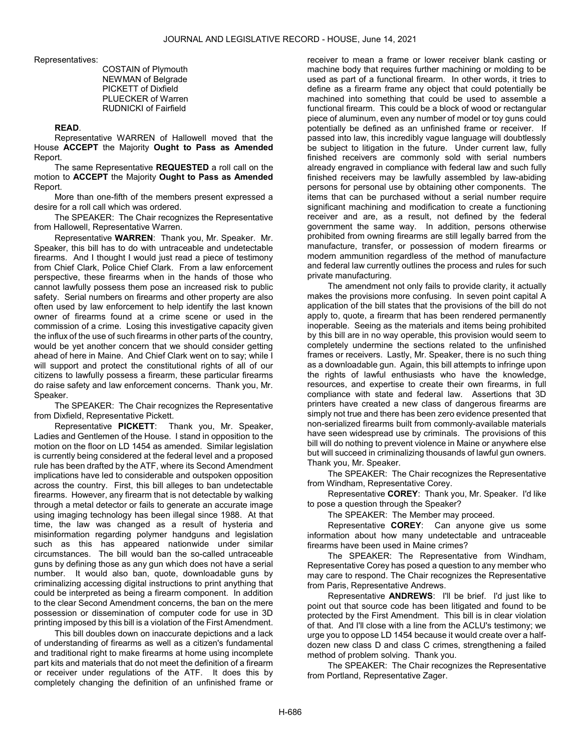Representatives:

 COSTAIN of Plymouth NEWMAN of Belgrade PICKETT of Dixfield PLUECKER of Warren RUDNICKI of Fairfield

#### READ.

 Representative WARREN of Hallowell moved that the House ACCEPT the Majority Ought to Pass as Amended Report.

The same Representative REQUESTED a roll call on the motion to ACCEPT the Majority Ought to Pass as Amended Report.

 More than one-fifth of the members present expressed a desire for a roll call which was ordered.

The SPEAKER: The Chair recognizes the Representative from Hallowell, Representative Warren.

Representative WARREN: Thank you, Mr. Speaker. Mr. Speaker, this bill has to do with untraceable and undetectable firearms. And I thought I would just read a piece of testimony from Chief Clark, Police Chief Clark. From a law enforcement perspective, these firearms when in the hands of those who cannot lawfully possess them pose an increased risk to public safety. Serial numbers on firearms and other property are also often used by law enforcement to help identify the last known owner of firearms found at a crime scene or used in the commission of a crime. Losing this investigative capacity given the influx of the use of such firearms in other parts of the country, would be yet another concern that we should consider getting ahead of here in Maine. And Chief Clark went on to say; while I will support and protect the constitutional rights of all of our citizens to lawfully possess a firearm, these particular firearms do raise safety and law enforcement concerns. Thank you, Mr. Speaker.

The SPEAKER: The Chair recognizes the Representative from Dixfield, Representative Pickett.

Representative PICKETT: Thank you, Mr. Speaker, Ladies and Gentlemen of the House. I stand in opposition to the motion on the floor on LD 1454 as amended. Similar legislation is currently being considered at the federal level and a proposed rule has been drafted by the ATF, where its Second Amendment implications have led to considerable and outspoken opposition across the country. First, this bill alleges to ban undetectable firearms. However, any firearm that is not detectable by walking through a metal detector or fails to generate an accurate image using imaging technology has been illegal since 1988. At that time, the law was changed as a result of hysteria and misinformation regarding polymer handguns and legislation such as this has appeared nationwide under similar circumstances. The bill would ban the so-called untraceable guns by defining those as any gun which does not have a serial number. It would also ban, quote, downloadable guns by criminalizing accessing digital instructions to print anything that could be interpreted as being a firearm component. In addition to the clear Second Amendment concerns, the ban on the mere possession or dissemination of computer code for use in 3D printing imposed by this bill is a violation of the First Amendment.

This bill doubles down on inaccurate depictions and a lack of understanding of firearms as well as a citizen's fundamental and traditional right to make firearms at home using incomplete part kits and materials that do not meet the definition of a firearm or receiver under regulations of the ATF. It does this by completely changing the definition of an unfinished frame or receiver to mean a frame or lower receiver blank casting or machine body that requires further machining or molding to be used as part of a functional firearm. In other words, it tries to define as a firearm frame any object that could potentially be machined into something that could be used to assemble a functional firearm. This could be a block of wood or rectangular piece of aluminum, even any number of model or toy guns could potentially be defined as an unfinished frame or receiver. If passed into law, this incredibly vague language will doubtlessly be subject to litigation in the future. Under current law, fully finished receivers are commonly sold with serial numbers already engraved in compliance with federal law and such fully finished receivers may be lawfully assembled by law-abiding persons for personal use by obtaining other components. The items that can be purchased without a serial number require significant machining and modification to create a functioning receiver and are, as a result, not defined by the federal government the same way. In addition, persons otherwise prohibited from owning firearms are still legally barred from the manufacture, transfer, or possession of modern firearms or modern ammunition regardless of the method of manufacture and federal law currently outlines the process and rules for such private manufacturing.

The amendment not only fails to provide clarity, it actually makes the provisions more confusing. In seven point capital A application of the bill states that the provisions of the bill do not apply to, quote, a firearm that has been rendered permanently inoperable. Seeing as the materials and items being prohibited by this bill are in no way operable, this provision would seem to completely undermine the sections related to the unfinished frames or receivers. Lastly, Mr. Speaker, there is no such thing as a downloadable gun. Again, this bill attempts to infringe upon the rights of lawful enthusiasts who have the knowledge, resources, and expertise to create their own firearms, in full compliance with state and federal law. Assertions that 3D printers have created a new class of dangerous firearms are simply not true and there has been zero evidence presented that non-serialized firearms built from commonly-available materials have seen widespread use by criminals. The provisions of this bill will do nothing to prevent violence in Maine or anywhere else but will succeed in criminalizing thousands of lawful gun owners. Thank you, Mr. Speaker.

The SPEAKER: The Chair recognizes the Representative from Windham, Representative Corey.

Representative COREY: Thank you, Mr. Speaker. I'd like to pose a question through the Speaker?

The SPEAKER: The Member may proceed.

Representative COREY: Can anyone give us some information about how many undetectable and untraceable firearms have been used in Maine crimes?

The SPEAKER: The Representative from Windham, Representative Corey has posed a question to any member who may care to respond. The Chair recognizes the Representative from Paris, Representative Andrews.

Representative ANDREWS: I'll be brief. I'd just like to point out that source code has been litigated and found to be protected by the First Amendment. This bill is in clear violation of that. And I'll close with a line from the ACLU's testimony; we urge you to oppose LD 1454 because it would create over a halfdozen new class D and class C crimes, strengthening a failed method of problem solving. Thank you.

The SPEAKER: The Chair recognizes the Representative from Portland, Representative Zager.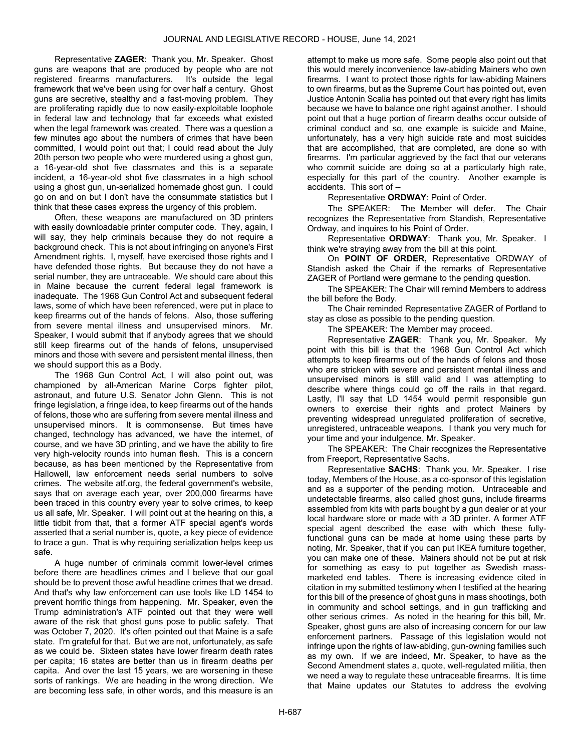Representative ZAGER: Thank you, Mr. Speaker. Ghost guns are weapons that are produced by people who are not registered firearms manufacturers. It's outside the legal framework that we've been using for over half a century. Ghost guns are secretive, stealthy and a fast-moving problem. They are proliferating rapidly due to now easily-exploitable loophole in federal law and technology that far exceeds what existed when the legal framework was created. There was a question a few minutes ago about the numbers of crimes that have been committed, I would point out that; I could read about the July 20th person two people who were murdered using a ghost gun, a 16-year-old shot five classmates and this is a separate incident, a 16-year-old shot five classmates in a high school using a ghost gun, un-serialized homemade ghost gun. I could go on and on but I don't have the consummate statistics but I think that these cases express the urgency of this problem.

Often, these weapons are manufactured on 3D printers with easily downloadable printer computer code. They, again, I will say, they help criminals because they do not require a background check. This is not about infringing on anyone's First Amendment rights. I, myself, have exercised those rights and I have defended those rights. But because they do not have a serial number, they are untraceable. We should care about this in Maine because the current federal legal framework is inadequate. The 1968 Gun Control Act and subsequent federal laws, some of which have been referenced, were put in place to keep firearms out of the hands of felons. Also, those suffering from severe mental illness and unsupervised minors. Mr. Speaker, I would submit that if anybody agrees that we should still keep firearms out of the hands of felons, unsupervised minors and those with severe and persistent mental illness, then we should support this as a Body.

The 1968 Gun Control Act, I will also point out, was championed by all-American Marine Corps fighter pilot, astronaut, and future U.S. Senator John Glenn. This is not fringe legislation, a fringe idea, to keep firearms out of the hands of felons, those who are suffering from severe mental illness and unsupervised minors. It is commonsense. But times have changed, technology has advanced, we have the internet, of course, and we have 3D printing, and we have the ability to fire very high-velocity rounds into human flesh. This is a concern because, as has been mentioned by the Representative from Hallowell, law enforcement needs serial numbers to solve crimes. The website atf.org, the federal government's website, says that on average each year, over 200,000 firearms have been traced in this country every year to solve crimes, to keep us all safe, Mr. Speaker. I will point out at the hearing on this, a little tidbit from that, that a former ATF special agent's words asserted that a serial number is, quote, a key piece of evidence to trace a gun. That is why requiring serialization helps keep us safe.

A huge number of criminals commit lower-level crimes before there are headlines crimes and I believe that our goal should be to prevent those awful headline crimes that we dread. And that's why law enforcement can use tools like LD 1454 to prevent horrific things from happening. Mr. Speaker, even the Trump administration's ATF pointed out that they were well aware of the risk that ghost guns pose to public safety. That was October 7, 2020. It's often pointed out that Maine is a safe state. I'm grateful for that. But we are not, unfortunately, as safe as we could be. Sixteen states have lower firearm death rates per capita; 16 states are better than us in firearm deaths per capita. And over the last 15 years, we are worsening in these sorts of rankings. We are heading in the wrong direction. We are becoming less safe, in other words, and this measure is an

attempt to make us more safe. Some people also point out that this would merely inconvenience law-abiding Mainers who own firearms. I want to protect those rights for law-abiding Mainers to own firearms, but as the Supreme Court has pointed out, even Justice Antonin Scalia has pointed out that every right has limits because we have to balance one right against another. I should point out that a huge portion of firearm deaths occur outside of criminal conduct and so, one example is suicide and Maine, unfortunately, has a very high suicide rate and most suicides that are accomplished, that are completed, are done so with firearms. I'm particular aggrieved by the fact that our veterans who commit suicide are doing so at a particularly high rate, especially for this part of the country. Another example is accidents. This sort of --

Representative ORDWAY: Point of Order.

The SPEAKER: The Member will defer. The Chair recognizes the Representative from Standish, Representative Ordway, and inquires to his Point of Order.

Representative ORDWAY: Thank you, Mr. Speaker. I think we're straying away from the bill at this point.

On POINT OF ORDER, Representative ORDWAY of Standish asked the Chair if the remarks of Representative ZAGER of Portland were germane to the pending question.

The SPEAKER: The Chair will remind Members to address the bill before the Body.

 The Chair reminded Representative ZAGER of Portland to stay as close as possible to the pending question.

The SPEAKER: The Member may proceed.

Representative ZAGER: Thank you, Mr. Speaker. My point with this bill is that the 1968 Gun Control Act which attempts to keep firearms out of the hands of felons and those who are stricken with severe and persistent mental illness and unsupervised minors is still valid and I was attempting to describe where things could go off the rails in that regard. Lastly, I'll say that LD 1454 would permit responsible gun owners to exercise their rights and protect Mainers by preventing widespread unregulated proliferation of secretive, unregistered, untraceable weapons. I thank you very much for your time and your indulgence, Mr. Speaker.

The SPEAKER: The Chair recognizes the Representative from Freeport, Representative Sachs.

Representative SACHS: Thank you, Mr. Speaker. I rise today, Members of the House, as a co-sponsor of this legislation and as a supporter of the pending motion. Untraceable and undetectable firearms, also called ghost guns, include firearms assembled from kits with parts bought by a gun dealer or at your local hardware store or made with a 3D printer. A former ATF special agent described the ease with which these fullyfunctional guns can be made at home using these parts by noting, Mr. Speaker, that if you can put IKEA furniture together, you can make one of these. Mainers should not be put at risk for something as easy to put together as Swedish massmarketed end tables. There is increasing evidence cited in citation in my submitted testimony when I testified at the hearing for this bill of the presence of ghost guns in mass shootings, both in community and school settings, and in gun trafficking and other serious crimes. As noted in the hearing for this bill, Mr. Speaker, ghost guns are also of increasing concern for our law enforcement partners. Passage of this legislation would not infringe upon the rights of law-abiding, gun-owning families such as my own. If we are indeed, Mr. Speaker, to have as the Second Amendment states a, quote, well-regulated militia, then we need a way to regulate these untraceable firearms. It is time that Maine updates our Statutes to address the evolving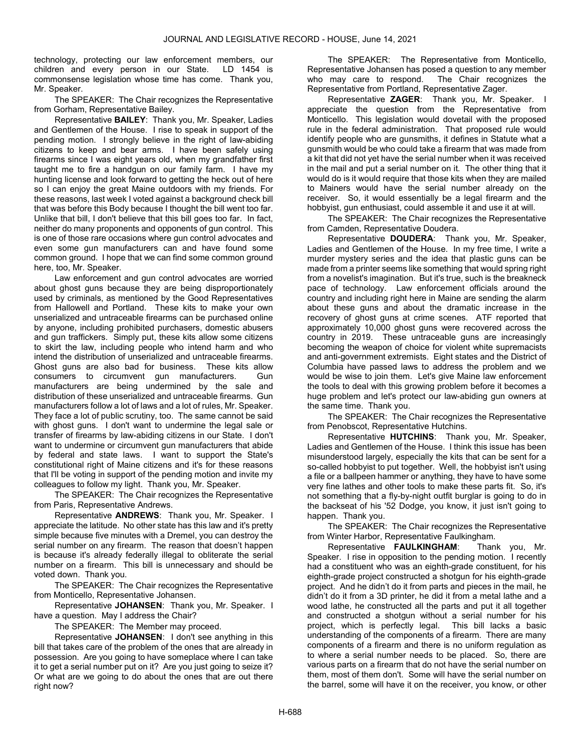technology, protecting our law enforcement members, our children and every person in our State. LD 1454 is commonsense legislation whose time has come. Thank you, Mr. Speaker.

The SPEAKER: The Chair recognizes the Representative from Gorham, Representative Bailey.

Representative BAILEY: Thank you, Mr. Speaker, Ladies and Gentlemen of the House. I rise to speak in support of the pending motion. I strongly believe in the right of law-abiding citizens to keep and bear arms. I have been safely using firearms since I was eight years old, when my grandfather first taught me to fire a handgun on our family farm. I have my hunting license and look forward to getting the heck out of here so I can enjoy the great Maine outdoors with my friends. For these reasons, last week I voted against a background check bill that was before this Body because I thought the bill went too far. Unlike that bill, I don't believe that this bill goes too far. In fact, neither do many proponents and opponents of gun control. This is one of those rare occasions where gun control advocates and even some gun manufacturers can and have found some common ground. I hope that we can find some common ground here, too, Mr. Speaker.

Law enforcement and gun control advocates are worried about ghost guns because they are being disproportionately used by criminals, as mentioned by the Good Representatives from Hallowell and Portland. These kits to make your own unserialized and untraceable firearms can be purchased online by anyone, including prohibited purchasers, domestic abusers and gun traffickers. Simply put, these kits allow some citizens to skirt the law, including people who intend harm and who intend the distribution of unserialized and untraceable firearms. Ghost guns are also bad for business. These kits allow consumers to circumvent gun manufacturers. Gun manufacturers are being undermined by the sale and distribution of these unserialized and untraceable firearms. Gun manufacturers follow a lot of laws and a lot of rules, Mr. Speaker. They face a lot of public scrutiny, too. The same cannot be said with ghost guns. I don't want to undermine the legal sale or transfer of firearms by law-abiding citizens in our State. I don't want to undermine or circumvent gun manufacturers that abide by federal and state laws. I want to support the State's constitutional right of Maine citizens and it's for these reasons that I'll be voting in support of the pending motion and invite my colleagues to follow my light. Thank you, Mr. Speaker.

The SPEAKER: The Chair recognizes the Representative from Paris, Representative Andrews.

Representative ANDREWS: Thank you, Mr. Speaker. I appreciate the latitude. No other state has this law and it's pretty simple because five minutes with a Dremel, you can destroy the serial number on any firearm. The reason that doesn't happen is because it's already federally illegal to obliterate the serial number on a firearm. This bill is unnecessary and should be voted down. Thank you.

The SPEAKER: The Chair recognizes the Representative from Monticello, Representative Johansen.

Representative JOHANSEN: Thank you, Mr. Speaker. I have a question. May I address the Chair?

The SPEAKER: The Member may proceed.

Representative JOHANSEN: I don't see anything in this bill that takes care of the problem of the ones that are already in possession. Are you going to have someplace where I can take it to get a serial number put on it? Are you just going to seize it? Or what are we going to do about the ones that are out there right now?

The SPEAKER: The Representative from Monticello, Representative Johansen has posed a question to any member who may care to respond. The Chair recognizes the Representative from Portland, Representative Zager.

Representative ZAGER: Thank you, Mr. Speaker. I appreciate the question from the Representative from Monticello. This legislation would dovetail with the proposed rule in the federal administration. That proposed rule would identify people who are gunsmiths, it defines in Statute what a gunsmith would be who could take a firearm that was made from a kit that did not yet have the serial number when it was received in the mail and put a serial number on it. The other thing that it would do is it would require that those kits when they are mailed to Mainers would have the serial number already on the receiver. So, it would essentially be a legal firearm and the hobbyist, gun enthusiast, could assemble it and use it at will.

The SPEAKER: The Chair recognizes the Representative from Camden, Representative Doudera.

Representative DOUDERA: Thank you, Mr. Speaker, Ladies and Gentlemen of the House. In my free time, I write a murder mystery series and the idea that plastic guns can be made from a printer seems like something that would spring right from a novelist's imagination. But it's true, such is the breakneck pace of technology. Law enforcement officials around the country and including right here in Maine are sending the alarm about these guns and about the dramatic increase in the recovery of ghost guns at crime scenes. ATF reported that approximately 10,000 ghost guns were recovered across the country in 2019. These untraceable guns are increasingly becoming the weapon of choice for violent white supremacists and anti-government extremists. Eight states and the District of Columbia have passed laws to address the problem and we would be wise to join them. Let's give Maine law enforcement the tools to deal with this growing problem before it becomes a huge problem and let's protect our law-abiding gun owners at the same time. Thank you.

The SPEAKER: The Chair recognizes the Representative from Penobscot, Representative Hutchins.

Representative HUTCHINS: Thank you, Mr. Speaker, Ladies and Gentlemen of the House. I think this issue has been misunderstood largely, especially the kits that can be sent for a so-called hobbyist to put together. Well, the hobbyist isn't using a file or a ballpeen hammer or anything, they have to have some very fine lathes and other tools to make these parts fit. So, it's not something that a fly-by-night outfit burglar is going to do in the backseat of his '52 Dodge, you know, it just isn't going to happen. Thank you.

The SPEAKER: The Chair recognizes the Representative from Winter Harbor, Representative Faulkingham.

Representative FAULKINGHAM: Thank you, Mr. Speaker. I rise in opposition to the pending motion. I recently had a constituent who was an eighth-grade constituent, for his eighth-grade project constructed a shotgun for his eighth-grade project. And he didn't do it from parts and pieces in the mail, he didn't do it from a 3D printer, he did it from a metal lathe and a wood lathe, he constructed all the parts and put it all together and constructed a shotgun without a serial number for his project, which is perfectly legal. This bill lacks a basic understanding of the components of a firearm. There are many components of a firearm and there is no uniform regulation as to where a serial number needs to be placed. So, there are various parts on a firearm that do not have the serial number on them, most of them don't. Some will have the serial number on the barrel, some will have it on the receiver, you know, or other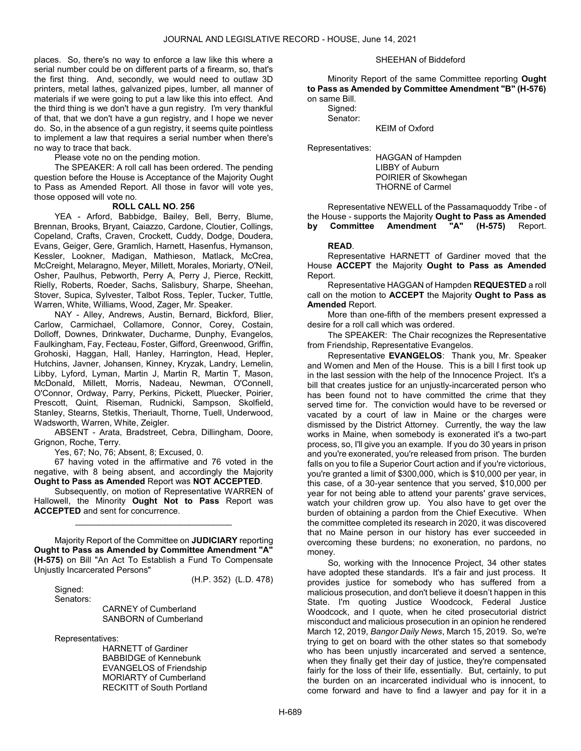places. So, there's no way to enforce a law like this where a serial number could be on different parts of a firearm, so, that's the first thing. And, secondly, we would need to outlaw 3D printers, metal lathes, galvanized pipes, lumber, all manner of materials if we were going to put a law like this into effect. And the third thing is we don't have a gun registry. I'm very thankful of that, that we don't have a gun registry, and I hope we never do. So, in the absence of a gun registry, it seems quite pointless to implement a law that requires a serial number when there's no way to trace that back.

Please vote no on the pending motion.

 The SPEAKER: A roll call has been ordered. The pending question before the House is Acceptance of the Majority Ought to Pass as Amended Report. All those in favor will vote yes, those opposed will vote no.

#### ROLL CALL NO. 256

 YEA - Arford, Babbidge, Bailey, Bell, Berry, Blume, Brennan, Brooks, Bryant, Caiazzo, Cardone, Cloutier, Collings, Copeland, Crafts, Craven, Crockett, Cuddy, Dodge, Doudera, Evans, Geiger, Gere, Gramlich, Harnett, Hasenfus, Hymanson, Kessler, Lookner, Madigan, Mathieson, Matlack, McCrea, McCreight, Melaragno, Meyer, Millett, Morales, Moriarty, O'Neil, Osher, Paulhus, Pebworth, Perry A, Perry J, Pierce, Reckitt, Rielly, Roberts, Roeder, Sachs, Salisbury, Sharpe, Sheehan, Stover, Supica, Sylvester, Talbot Ross, Tepler, Tucker, Tuttle, Warren, White, Williams, Wood, Zager, Mr. Speaker.

 NAY - Alley, Andrews, Austin, Bernard, Bickford, Blier, Carlow, Carmichael, Collamore, Connor, Corey, Costain, Dolloff, Downes, Drinkwater, Ducharme, Dunphy, Evangelos, Faulkingham, Fay, Fecteau, Foster, Gifford, Greenwood, Griffin, Grohoski, Haggan, Hall, Hanley, Harrington, Head, Hepler, Hutchins, Javner, Johansen, Kinney, Kryzak, Landry, Lemelin, Libby, Lyford, Lyman, Martin J, Martin R, Martin T, Mason, McDonald, Millett, Morris, Nadeau, Newman, O'Connell, O'Connor, Ordway, Parry, Perkins, Pickett, Pluecker, Poirier, Prescott, Quint, Riseman, Rudnicki, Sampson, Skolfield, Stanley, Stearns, Stetkis, Theriault, Thorne, Tuell, Underwood, Wadsworth, Warren, White, Zeigler.

 ABSENT - Arata, Bradstreet, Cebra, Dillingham, Doore, Grignon, Roche, Terry.

Yes, 67; No, 76; Absent, 8; Excused, 0.

 67 having voted in the affirmative and 76 voted in the negative, with 8 being absent, and accordingly the Majority Ought to Pass as Amended Report was NOT ACCEPTED.

 Subsequently, on motion of Representative WARREN of Hallowell, the Minority Ought Not to Pass Report was ACCEPTED and sent for concurrence.

\_\_\_\_\_\_\_\_\_\_\_\_\_\_\_\_\_\_\_\_\_\_\_\_\_\_\_\_\_\_\_\_\_

 Majority Report of the Committee on JUDICIARY reporting Ought to Pass as Amended by Committee Amendment "A" (H-575) on Bill "An Act To Establish a Fund To Compensate Unjustly Incarcerated Persons"

 Signed: Senators:

(H.P. 352) (L.D. 478)

 CARNEY of Cumberland SANBORN of Cumberland

Representatives:

 HARNETT of Gardiner BABBIDGE of Kennebunk EVANGELOS of Friendship MORIARTY of Cumberland RECKITT of South Portland

#### SHEEHAN of Biddeford

 Minority Report of the same Committee reporting Ought to Pass as Amended by Committee Amendment "B" (H-576) on same Bill.

 Signed: Senator:

Representatives:

 HAGGAN of Hampden LIBBY of Auburn POIRIER of Skowhegan THORNE of Carmel

KEIM of Oxford

 Representative NEWELL of the Passamaquoddy Tribe - of the House - supports the Majority Ought to Pass as Amended by Committee Amendment "A" (H-575) Report.

#### READ.

 Representative HARNETT of Gardiner moved that the House ACCEPT the Majority Ought to Pass as Amended Report.

 Representative HAGGAN of Hampden REQUESTED a roll call on the motion to **ACCEPT** the Majority **Ought to Pass as** Amended Report.

 More than one-fifth of the members present expressed a desire for a roll call which was ordered.

The SPEAKER: The Chair recognizes the Representative from Friendship, Representative Evangelos.

Representative EVANGELOS: Thank you, Mr. Speaker and Women and Men of the House. This is a bill I first took up in the last session with the help of the Innocence Project. It's a bill that creates justice for an unjustly-incarcerated person who has been found not to have committed the crime that they served time for. The conviction would have to be reversed or vacated by a court of law in Maine or the charges were dismissed by the District Attorney. Currently, the way the law works in Maine, when somebody is exonerated it's a two-part process, so, I'll give you an example. If you do 30 years in prison and you're exonerated, you're released from prison. The burden falls on you to file a Superior Court action and if you're victorious, you're granted a limit of \$300,000, which is \$10,000 per year, in this case, of a 30-year sentence that you served, \$10,000 per year for not being able to attend your parents' grave services, watch your children grow up. You also have to get over the burden of obtaining a pardon from the Chief Executive. When the committee completed its research in 2020, it was discovered that no Maine person in our history has ever succeeded in overcoming these burdens; no exoneration, no pardons, no money.

So, working with the Innocence Project, 34 other states have adopted these standards. It's a fair and just process. It provides justice for somebody who has suffered from a malicious prosecution, and don't believe it doesn't happen in this State. I'm quoting Justice Woodcock, Federal Justice Woodcock, and I quote, when he cited prosecutorial district misconduct and malicious prosecution in an opinion he rendered March 12, 2019, Bangor Daily News, March 15, 2019. So, we're trying to get on board with the other states so that somebody who has been unjustly incarcerated and served a sentence, when they finally get their day of justice, they're compensated fairly for the loss of their life, essentially. But, certainly, to put the burden on an incarcerated individual who is innocent, to come forward and have to find a lawyer and pay for it in a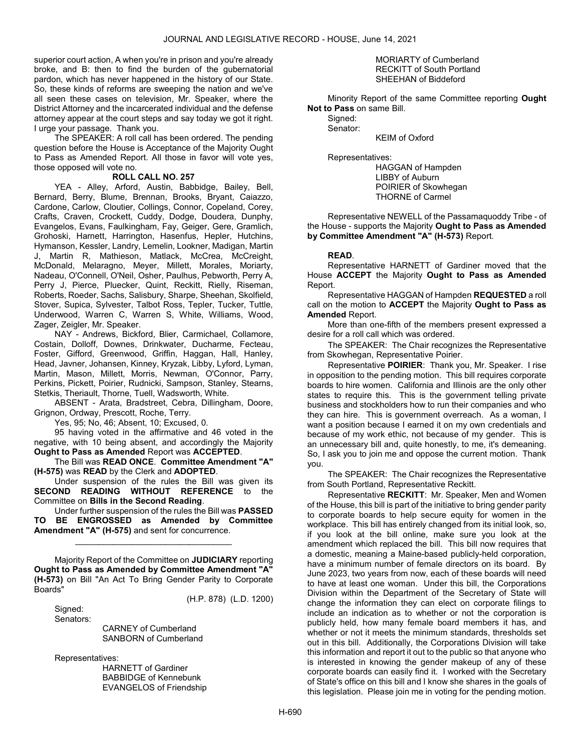superior court action, A when you're in prison and you're already broke, and B: then to find the burden of the gubernatorial pardon, which has never happened in the history of our State. So, these kinds of reforms are sweeping the nation and we've all seen these cases on television, Mr. Speaker, where the District Attorney and the incarcerated individual and the defense attorney appear at the court steps and say today we got it right. I urge your passage. Thank you.

 The SPEAKER: A roll call has been ordered. The pending question before the House is Acceptance of the Majority Ought to Pass as Amended Report. All those in favor will vote yes, those opposed will vote no.

#### ROLL CALL NO. 257

 YEA - Alley, Arford, Austin, Babbidge, Bailey, Bell, Bernard, Berry, Blume, Brennan, Brooks, Bryant, Caiazzo, Cardone, Carlow, Cloutier, Collings, Connor, Copeland, Corey, Crafts, Craven, Crockett, Cuddy, Dodge, Doudera, Dunphy, Evangelos, Evans, Faulkingham, Fay, Geiger, Gere, Gramlich, Grohoski, Harnett, Harrington, Hasenfus, Hepler, Hutchins, Hymanson, Kessler, Landry, Lemelin, Lookner, Madigan, Martin J, Martin R, Mathieson, Matlack, McCrea, McCreight, McDonald, Melaragno, Meyer, Millett, Morales, Moriarty, Nadeau, O'Connell, O'Neil, Osher, Paulhus, Pebworth, Perry A, Perry J, Pierce, Pluecker, Quint, Reckitt, Rielly, Riseman, Roberts, Roeder, Sachs, Salisbury, Sharpe, Sheehan, Skolfield, Stover, Supica, Sylvester, Talbot Ross, Tepler, Tucker, Tuttle, Underwood, Warren C, Warren S, White, Williams, Wood, Zager, Zeigler, Mr. Speaker.

 NAY - Andrews, Bickford, Blier, Carmichael, Collamore, Costain, Dolloff, Downes, Drinkwater, Ducharme, Fecteau, Foster, Gifford, Greenwood, Griffin, Haggan, Hall, Hanley, Head, Javner, Johansen, Kinney, Kryzak, Libby, Lyford, Lyman, Martin, Mason, Millett, Morris, Newman, O'Connor, Parry, Perkins, Pickett, Poirier, Rudnicki, Sampson, Stanley, Stearns, Stetkis, Theriault, Thorne, Tuell, Wadsworth, White.

 ABSENT - Arata, Bradstreet, Cebra, Dillingham, Doore, Grignon, Ordway, Prescott, Roche, Terry.

Yes, 95; No, 46; Absent, 10; Excused, 0.

 95 having voted in the affirmative and 46 voted in the negative, with 10 being absent, and accordingly the Majority Ought to Pass as Amended Report was ACCEPTED.

 The Bill was READ ONCE. Committee Amendment "A" (H-575) was READ by the Clerk and ADOPTED.

 Under suspension of the rules the Bill was given its SECOND READING WITHOUT REFERENCE to the Committee on Bills in the Second Reading.

 Under further suspension of the rules the Bill was PASSED TO BE ENGROSSED as Amended by Committee Amendment "A" (H-575) and sent for concurrence.

\_\_\_\_\_\_\_\_\_\_\_\_\_\_\_\_\_\_\_\_\_\_\_\_\_\_\_\_\_\_\_\_\_

 Majority Report of the Committee on JUDICIARY reporting Ought to Pass as Amended by Committee Amendment "A" (H-573) on Bill "An Act To Bring Gender Parity to Corporate Boards"

(H.P. 878) (L.D. 1200)

 Signed: Senators:

 CARNEY of Cumberland SANBORN of Cumberland

Representatives:

 HARNETT of Gardiner BABBIDGE of Kennebunk EVANGELOS of Friendship

#### MORIARTY of Cumberland RECKITT of South Portland SHEEHAN of Biddeford

 Minority Report of the same Committee reporting Ought Not to Pass on same Bill.

 Signed: Senator:

KEIM of Oxford

Representatives:

 HAGGAN of Hampden LIBBY of Auburn POIRIER of Skowhegan THORNE of Carmel

 Representative NEWELL of the Passamaquoddy Tribe - of the House - supports the Majority Ought to Pass as Amended by Committee Amendment "A" (H-573) Report.

## READ.

 Representative HARNETT of Gardiner moved that the House ACCEPT the Majority Ought to Pass as Amended Report.

 Representative HAGGAN of Hampden REQUESTED a roll call on the motion to **ACCEPT** the Majority **Ought to Pass as** Amended Report.

 More than one-fifth of the members present expressed a desire for a roll call which was ordered.

The SPEAKER: The Chair recognizes the Representative from Skowhegan, Representative Poirier.

Representative POIRIER: Thank you, Mr. Speaker. I rise in opposition to the pending motion. This bill requires corporate boards to hire women. California and Illinois are the only other states to require this. This is the government telling private business and stockholders how to run their companies and who they can hire. This is government overreach. As a woman, I want a position because I earned it on my own credentials and because of my work ethic, not because of my gender. This is an unnecessary bill and, quite honestly, to me, it's demeaning. So, I ask you to join me and oppose the current motion. Thank you.

The SPEAKER: The Chair recognizes the Representative from South Portland, Representative Reckitt.

Representative RECKITT: Mr. Speaker, Men and Women of the House, this bill is part of the initiative to bring gender parity to corporate boards to help secure equity for women in the workplace. This bill has entirely changed from its initial look, so, if you look at the bill online, make sure you look at the amendment which replaced the bill. This bill now requires that a domestic, meaning a Maine-based publicly-held corporation, have a minimum number of female directors on its board. By June 2023, two years from now, each of these boards will need to have at least one woman. Under this bill, the Corporations Division within the Department of the Secretary of State will change the information they can elect on corporate filings to include an indication as to whether or not the corporation is publicly held, how many female board members it has, and whether or not it meets the minimum standards, thresholds set out in this bill. Additionally, the Corporations Division will take this information and report it out to the public so that anyone who is interested in knowing the gender makeup of any of these corporate boards can easily find it. I worked with the Secretary of State's office on this bill and I know she shares in the goals of this legislation. Please join me in voting for the pending motion.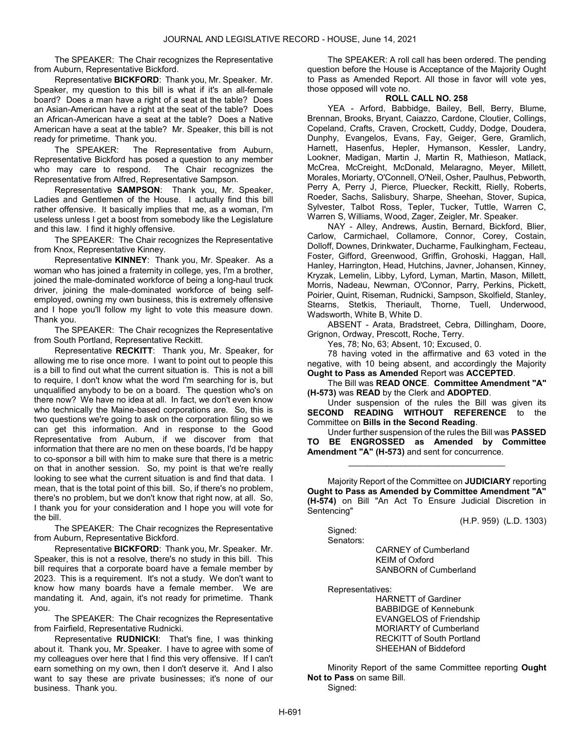The SPEAKER: The Chair recognizes the Representative from Auburn, Representative Bickford.

Representative BICKFORD: Thank you, Mr. Speaker. Mr. Speaker, my question to this bill is what if it's an all-female board? Does a man have a right of a seat at the table? Does an Asian-American have a right at the seat of the table? Does an African-American have a seat at the table? Does a Native American have a seat at the table? Mr. Speaker, this bill is not ready for primetime. Thank you.

The SPEAKER: The Representative from Auburn, Representative Bickford has posed a question to any member who may care to respond. The Chair recognizes the Representative from Alfred, Representative Sampson.

Representative SAMPSON: Thank you, Mr. Speaker, Ladies and Gentlemen of the House. I actually find this bill rather offensive. It basically implies that me, as a woman, I'm useless unless I get a boost from somebody like the Legislature and this law. I find it highly offensive.

The SPEAKER: The Chair recognizes the Representative from Knox, Representative Kinney.

Representative KINNEY: Thank you, Mr. Speaker. As a woman who has joined a fraternity in college, yes, I'm a brother, joined the male-dominated workforce of being a long-haul truck driver, joining the male-dominated workforce of being selfemployed, owning my own business, this is extremely offensive and I hope you'll follow my light to vote this measure down. Thank you.

The SPEAKER: The Chair recognizes the Representative from South Portland, Representative Reckitt.

Representative RECKITT: Thank you, Mr. Speaker, for allowing me to rise once more. I want to point out to people this is a bill to find out what the current situation is. This is not a bill to require, I don't know what the word I'm searching for is, but unqualified anybody to be on a board. The question who's on there now? We have no idea at all. In fact, we don't even know who technically the Maine-based corporations are. So, this is two questions we're going to ask on the corporation filing so we can get this information. And in response to the Good Representative from Auburn, if we discover from that information that there are no men on these boards, I'd be happy to co-sponsor a bill with him to make sure that there is a metric on that in another session. So, my point is that we're really looking to see what the current situation is and find that data. I mean, that is the total point of this bill. So, if there's no problem, there's no problem, but we don't know that right now, at all. So, I thank you for your consideration and I hope you will vote for the bill.

The SPEAKER: The Chair recognizes the Representative from Auburn, Representative Bickford.

Representative BICKFORD: Thank you, Mr. Speaker. Mr. Speaker, this is not a resolve, there's no study in this bill. This bill requires that a corporate board have a female member by 2023. This is a requirement. It's not a study. We don't want to know how many boards have a female member. We are mandating it. And, again, it's not ready for primetime. Thank you.

The SPEAKER: The Chair recognizes the Representative from Fairfield, Representative Rudnicki.

Representative RUDNICKI: That's fine, I was thinking about it. Thank you, Mr. Speaker. I have to agree with some of my colleagues over here that I find this very offensive. If I can't earn something on my own, then I don't deserve it. And I also want to say these are private businesses; it's none of our business. Thank you.

 The SPEAKER: A roll call has been ordered. The pending question before the House is Acceptance of the Majority Ought to Pass as Amended Report. All those in favor will vote yes, those opposed will vote no.

## ROLL CALL NO. 258

 YEA - Arford, Babbidge, Bailey, Bell, Berry, Blume, Brennan, Brooks, Bryant, Caiazzo, Cardone, Cloutier, Collings, Copeland, Crafts, Craven, Crockett, Cuddy, Dodge, Doudera, Dunphy, Evangelos, Evans, Fay, Geiger, Gere, Gramlich, Harnett, Hasenfus, Hepler, Hymanson, Kessler, Landry, Lookner, Madigan, Martin J, Martin R, Mathieson, Matlack, McCrea, McCreight, McDonald, Melaragno, Meyer, Millett, Morales, Moriarty, O'Connell, O'Neil, Osher, Paulhus, Pebworth, Perry A, Perry J, Pierce, Pluecker, Reckitt, Rielly, Roberts, Roeder, Sachs, Salisbury, Sharpe, Sheehan, Stover, Supica, Sylvester, Talbot Ross, Tepler, Tucker, Tuttle, Warren C, Warren S, Williams, Wood, Zager, Zeigler, Mr. Speaker.

 NAY - Alley, Andrews, Austin, Bernard, Bickford, Blier, Carlow, Carmichael, Collamore, Connor, Corey, Costain, Dolloff, Downes, Drinkwater, Ducharme, Faulkingham, Fecteau, Foster, Gifford, Greenwood, Griffin, Grohoski, Haggan, Hall, Hanley, Harrington, Head, Hutchins, Javner, Johansen, Kinney, Kryzak, Lemelin, Libby, Lyford, Lyman, Martin, Mason, Millett, Morris, Nadeau, Newman, O'Connor, Parry, Perkins, Pickett, Poirier, Quint, Riseman, Rudnicki, Sampson, Skolfield, Stanley, Stearns, Stetkis, Theriault, Thorne, Tuell, Underwood, Wadsworth, White B, White D.

 ABSENT - Arata, Bradstreet, Cebra, Dillingham, Doore, Grignon, Ordway, Prescott, Roche, Terry.

Yes, 78; No, 63; Absent, 10; Excused, 0.

 78 having voted in the affirmative and 63 voted in the negative, with 10 being absent, and accordingly the Majority Ought to Pass as Amended Report was ACCEPTED.

 The Bill was READ ONCE. Committee Amendment "A" (H-573) was READ by the Clerk and ADOPTED.

 Under suspension of the rules the Bill was given its SECOND READING WITHOUT REFERENCE to the Committee on Bills in the Second Reading.

 Under further suspension of the rules the Bill was PASSED TO BE ENGROSSED as Amended by Committee Amendment "A" (H-573) and sent for concurrence.

\_\_\_\_\_\_\_\_\_\_\_\_\_\_\_\_\_\_\_\_\_\_\_\_\_\_\_\_\_\_\_\_\_

 Majority Report of the Committee on JUDICIARY reporting Ought to Pass as Amended by Committee Amendment "A" (H-574) on Bill "An Act To Ensure Judicial Discretion in Sentencing"

(H.P. 959) (L.D. 1303)

 Signed: Senators:

> CARNEY of Cumberland KEIM of Oxford SANBORN of Cumberland

Representatives:

 HARNETT of Gardiner BABBIDGE of Kennebunk EVANGELOS of Friendship MORIARTY of Cumberland RECKITT of South Portland SHEEHAN of Biddeford

 Minority Report of the same Committee reporting Ought Not to Pass on same Bill.

Signed: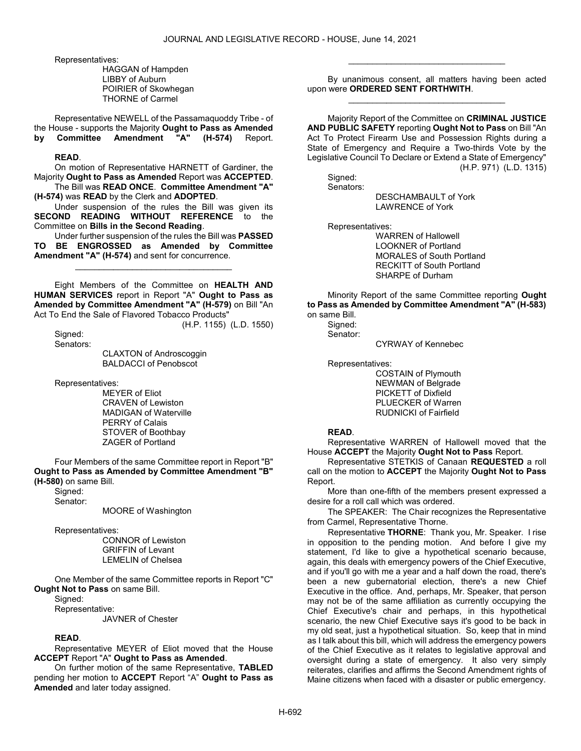Representatives:

 HAGGAN of Hampden LIBBY of Auburn POIRIER of Skowhegan THORNE of Carmel

 Representative NEWELL of the Passamaquoddy Tribe - of the House - supports the Majority Ought to Pass as Amended by Committee Amendment "A" (H-574) Report.

## READ.

 On motion of Representative HARNETT of Gardiner, the Majority Ought to Pass as Amended Report was ACCEPTED. The Bill was READ ONCE. Committee Amendment "A"

(H-574) was READ by the Clerk and ADOPTED.

 Under suspension of the rules the Bill was given its SECOND READING WITHOUT REFERENCE to the Committee on Bills in the Second Reading.

 Under further suspension of the rules the Bill was PASSED TO BE ENGROSSED as Amended by Committee Amendment "A" (H-574) and sent for concurrence.

\_\_\_\_\_\_\_\_\_\_\_\_\_\_\_\_\_\_\_\_\_\_\_\_\_\_\_\_\_\_\_\_\_

 Eight Members of the Committee on HEALTH AND HUMAN SERVICES report in Report "A" Ought to Pass as Amended by Committee Amendment "A" (H-579) on Bill "An Act To End the Sale of Flavored Tobacco Products"

(H.P. 1155) (L.D. 1550)

 Signed: Senators:

 CLAXTON of Androscoggin BALDACCI of Penobscot

Representatives:

 MEYER of Eliot CRAVEN of Lewiston MADIGAN of Waterville PERRY of Calais STOVER of Boothbay ZAGER of Portland

 Four Members of the same Committee report in Report "B" Ought to Pass as Amended by Committee Amendment "B" (H-580) on same Bill.

Signed:

Senator:

MOORE of Washington

Representatives:

 CONNOR of Lewiston GRIFFIN of Levant LEMELIN of Chelsea

 One Member of the same Committee reports in Report "C" Ought Not to Pass on same Bill.

Signed:

Representative:

JAVNER of Chester

## READ.

 Representative MEYER of Eliot moved that the House ACCEPT Report "A" Ought to Pass as Amended.

 On further motion of the same Representative, TABLED pending her motion to ACCEPT Report "A" Ought to Pass as Amended and later today assigned.

 By unanimous consent, all matters having been acted upon were ORDERED SENT FORTHWITH. \_\_\_\_\_\_\_\_\_\_\_\_\_\_\_\_\_\_\_\_\_\_\_\_\_\_\_\_\_\_\_\_\_

\_\_\_\_\_\_\_\_\_\_\_\_\_\_\_\_\_\_\_\_\_\_\_\_\_\_\_\_\_\_\_\_\_

 Majority Report of the Committee on CRIMINAL JUSTICE AND PUBLIC SAFETY reporting Ought Not to Pass on Bill "An Act To Protect Firearm Use and Possession Rights during a State of Emergency and Require a Two-thirds Vote by the Legislative Council To Declare or Extend a State of Emergency" (H.P. 971) (L.D. 1315)

 Signed: Senators:

 DESCHAMBAULT of York LAWRENCE of York

Representatives:

 WARREN of Hallowell LOOKNER of Portland MORALES of South Portland RECKITT of South Portland SHARPE of Durham

 Minority Report of the same Committee reporting Ought to Pass as Amended by Committee Amendment "A" (H-583) on same Bill.

 Signed: Senator:

CYRWAY of Kennebec

Representatives:

 COSTAIN of Plymouth NEWMAN of Belgrade PICKETT of Dixfield PLUECKER of Warren RUDNICKI of Fairfield

#### READ.

 Representative WARREN of Hallowell moved that the House ACCEPT the Majority Ought Not to Pass Report.

 Representative STETKIS of Canaan REQUESTED a roll call on the motion to ACCEPT the Majority Ought Not to Pass Report.

 More than one-fifth of the members present expressed a desire for a roll call which was ordered.

The SPEAKER: The Chair recognizes the Representative from Carmel, Representative Thorne.

Representative THORNE: Thank you, Mr. Speaker. I rise in opposition to the pending motion. And before I give my statement, I'd like to give a hypothetical scenario because, again, this deals with emergency powers of the Chief Executive, and if you'll go with me a year and a half down the road, there's been a new gubernatorial election, there's a new Chief Executive in the office. And, perhaps, Mr. Speaker, that person may not be of the same affiliation as currently occupying the Chief Executive's chair and perhaps, in this hypothetical scenario, the new Chief Executive says it's good to be back in my old seat, just a hypothetical situation. So, keep that in mind as I talk about this bill, which will address the emergency powers of the Chief Executive as it relates to legislative approval and oversight during a state of emergency. It also very simply reiterates, clarifies and affirms the Second Amendment rights of Maine citizens when faced with a disaster or public emergency.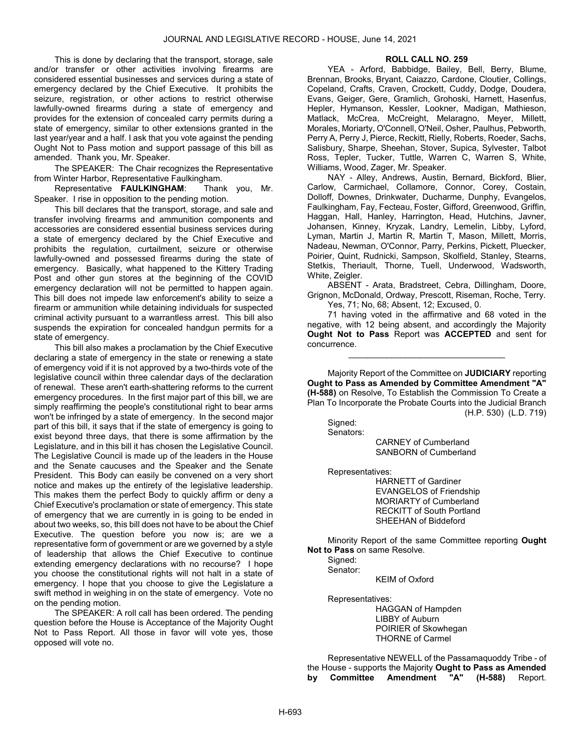This is done by declaring that the transport, storage, sale and/or transfer or other activities involving firearms are considered essential businesses and services during a state of emergency declared by the Chief Executive. It prohibits the seizure, registration, or other actions to restrict otherwise lawfully-owned firearms during a state of emergency and provides for the extension of concealed carry permits during a state of emergency, similar to other extensions granted in the last year/year and a half. I ask that you vote against the pending Ought Not to Pass motion and support passage of this bill as amended. Thank you, Mr. Speaker.

The SPEAKER: The Chair recognizes the Representative from Winter Harbor, Representative Faulkingham.

Representative FAULKINGHAM: Thank you, Mr. Speaker. I rise in opposition to the pending motion.

This bill declares that the transport, storage, and sale and transfer involving firearms and ammunition components and accessories are considered essential business services during a state of emergency declared by the Chief Executive and prohibits the regulation, curtailment, seizure or otherwise lawfully-owned and possessed firearms during the state of emergency. Basically, what happened to the Kittery Trading Post and other gun stores at the beginning of the COVID emergency declaration will not be permitted to happen again. This bill does not impede law enforcement's ability to seize a firearm or ammunition while detaining individuals for suspected criminal activity pursuant to a warrantless arrest. This bill also suspends the expiration for concealed handgun permits for a state of emergency.

This bill also makes a proclamation by the Chief Executive declaring a state of emergency in the state or renewing a state of emergency void if it is not approved by a two-thirds vote of the legislative council within three calendar days of the declaration of renewal. These aren't earth-shattering reforms to the current emergency procedures. In the first major part of this bill, we are simply reaffirming the people's constitutional right to bear arms won't be infringed by a state of emergency. In the second major part of this bill, it says that if the state of emergency is going to exist beyond three days, that there is some affirmation by the Legislature, and in this bill it has chosen the Legislative Council. The Legislative Council is made up of the leaders in the House and the Senate caucuses and the Speaker and the Senate President. This Body can easily be convened on a very short notice and makes up the entirety of the legislative leadership. This makes them the perfect Body to quickly affirm or deny a Chief Executive's proclamation or state of emergency. This state of emergency that we are currently in is going to be ended in about two weeks, so, this bill does not have to be about the Chief Executive. The question before you now is; are we a representative form of government or are we governed by a style of leadership that allows the Chief Executive to continue extending emergency declarations with no recourse? I hope you choose the constitutional rights will not halt in a state of emergency. I hope that you choose to give the Legislature a swift method in weighing in on the state of emergency. Vote no on the pending motion.

 The SPEAKER: A roll call has been ordered. The pending question before the House is Acceptance of the Majority Ought Not to Pass Report. All those in favor will vote yes, those opposed will vote no.

## ROLL CALL NO. 259

 YEA - Arford, Babbidge, Bailey, Bell, Berry, Blume, Brennan, Brooks, Bryant, Caiazzo, Cardone, Cloutier, Collings, Copeland, Crafts, Craven, Crockett, Cuddy, Dodge, Doudera, Evans, Geiger, Gere, Gramlich, Grohoski, Harnett, Hasenfus, Hepler, Hymanson, Kessler, Lookner, Madigan, Mathieson, Matlack, McCrea, McCreight, Melaragno, Meyer, Millett, Morales, Moriarty, O'Connell, O'Neil, Osher, Paulhus, Pebworth, Perry A, Perry J, Pierce, Reckitt, Rielly, Roberts, Roeder, Sachs, Salisbury, Sharpe, Sheehan, Stover, Supica, Sylvester, Talbot Ross, Tepler, Tucker, Tuttle, Warren C, Warren S, White, Williams, Wood, Zager, Mr. Speaker.

 NAY - Alley, Andrews, Austin, Bernard, Bickford, Blier, Carlow, Carmichael, Collamore, Connor, Corey, Costain, Dolloff, Downes, Drinkwater, Ducharme, Dunphy, Evangelos, Faulkingham, Fay, Fecteau, Foster, Gifford, Greenwood, Griffin, Haggan, Hall, Hanley, Harrington, Head, Hutchins, Javner, Johansen, Kinney, Kryzak, Landry, Lemelin, Libby, Lyford, Lyman, Martin J, Martin R, Martin T, Mason, Millett, Morris, Nadeau, Newman, O'Connor, Parry, Perkins, Pickett, Pluecker, Poirier, Quint, Rudnicki, Sampson, Skolfield, Stanley, Stearns, Stetkis, Theriault, Thorne, Tuell, Underwood, Wadsworth, White, Zeigler.

 ABSENT - Arata, Bradstreet, Cebra, Dillingham, Doore, Grignon, McDonald, Ordway, Prescott, Riseman, Roche, Terry. Yes, 71; No, 68; Absent, 12; Excused, 0.

 71 having voted in the affirmative and 68 voted in the negative, with 12 being absent, and accordingly the Majority Ought Not to Pass Report was ACCEPTED and sent for concurrence.

\_\_\_\_\_\_\_\_\_\_\_\_\_\_\_\_\_\_\_\_\_\_\_\_\_\_\_\_\_\_\_\_\_

 Majority Report of the Committee on JUDICIARY reporting Ought to Pass as Amended by Committee Amendment "A" (H-588) on Resolve, To Establish the Commission To Create a Plan To Incorporate the Probate Courts into the Judicial Branch (H.P. 530) (L.D. 719)

 Signed: Senators:

 CARNEY of Cumberland SANBORN of Cumberland

Representatives:

 HARNETT of Gardiner EVANGELOS of Friendship MORIARTY of Cumberland RECKITT of South Portland SHEEHAN of Biddeford

 Minority Report of the same Committee reporting Ought Not to Pass on same Resolve.

 Signed: Senator:

KEIM of Oxford

Representatives:

 HAGGAN of Hampden LIBBY of Auburn POIRIER of Skowhegan THORNE of Carmel

 Representative NEWELL of the Passamaquoddy Tribe - of the House - supports the Majority Ought to Pass as Amended by Committee Amendment "A" (H-588) Report.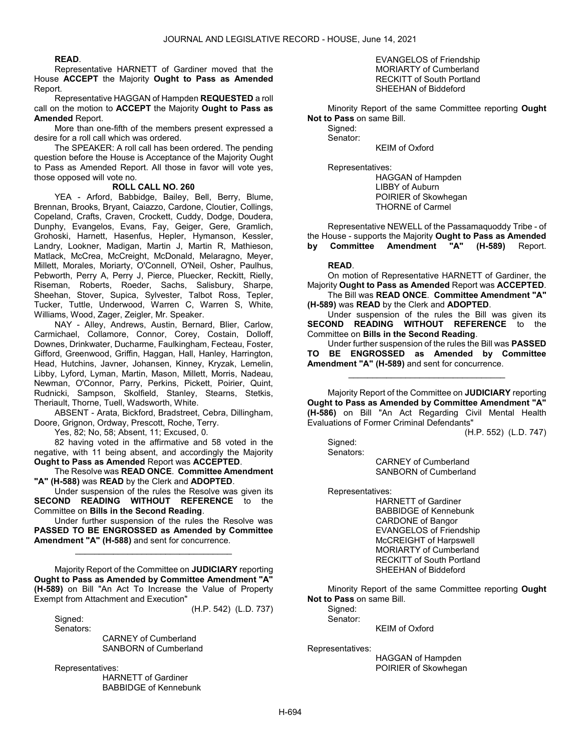#### READ.

 Representative HARNETT of Gardiner moved that the House ACCEPT the Majority Ought to Pass as Amended Report.

 Representative HAGGAN of Hampden REQUESTED a roll call on the motion to ACCEPT the Majority Ought to Pass as Amended Report.

 More than one-fifth of the members present expressed a desire for a roll call which was ordered.

 The SPEAKER: A roll call has been ordered. The pending question before the House is Acceptance of the Majority Ought to Pass as Amended Report. All those in favor will vote yes, those opposed will vote no.

#### ROLL CALL NO. 260

 YEA - Arford, Babbidge, Bailey, Bell, Berry, Blume, Brennan, Brooks, Bryant, Caiazzo, Cardone, Cloutier, Collings, Copeland, Crafts, Craven, Crockett, Cuddy, Dodge, Doudera, Dunphy, Evangelos, Evans, Fay, Geiger, Gere, Gramlich, Grohoski, Harnett, Hasenfus, Hepler, Hymanson, Kessler, Landry, Lookner, Madigan, Martin J, Martin R, Mathieson, Matlack, McCrea, McCreight, McDonald, Melaragno, Meyer, Millett, Morales, Moriarty, O'Connell, O'Neil, Osher, Paulhus, Pebworth, Perry A, Perry J, Pierce, Pluecker, Reckitt, Rielly, Riseman, Roberts, Roeder, Sachs, Salisbury, Sharpe, Sheehan, Stover, Supica, Sylvester, Talbot Ross, Tepler, Tucker, Tuttle, Underwood, Warren C, Warren S, White, Williams, Wood, Zager, Zeigler, Mr. Speaker.

 NAY - Alley, Andrews, Austin, Bernard, Blier, Carlow, Carmichael, Collamore, Connor, Corey, Costain, Dolloff, Downes, Drinkwater, Ducharme, Faulkingham, Fecteau, Foster, Gifford, Greenwood, Griffin, Haggan, Hall, Hanley, Harrington, Head, Hutchins, Javner, Johansen, Kinney, Kryzak, Lemelin, Libby, Lyford, Lyman, Martin, Mason, Millett, Morris, Nadeau, Newman, O'Connor, Parry, Perkins, Pickett, Poirier, Quint, Rudnicki, Sampson, Skolfield, Stanley, Stearns, Stetkis, Theriault, Thorne, Tuell, Wadsworth, White.

 ABSENT - Arata, Bickford, Bradstreet, Cebra, Dillingham, Doore, Grignon, Ordway, Prescott, Roche, Terry.

Yes, 82; No, 58; Absent, 11; Excused, 0.

 82 having voted in the affirmative and 58 voted in the negative, with 11 being absent, and accordingly the Majority Ought to Pass as Amended Report was ACCEPTED.

 The Resolve was READ ONCE. Committee Amendment "A" (H-588) was READ by the Clerk and ADOPTED.

 Under suspension of the rules the Resolve was given its SECOND READING WITHOUT REFERENCE to the Committee on Bills in the Second Reading.

 Under further suspension of the rules the Resolve was PASSED TO BE ENGROSSED as Amended by Committee Amendment "A" (H-588) and sent for concurrence.

\_\_\_\_\_\_\_\_\_\_\_\_\_\_\_\_\_\_\_\_\_\_\_\_\_\_\_\_\_\_\_\_\_

 Majority Report of the Committee on JUDICIARY reporting Ought to Pass as Amended by Committee Amendment "A" (H-589) on Bill "An Act To Increase the Value of Property Exempt from Attachment and Execution" (H.P. 542) (L.D. 737)

 Signed: Senators:

> CARNEY of Cumberland SANBORN of Cumberland

Representatives:

 HARNETT of Gardiner BABBIDGE of Kennebunk

#### EVANGELOS of Friendship MORIARTY of Cumberland RECKITT of South Portland SHEEHAN of Biddeford

 Minority Report of the same Committee reporting Ought Not to Pass on same Bill.

 Signed: Senator:

KEIM of Oxford

Representatives:

 HAGGAN of Hampden LIBBY of Auburn POIRIER of Skowhegan THORNE of Carmel

 Representative NEWELL of the Passamaquoddy Tribe - of the House - supports the Majority Ought to Pass as Amended<br>by Committee Amendment "A" (H-589) Report. by Committee Amendment "A" (H-589) Report.

#### READ.

 On motion of Representative HARNETT of Gardiner, the Majority Ought to Pass as Amended Report was ACCEPTED. The Bill was READ ONCE. Committee Amendment "A"

(H-589) was READ by the Clerk and ADOPTED.

 Under suspension of the rules the Bill was given its SECOND READING WITHOUT REFERENCE to the Committee on Bills in the Second Reading.

 Under further suspension of the rules the Bill was PASSED TO BE ENGROSSED as Amended by Committee Amendment "A" (H-589) and sent for concurrence.

\_\_\_\_\_\_\_\_\_\_\_\_\_\_\_\_\_\_\_\_\_\_\_\_\_\_\_\_\_\_\_\_\_

 Majority Report of the Committee on JUDICIARY reporting Ought to Pass as Amended by Committee Amendment "A" (H-586) on Bill "An Act Regarding Civil Mental Health Evaluations of Former Criminal Defendants"

(H.P. 552) (L.D. 747)

 Signed: Senators:

 CARNEY of Cumberland SANBORN of Cumberland

Representatives:

 HARNETT of Gardiner BABBIDGE of Kennebunk CARDONE of Bangor EVANGELOS of Friendship McCREIGHT of Harpswell MORIARTY of Cumberland RECKITT of South Portland SHEEHAN of Biddeford

 Minority Report of the same Committee reporting Ought Not to Pass on same Bill.

Signed: Senator:

KEIM of Oxford

Representatives:

 HAGGAN of Hampden POIRIER of Skowhegan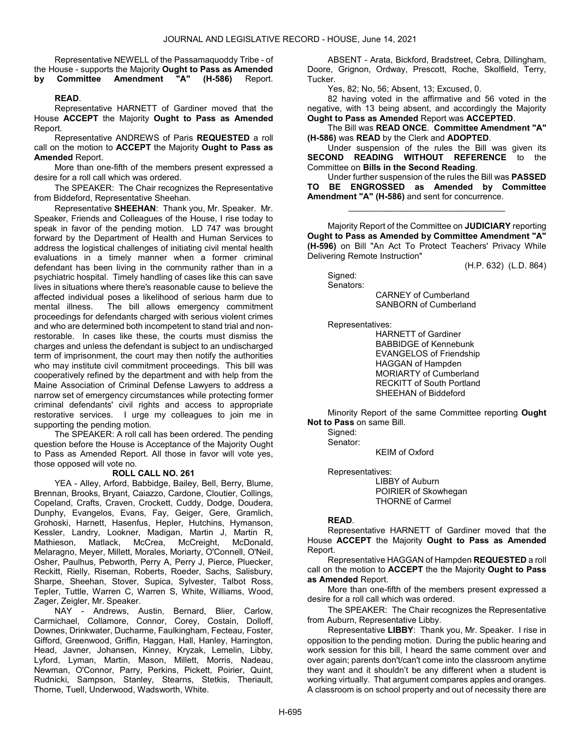Representative NEWELL of the Passamaquoddy Tribe - of the House - supports the Majority Ought to Pass as Amended by Committee Amendment "A" (H-586) Report.

#### READ.

 Representative HARNETT of Gardiner moved that the House ACCEPT the Majority Ought to Pass as Amended Report.

 Representative ANDREWS of Paris REQUESTED a roll call on the motion to ACCEPT the Majority Ought to Pass as Amended Report.

 More than one-fifth of the members present expressed a desire for a roll call which was ordered.

The SPEAKER: The Chair recognizes the Representative from Biddeford, Representative Sheehan.

Representative SHEEHAN: Thank you, Mr. Speaker. Mr. Speaker, Friends and Colleagues of the House, I rise today to speak in favor of the pending motion. LD 747 was brought forward by the Department of Health and Human Services to address the logistical challenges of initiating civil mental health evaluations in a timely manner when a former criminal defendant has been living in the community rather than in a psychiatric hospital. Timely handling of cases like this can save lives in situations where there's reasonable cause to believe the affected individual poses a likelihood of serious harm due to mental illness. The bill allows emergency commitment proceedings for defendants charged with serious violent crimes and who are determined both incompetent to stand trial and nonrestorable. In cases like these, the courts must dismiss the charges and unless the defendant is subject to an undischarged term of imprisonment, the court may then notify the authorities who may institute civil commitment proceedings. This bill was cooperatively refined by the department and with help from the Maine Association of Criminal Defense Lawyers to address a narrow set of emergency circumstances while protecting former criminal defendants' civil rights and access to appropriate restorative services. I urge my colleagues to join me in supporting the pending motion.

 The SPEAKER: A roll call has been ordered. The pending question before the House is Acceptance of the Majority Ought to Pass as Amended Report. All those in favor will vote yes, those opposed will vote no.

#### ROLL CALL NO. 261

 YEA - Alley, Arford, Babbidge, Bailey, Bell, Berry, Blume, Brennan, Brooks, Bryant, Caiazzo, Cardone, Cloutier, Collings, Copeland, Crafts, Craven, Crockett, Cuddy, Dodge, Doudera, Dunphy, Evangelos, Evans, Fay, Geiger, Gere, Gramlich, Grohoski, Harnett, Hasenfus, Hepler, Hutchins, Hymanson, Kessler, Landry, Lookner, Madigan, Martin J, Martin R, Mathieson, Matlack, McCrea, McCreight, McDonald, Melaragno, Meyer, Millett, Morales, Moriarty, O'Connell, O'Neil, Osher, Paulhus, Pebworth, Perry A, Perry J, Pierce, Pluecker, Reckitt, Rielly, Riseman, Roberts, Roeder, Sachs, Salisbury, Sharpe, Sheehan, Stover, Supica, Sylvester, Talbot Ross, Tepler, Tuttle, Warren C, Warren S, White, Williams, Wood, Zager, Zeigler, Mr. Speaker.

 NAY - Andrews, Austin, Bernard, Blier, Carlow, Carmichael, Collamore, Connor, Corey, Costain, Dolloff, Downes, Drinkwater, Ducharme, Faulkingham, Fecteau, Foster, Gifford, Greenwood, Griffin, Haggan, Hall, Hanley, Harrington, Head, Javner, Johansen, Kinney, Kryzak, Lemelin, Libby, Lyford, Lyman, Martin, Mason, Millett, Morris, Nadeau, Newman, O'Connor, Parry, Perkins, Pickett, Poirier, Quint, Rudnicki, Sampson, Stanley, Stearns, Stetkis, Theriault, Thorne, Tuell, Underwood, Wadsworth, White.

 ABSENT - Arata, Bickford, Bradstreet, Cebra, Dillingham, Doore, Grignon, Ordway, Prescott, Roche, Skolfield, Terry, Tucker.

Yes, 82; No, 56; Absent, 13; Excused, 0.

 82 having voted in the affirmative and 56 voted in the negative, with 13 being absent, and accordingly the Majority Ought to Pass as Amended Report was ACCEPTED.

 The Bill was READ ONCE. Committee Amendment "A" (H-586) was READ by the Clerk and ADOPTED.

 Under suspension of the rules the Bill was given its SECOND READING WITHOUT REFERENCE to the Committee on Bills in the Second Reading.

 Under further suspension of the rules the Bill was PASSED TO BE ENGROSSED as Amended by Committee Amendment "A" (H-586) and sent for concurrence.

\_\_\_\_\_\_\_\_\_\_\_\_\_\_\_\_\_\_\_\_\_\_\_\_\_\_\_\_\_\_\_\_\_

 Majority Report of the Committee on JUDICIARY reporting Ought to Pass as Amended by Committee Amendment "A" (H-596) on Bill "An Act To Protect Teachers' Privacy While Delivering Remote Instruction"

(H.P. 632) (L.D. 864)

 Signed: Senators:

 CARNEY of Cumberland SANBORN of Cumberland

Representatives:

 HARNETT of Gardiner BABBIDGE of Kennebunk EVANGELOS of Friendship HAGGAN of Hampden MORIARTY of Cumberland RECKITT of South Portland SHEEHAN of Biddeford

 Minority Report of the same Committee reporting Ought Not to Pass on same Bill.

 Signed: Senator:

KEIM of Oxford

Representatives:

 LIBBY of Auburn POIRIER of Skowhegan THORNE of Carmel

#### READ.

 Representative HARNETT of Gardiner moved that the House ACCEPT the Majority Ought to Pass as Amended Report.

 Representative HAGGAN of Hampden REQUESTED a roll call on the motion to ACCEPT the the Majority Ought to Pass as Amended Report.

 More than one-fifth of the members present expressed a desire for a roll call which was ordered.

The SPEAKER: The Chair recognizes the Representative from Auburn, Representative Libby.

Representative LIBBY: Thank you, Mr. Speaker. I rise in opposition to the pending motion. During the public hearing and work session for this bill, I heard the same comment over and over again; parents don't/can't come into the classroom anytime they want and it shouldn't be any different when a student is working virtually. That argument compares apples and oranges. A classroom is on school property and out of necessity there are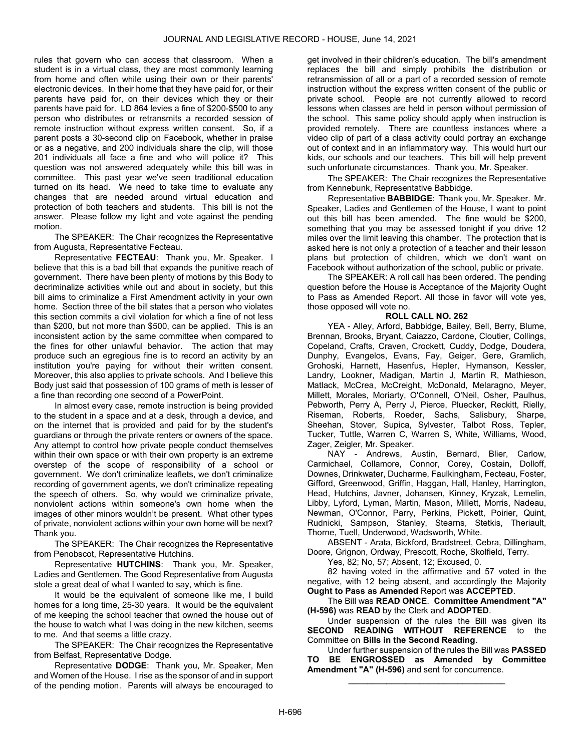rules that govern who can access that classroom. When a student is in a virtual class, they are most commonly learning from home and often while using their own or their parents' electronic devices. In their home that they have paid for, or their parents have paid for, on their devices which they or their parents have paid for. LD 864 levies a fine of \$200-\$500 to any person who distributes or retransmits a recorded session of remote instruction without express written consent. So, if a parent posts a 30-second clip on Facebook, whether in praise or as a negative, and 200 individuals share the clip, will those 201 individuals all face a fine and who will police it? This question was not answered adequately while this bill was in committee. This past year we've seen traditional education turned on its head. We need to take time to evaluate any changes that are needed around virtual education and protection of both teachers and students. This bill is not the answer. Please follow my light and vote against the pending motion.

The SPEAKER: The Chair recognizes the Representative from Augusta, Representative Fecteau.

Representative FECTEAU: Thank you, Mr. Speaker. I believe that this is a bad bill that expands the punitive reach of government. There have been plenty of motions by this Body to decriminalize activities while out and about in society, but this bill aims to criminalize a First Amendment activity in your own home. Section three of the bill states that a person who violates this section commits a civil violation for which a fine of not less than \$200, but not more than \$500, can be applied. This is an inconsistent action by the same committee when compared to the fines for other unlawful behavior. The action that may produce such an egregious fine is to record an activity by an institution you're paying for without their written consent. Moreover, this also applies to private schools. And I believe this Body just said that possession of 100 grams of meth is lesser of a fine than recording one second of a PowerPoint.

In almost every case, remote instruction is being provided to the student in a space and at a desk, through a device, and on the internet that is provided and paid for by the student's guardians or through the private renters or owners of the space. Any attempt to control how private people conduct themselves within their own space or with their own property is an extreme overstep of the scope of responsibility of a school or government. We don't criminalize leaflets, we don't criminalize recording of government agents, we don't criminalize repeating the speech of others. So, why would we criminalize private, nonviolent actions within someone's own home when the images of other minors wouldn't be present. What other types of private, nonviolent actions within your own home will be next? Thank you.

The SPEAKER: The Chair recognizes the Representative from Penobscot, Representative Hutchins.

Representative HUTCHINS: Thank you, Mr. Speaker, Ladies and Gentlemen. The Good Representative from Augusta stole a great deal of what I wanted to say, which is fine.

It would be the equivalent of someone like me, I build homes for a long time, 25-30 years. It would be the equivalent of me keeping the school teacher that owned the house out of the house to watch what I was doing in the new kitchen, seems to me. And that seems a little crazy.

The SPEAKER: The Chair recognizes the Representative from Belfast, Representative Dodge.

Representative DODGE: Thank you, Mr. Speaker, Men and Women of the House. I rise as the sponsor of and in support of the pending motion. Parents will always be encouraged to

get involved in their children's education. The bill's amendment replaces the bill and simply prohibits the distribution or retransmission of all or a part of a recorded session of remote instruction without the express written consent of the public or private school. People are not currently allowed to record lessons when classes are held in person without permission of the school. This same policy should apply when instruction is provided remotely. There are countless instances where a video clip of part of a class activity could portray an exchange out of context and in an inflammatory way. This would hurt our kids, our schools and our teachers. This bill will help prevent such unfortunate circumstances. Thank you, Mr. Speaker.

The SPEAKER: The Chair recognizes the Representative from Kennebunk, Representative Babbidge.

Representative BABBIDGE: Thank you, Mr. Speaker. Mr. Speaker, Ladies and Gentlemen of the House, I want to point out this bill has been amended. The fine would be \$200, something that you may be assessed tonight if you drive 12 miles over the limit leaving this chamber. The protection that is asked here is not only a protection of a teacher and their lesson plans but protection of children, which we don't want on Facebook without authorization of the school, public or private.

 The SPEAKER: A roll call has been ordered. The pending question before the House is Acceptance of the Majority Ought to Pass as Amended Report. All those in favor will vote yes, those opposed will vote no.

## ROLL CALL NO. 262

 YEA - Alley, Arford, Babbidge, Bailey, Bell, Berry, Blume, Brennan, Brooks, Bryant, Caiazzo, Cardone, Cloutier, Collings, Copeland, Crafts, Craven, Crockett, Cuddy, Dodge, Doudera, Dunphy, Evangelos, Evans, Fay, Geiger, Gere, Gramlich, Grohoski, Harnett, Hasenfus, Hepler, Hymanson, Kessler, Landry, Lookner, Madigan, Martin J, Martin R, Mathieson, Matlack, McCrea, McCreight, McDonald, Melaragno, Meyer, Millett, Morales, Moriarty, O'Connell, O'Neil, Osher, Paulhus, Pebworth, Perry A, Perry J, Pierce, Pluecker, Reckitt, Rielly, Riseman, Roberts, Roeder, Sachs, Salisbury, Sharpe, Sheehan, Stover, Supica, Sylvester, Talbot Ross, Tepler, Tucker, Tuttle, Warren C, Warren S, White, Williams, Wood, Zager, Zeigler, Mr. Speaker.

 NAY - Andrews, Austin, Bernard, Blier, Carlow, Carmichael, Collamore, Connor, Corey, Costain, Dolloff, Downes, Drinkwater, Ducharme, Faulkingham, Fecteau, Foster, Gifford, Greenwood, Griffin, Haggan, Hall, Hanley, Harrington, Head, Hutchins, Javner, Johansen, Kinney, Kryzak, Lemelin, Libby, Lyford, Lyman, Martin, Mason, Millett, Morris, Nadeau, Newman, O'Connor, Parry, Perkins, Pickett, Poirier, Quint, Rudnicki, Sampson, Stanley, Stearns, Stetkis, Theriault, Thorne, Tuell, Underwood, Wadsworth, White.

 ABSENT - Arata, Bickford, Bradstreet, Cebra, Dillingham, Doore, Grignon, Ordway, Prescott, Roche, Skolfield, Terry.

Yes, 82; No, 57; Absent, 12; Excused, 0.

 82 having voted in the affirmative and 57 voted in the negative, with 12 being absent, and accordingly the Majority Ought to Pass as Amended Report was ACCEPTED.

 The Bill was READ ONCE. Committee Amendment "A" (H-596) was READ by the Clerk and ADOPTED.

 Under suspension of the rules the Bill was given its SECOND READING WITHOUT REFERENCE to the Committee on Bills in the Second Reading.

 Under further suspension of the rules the Bill was PASSED TO BE ENGROSSED as Amended by Committee Amendment "A" (H-596) and sent for concurrence.

\_\_\_\_\_\_\_\_\_\_\_\_\_\_\_\_\_\_\_\_\_\_\_\_\_\_\_\_\_\_\_\_\_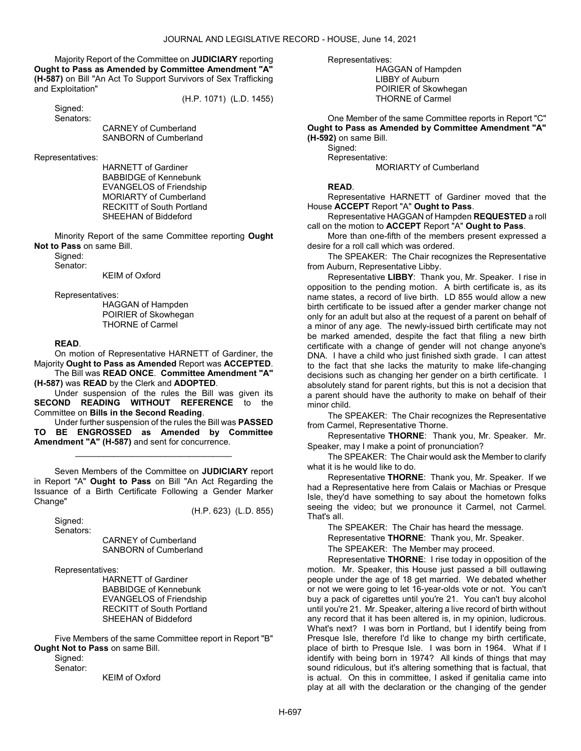Majority Report of the Committee on JUDICIARY reporting Ought to Pass as Amended by Committee Amendment "A" (H-587) on Bill "An Act To Support Survivors of Sex Trafficking and Exploitation"

(H.P. 1071) (L.D. 1455)

 Signed: Senators:

 CARNEY of Cumberland SANBORN of Cumberland

Representatives:

 HARNETT of Gardiner BABBIDGE of Kennebunk EVANGELOS of Friendship MORIARTY of Cumberland RECKITT of South Portland SHEEHAN of Biddeford

 Minority Report of the same Committee reporting Ought Not to Pass on same Bill.

Signed:

Senator:

KEIM of Oxford

Representatives:

 HAGGAN of Hampden POIRIER of Skowhegan THORNE of Carmel

## READ.

 On motion of Representative HARNETT of Gardiner, the Majority Ought to Pass as Amended Report was ACCEPTED.

 The Bill was READ ONCE. Committee Amendment "A" (H-587) was READ by the Clerk and ADOPTED.

 Under suspension of the rules the Bill was given its SECOND READING WITHOUT REFERENCE to the Committee on Bills in the Second Reading.

 Under further suspension of the rules the Bill was PASSED TO BE ENGROSSED as Amended by Committee Amendment "A" (H-587) and sent for concurrence.

\_\_\_\_\_\_\_\_\_\_\_\_\_\_\_\_\_\_\_\_\_\_\_\_\_\_\_\_\_\_\_\_\_

 Seven Members of the Committee on JUDICIARY report in Report "A" Ought to Pass on Bill "An Act Regarding the Issuance of a Birth Certificate Following a Gender Marker Change"

(H.P. 623) (L.D. 855)

 Signed: Senators:

> CARNEY of Cumberland SANBORN of Cumberland

Representatives:

 HARNETT of Gardiner BABBIDGE of Kennebunk EVANGELOS of Friendship RECKITT of South Portland SHEEHAN of Biddeford

 Five Members of the same Committee report in Report "B" Ought Not to Pass on same Bill.

 Signed: Senator:

KEIM of Oxford

Representatives:

 HAGGAN of Hampden LIBBY of Auburn POIRIER of Skowhegan THORNE of Carmel

One Member of the same Committee reports in Report "C" Ought to Pass as Amended by Committee Amendment "A" (H-592) on same Bill.

Signed:

Representative:

MORIARTY of Cumberland

## READ.

 Representative HARNETT of Gardiner moved that the House ACCEPT Report "A" Ought to Pass.

 Representative HAGGAN of Hampden REQUESTED a roll call on the motion to ACCEPT Report "A" Ought to Pass.

 More than one-fifth of the members present expressed a desire for a roll call which was ordered.

The SPEAKER: The Chair recognizes the Representative from Auburn, Representative Libby.

Representative LIBBY: Thank you, Mr. Speaker. I rise in opposition to the pending motion. A birth certificate is, as its name states, a record of live birth. LD 855 would allow a new birth certificate to be issued after a gender marker change not only for an adult but also at the request of a parent on behalf of a minor of any age. The newly-issued birth certificate may not be marked amended, despite the fact that filing a new birth certificate with a change of gender will not change anyone's DNA. I have a child who just finished sixth grade. I can attest to the fact that she lacks the maturity to make life-changing decisions such as changing her gender on a birth certificate. I absolutely stand for parent rights, but this is not a decision that a parent should have the authority to make on behalf of their minor child.

The SPEAKER: The Chair recognizes the Representative from Carmel, Representative Thorne.

Representative THORNE: Thank you, Mr. Speaker. Mr. Speaker, may I make a point of pronunciation?

The SPEAKER: The Chair would ask the Member to clarify what it is he would like to do.

Representative THORNE: Thank you, Mr. Speaker. If we had a Representative here from Calais or Machias or Presque Isle, they'd have something to say about the hometown folks seeing the video; but we pronounce it Carmel, not Carmel. That's all.

The SPEAKER: The Chair has heard the message. Representative THORNE: Thank you, Mr. Speaker.

The SPEAKER: The Member may proceed.

Representative THORNE: I rise today in opposition of the motion. Mr. Speaker, this House just passed a bill outlawing people under the age of 18 get married. We debated whether or not we were going to let 16-year-olds vote or not. You can't buy a pack of cigarettes until you're 21. You can't buy alcohol until you're 21. Mr. Speaker, altering a live record of birth without any record that it has been altered is, in my opinion, ludicrous. What's next? I was born in Portland, but I identify being from Presque Isle, therefore I'd like to change my birth certificate, place of birth to Presque Isle. I was born in 1964. What if I identify with being born in 1974? All kinds of things that may sound ridiculous, but it's altering something that is factual, that is actual. On this in committee, I asked if genitalia came into play at all with the declaration or the changing of the gender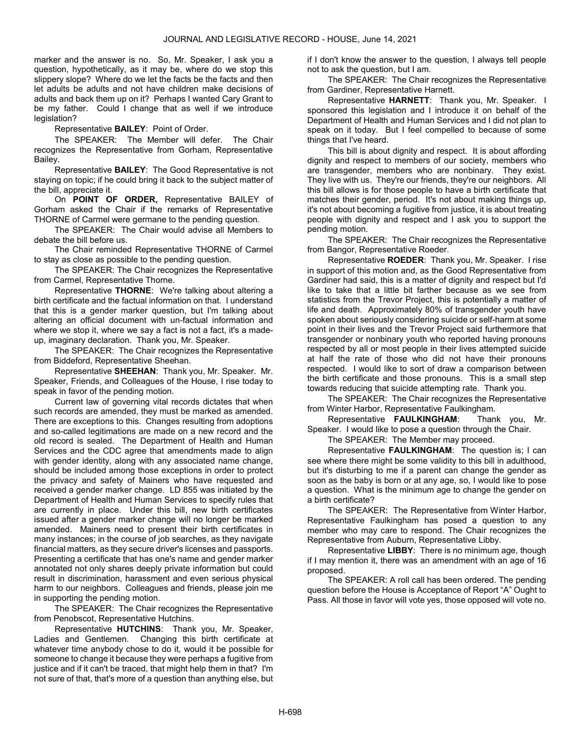marker and the answer is no. So, Mr. Speaker, I ask you a question, hypothetically, as it may be, where do we stop this slippery slope? Where do we let the facts be the facts and then let adults be adults and not have children make decisions of adults and back them up on it? Perhaps I wanted Cary Grant to be my father. Could I change that as well if we introduce legislation?

Representative BAILEY: Point of Order.

The SPEAKER: The Member will defer. The Chair recognizes the Representative from Gorham, Representative Bailey.

Representative BAILEY: The Good Representative is not staying on topic; if he could bring it back to the subject matter of the bill, appreciate it.

On POINT OF ORDER, Representative BAILEY of Gorham asked the Chair if the remarks of Representative THORNE of Carmel were germane to the pending question.

The SPEAKER: The Chair would advise all Members to debate the bill before us.

 The Chair reminded Representative THORNE of Carmel to stay as close as possible to the pending question.

 The SPEAKER: The Chair recognizes the Representative from Carmel, Representative Thorne.

Representative THORNE: We're talking about altering a birth certificate and the factual information on that. I understand that this is a gender marker question, but I'm talking about altering an official document with un-factual information and where we stop it, where we say a fact is not a fact, it's a madeup, imaginary declaration. Thank you, Mr. Speaker.

The SPEAKER: The Chair recognizes the Representative from Biddeford, Representative Sheehan.

Representative SHEEHAN: Thank you, Mr. Speaker. Mr. Speaker, Friends, and Colleagues of the House, I rise today to speak in favor of the pending motion.

Current law of governing vital records dictates that when such records are amended, they must be marked as amended. There are exceptions to this. Changes resulting from adoptions and so-called legitimations are made on a new record and the old record is sealed. The Department of Health and Human Services and the CDC agree that amendments made to align with gender identity, along with any associated name change, should be included among those exceptions in order to protect the privacy and safety of Mainers who have requested and received a gender marker change. LD 855 was initiated by the Department of Health and Human Services to specify rules that are currently in place. Under this bill, new birth certificates issued after a gender marker change will no longer be marked amended. Mainers need to present their birth certificates in many instances; in the course of job searches, as they navigate financial matters, as they secure driver's licenses and passports. Presenting a certificate that has one's name and gender marker annotated not only shares deeply private information but could result in discrimination, harassment and even serious physical harm to our neighbors. Colleagues and friends, please join me in supporting the pending motion.

The SPEAKER: The Chair recognizes the Representative from Penobscot, Representative Hutchins.

Representative HUTCHINS: Thank you, Mr. Speaker, Ladies and Gentlemen. Changing this birth certificate at whatever time anybody chose to do it, would it be possible for someone to change it because they were perhaps a fugitive from justice and if it can't be traced, that might help them in that? I'm not sure of that, that's more of a question than anything else, but

if I don't know the answer to the question, I always tell people not to ask the question, but I am.

The SPEAKER: The Chair recognizes the Representative from Gardiner, Representative Harnett.

Representative HARNETT: Thank you, Mr. Speaker. I sponsored this legislation and I introduce it on behalf of the Department of Health and Human Services and I did not plan to speak on it today. But I feel compelled to because of some things that I've heard.

This bill is about dignity and respect. It is about affording dignity and respect to members of our society, members who are transgender, members who are nonbinary. They exist. They live with us. They're our friends, they're our neighbors. All this bill allows is for those people to have a birth certificate that matches their gender, period. It's not about making things up, it's not about becoming a fugitive from justice, it is about treating people with dignity and respect and I ask you to support the pending motion.

The SPEAKER: The Chair recognizes the Representative from Bangor, Representative Roeder.

Representative ROEDER: Thank you, Mr. Speaker. I rise in support of this motion and, as the Good Representative from Gardiner had said, this is a matter of dignity and respect but I'd like to take that a little bit farther because as we see from statistics from the Trevor Project, this is potentially a matter of life and death. Approximately 80% of transgender youth have spoken about seriously considering suicide or self-harm at some point in their lives and the Trevor Project said furthermore that transgender or nonbinary youth who reported having pronouns respected by all or most people in their lives attempted suicide at half the rate of those who did not have their pronouns respected. I would like to sort of draw a comparison between the birth certificate and those pronouns. This is a small step towards reducing that suicide attempting rate. Thank you.

The SPEAKER: The Chair recognizes the Representative from Winter Harbor, Representative Faulkingham.

Representative FAULKINGHAM: Thank you, Mr. Speaker. I would like to pose a question through the Chair.

The SPEAKER: The Member may proceed.

Representative FAULKINGHAM: The question is; I can see where there might be some validity to this bill in adulthood. but it's disturbing to me if a parent can change the gender as soon as the baby is born or at any age, so, I would like to pose a question. What is the minimum age to change the gender on a birth certificate?

The SPEAKER: The Representative from Winter Harbor, Representative Faulkingham has posed a question to any member who may care to respond. The Chair recognizes the Representative from Auburn, Representative Libby.

Representative LIBBY: There is no minimum age, though if I may mention it, there was an amendment with an age of 16 proposed.

 The SPEAKER: A roll call has been ordered. The pending question before the House is Acceptance of Report "A" Ought to Pass. All those in favor will vote yes, those opposed will vote no.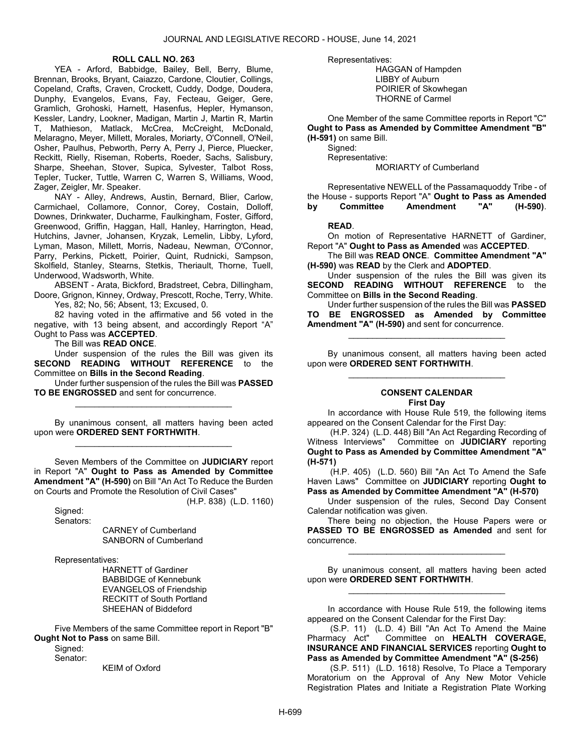#### ROLL CALL NO. 263

 YEA - Arford, Babbidge, Bailey, Bell, Berry, Blume, Brennan, Brooks, Bryant, Caiazzo, Cardone, Cloutier, Collings, Copeland, Crafts, Craven, Crockett, Cuddy, Dodge, Doudera, Dunphy, Evangelos, Evans, Fay, Fecteau, Geiger, Gere, Gramlich, Grohoski, Harnett, Hasenfus, Hepler, Hymanson, Kessler, Landry, Lookner, Madigan, Martin J, Martin R, Martin T, Mathieson, Matlack, McCrea, McCreight, McDonald, Melaragno, Meyer, Millett, Morales, Moriarty, O'Connell, O'Neil, Osher, Paulhus, Pebworth, Perry A, Perry J, Pierce, Pluecker, Reckitt, Rielly, Riseman, Roberts, Roeder, Sachs, Salisbury, Sharpe, Sheehan, Stover, Supica, Sylvester, Talbot Ross, Tepler, Tucker, Tuttle, Warren C, Warren S, Williams, Wood, Zager, Zeigler, Mr. Speaker.

 NAY - Alley, Andrews, Austin, Bernard, Blier, Carlow, Carmichael, Collamore, Connor, Corey, Costain, Dolloff, Downes, Drinkwater, Ducharme, Faulkingham, Foster, Gifford, Greenwood, Griffin, Haggan, Hall, Hanley, Harrington, Head, Hutchins, Javner, Johansen, Kryzak, Lemelin, Libby, Lyford, Lyman, Mason, Millett, Morris, Nadeau, Newman, O'Connor, Parry, Perkins, Pickett, Poirier, Quint, Rudnicki, Sampson, Skolfield, Stanley, Stearns, Stetkis, Theriault, Thorne, Tuell, Underwood, Wadsworth, White.

 ABSENT - Arata, Bickford, Bradstreet, Cebra, Dillingham, Doore, Grignon, Kinney, Ordway, Prescott, Roche, Terry, White. Yes, 82; No, 56; Absent, 13; Excused, 0.

 82 having voted in the affirmative and 56 voted in the negative, with 13 being absent, and accordingly Report "A" Ought to Pass was ACCEPTED.

The Bill was READ ONCE.

 Under suspension of the rules the Bill was given its SECOND READING WITHOUT REFERENCE to the Committee on Bills in the Second Reading.

 Under further suspension of the rules the Bill was PASSED TO BE ENGROSSED and sent for concurrence. \_\_\_\_\_\_\_\_\_\_\_\_\_\_\_\_\_\_\_\_\_\_\_\_\_\_\_\_\_\_\_\_\_

 By unanimous consent, all matters having been acted upon were ORDERED SENT FORTHWITH. \_\_\_\_\_\_\_\_\_\_\_\_\_\_\_\_\_\_\_\_\_\_\_\_\_\_\_\_\_\_\_\_\_

 Seven Members of the Committee on JUDICIARY report in Report "A" Ought to Pass as Amended by Committee Amendment "A" (H-590) on Bill "An Act To Reduce the Burden on Courts and Promote the Resolution of Civil Cases" (H.P. 838) (L.D. 1160)

Signed:

Senators:

 CARNEY of Cumberland SANBORN of Cumberland

Representatives:

 HARNETT of Gardiner BABBIDGE of Kennebunk EVANGELOS of Friendship RECKITT of South Portland SHEEHAN of Biddeford

 Five Members of the same Committee report in Report "B" **Ought Not to Pass on same Bill.** 

Signed:

Senator:

KEIM of Oxford

Representatives:

 HAGGAN of Hampden LIBBY of Auburn POIRIER of Skowhegan THORNE of Carmel

 One Member of the same Committee reports in Report "C" Ought to Pass as Amended by Committee Amendment "B" (H-591) on same Bill.

Signed: Representative:

MORIARTY of Cumberland

 Representative NEWELL of the Passamaquoddy Tribe - of the House - supports Report "A" Ought to Pass as Amended<br>by Committee Amendment "A" (H-590). by Committee Amendment "A" (H-590).

READ.

 On motion of Representative HARNETT of Gardiner, Report "A" Ought to Pass as Amended was ACCEPTED.

 The Bill was READ ONCE. Committee Amendment "A" (H-590) was READ by the Clerk and ADOPTED.

 Under suspension of the rules the Bill was given its SECOND READING WITHOUT REFERENCE to the Committee on Bills in the Second Reading.

 Under further suspension of the rules the Bill was PASSED TO BE ENGROSSED as Amended by Committee Amendment "A" (H-590) and sent for concurrence.

\_\_\_\_\_\_\_\_\_\_\_\_\_\_\_\_\_\_\_\_\_\_\_\_\_\_\_\_\_\_\_\_\_

 By unanimous consent, all matters having been acted upon were ORDERED SENT FORTHWITH. \_\_\_\_\_\_\_\_\_\_\_\_\_\_\_\_\_\_\_\_\_\_\_\_\_\_\_\_\_\_\_\_\_

#### CONSENT CALENDAR First Day

 In accordance with House Rule 519, the following items appeared on the Consent Calendar for the First Day:

 (H.P. 324) (L.D. 448) Bill "An Act Regarding Recording of Witness Interviews" Committee on JUDICIARY reporting Ought to Pass as Amended by Committee Amendment "A" (H-571)

 (H.P. 405) (L.D. 560) Bill "An Act To Amend the Safe Haven Laws" Committee on JUDICIARY reporting Ought to Pass as Amended by Committee Amendment "A" (H-570)

 Under suspension of the rules, Second Day Consent Calendar notification was given.

 There being no objection, the House Papers were or PASSED TO BE ENGROSSED as Amended and sent for concurrence.

\_\_\_\_\_\_\_\_\_\_\_\_\_\_\_\_\_\_\_\_\_\_\_\_\_\_\_\_\_\_\_\_\_

 By unanimous consent, all matters having been acted upon were ORDERED SENT FORTHWITH. \_\_\_\_\_\_\_\_\_\_\_\_\_\_\_\_\_\_\_\_\_\_\_\_\_\_\_\_\_\_\_\_\_

In accordance with House Rule 519, the following items appeared on the Consent Calendar for the First Day:

 (S.P. 11) (L.D. 4) Bill "An Act To Amend the Maine Pharmacy Act" Committee on HEALTH COVERAGE, INSURANCE AND FINANCIAL SERVICES reporting Ought to Pass as Amended by Committee Amendment "A" (S-256)

 (S.P. 511) (L.D. 1618) Resolve, To Place a Temporary Moratorium on the Approval of Any New Motor Vehicle Registration Plates and Initiate a Registration Plate Working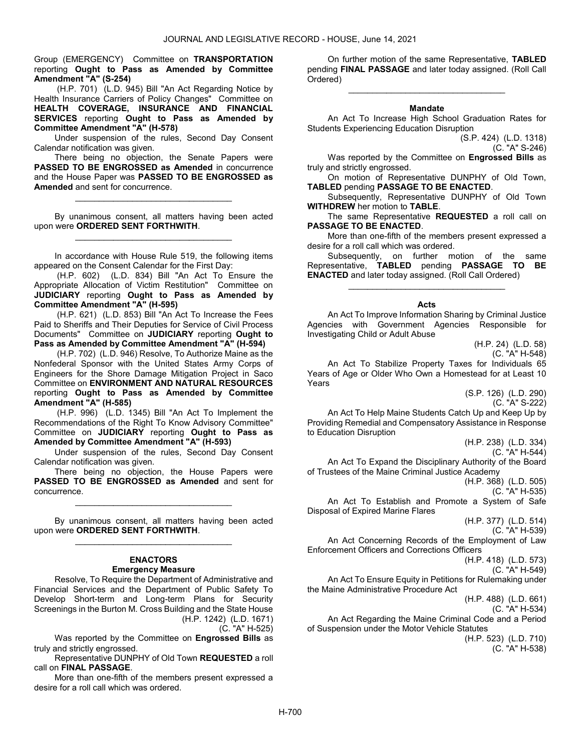Group (EMERGENCY) Committee on TRANSPORTATION reporting Ought to Pass as Amended by Committee Amendment "A" (S-254)

 (H.P. 701) (L.D. 945) Bill "An Act Regarding Notice by Health Insurance Carriers of Policy Changes" Committee on HEALTH COVERAGE, INSURANCE AND FINANCIAL SERVICES reporting Ought to Pass as Amended by Committee Amendment "A" (H-578)

 Under suspension of the rules, Second Day Consent Calendar notification was given.

 There being no objection, the Senate Papers were PASSED TO BE ENGROSSED as Amended in concurrence and the House Paper was PASSED TO BE ENGROSSED as Amended and sent for concurrence.

\_\_\_\_\_\_\_\_\_\_\_\_\_\_\_\_\_\_\_\_\_\_\_\_\_\_\_\_\_\_\_\_\_

 By unanimous consent, all matters having been acted upon were ORDERED SENT FORTHWITH. \_\_\_\_\_\_\_\_\_\_\_\_\_\_\_\_\_\_\_\_\_\_\_\_\_\_\_\_\_\_\_\_\_

 In accordance with House Rule 519, the following items appeared on the Consent Calendar for the First Day:

 (H.P. 602) (L.D. 834) Bill "An Act To Ensure the Appropriate Allocation of Victim Restitution" Committee on JUDICIARY reporting Ought to Pass as Amended by Committee Amendment "A" (H-595)

 (H.P. 621) (L.D. 853) Bill "An Act To Increase the Fees Paid to Sheriffs and Their Deputies for Service of Civil Process Documents" Committee on JUDICIARY reporting Ought to Pass as Amended by Committee Amendment "A" (H-594)

 (H.P. 702) (L.D. 946) Resolve, To Authorize Maine as the Nonfederal Sponsor with the United States Army Corps of Engineers for the Shore Damage Mitigation Project in Saco Committee on ENVIRONMENT AND NATURAL RESOURCES reporting Ought to Pass as Amended by Committee Amendment "A" (H-585)

 (H.P. 996) (L.D. 1345) Bill "An Act To Implement the Recommendations of the Right To Know Advisory Committee" Committee on JUDICIARY reporting Ought to Pass as Amended by Committee Amendment "A" (H-593)

 Under suspension of the rules, Second Day Consent Calendar notification was given.

 There being no objection, the House Papers were PASSED TO BE ENGROSSED as Amended and sent for concurrence.

\_\_\_\_\_\_\_\_\_\_\_\_\_\_\_\_\_\_\_\_\_\_\_\_\_\_\_\_\_\_\_\_\_

 By unanimous consent, all matters having been acted upon were ORDERED SENT FORTHWITH. \_\_\_\_\_\_\_\_\_\_\_\_\_\_\_\_\_\_\_\_\_\_\_\_\_\_\_\_\_\_\_\_\_

## ENACTORS Emergency Measure

 Resolve, To Require the Department of Administrative and Financial Services and the Department of Public Safety To Develop Short-term and Long-term Plans for Security Screenings in the Burton M. Cross Building and the State House (H.P. 1242) (L.D. 1671)

(C. "A" H-525)

Was reported by the Committee on Engrossed Bills as truly and strictly engrossed.

 Representative DUNPHY of Old Town REQUESTED a roll call on FINAL PASSAGE.

 More than one-fifth of the members present expressed a desire for a roll call which was ordered.

 On further motion of the same Representative, TABLED pending FINAL PASSAGE and later today assigned. (Roll Call Ordered)

\_\_\_\_\_\_\_\_\_\_\_\_\_\_\_\_\_\_\_\_\_\_\_\_\_\_\_\_\_\_\_\_\_

#### Mandate

 An Act To Increase High School Graduation Rates for Students Experiencing Education Disruption

(S.P. 424) (L.D. 1318)

(C. "A" S-246)

Was reported by the Committee on Engrossed Bills as truly and strictly engrossed.

 On motion of Representative DUNPHY of Old Town, TABLED pending PASSAGE TO BE ENACTED.

 Subsequently, Representative DUNPHY of Old Town WITHDREW her motion to TABLE.

The same Representative REQUESTED a roll call on PASSAGE TO BE ENACTED.

 More than one-fifth of the members present expressed a desire for a roll call which was ordered.

 Subsequently, on further motion of the same Representative, TABLED pending PASSAGE TO BE ENACTED and later today assigned. (Roll Call Ordered)

\_\_\_\_\_\_\_\_\_\_\_\_\_\_\_\_\_\_\_\_\_\_\_\_\_\_\_\_\_\_\_\_\_

#### Acts

 An Act To Improve Information Sharing by Criminal Justice Agencies with Government Agencies Responsible for Investigating Child or Adult Abuse

> (H.P. 24) (L.D. 58) (C. "A" H-548)

 An Act To Stabilize Property Taxes for Individuals 65 Years of Age or Older Who Own a Homestead for at Least 10 Years

(S.P. 126) (L.D. 290) (C. "A" S-222)

 An Act To Help Maine Students Catch Up and Keep Up by Providing Remedial and Compensatory Assistance in Response to Education Disruption

> (H.P. 238) (L.D. 334) (C. "A" H-544)

 An Act To Expand the Disciplinary Authority of the Board of Trustees of the Maine Criminal Justice Academy

(H.P. 368) (L.D. 505)

(C. "A" H-535)

 An Act To Establish and Promote a System of Safe Disposal of Expired Marine Flares

(H.P. 377) (L.D. 514)

(C. "A" H-539)

 An Act Concerning Records of the Employment of Law Enforcement Officers and Corrections Officers

(H.P. 418) (L.D. 573)

(C. "A" H-549)

 An Act To Ensure Equity in Petitions for Rulemaking under the Maine Administrative Procedure Act

(H.P. 488) (L.D. 661)

(C. "A" H-534)

 An Act Regarding the Maine Criminal Code and a Period of Suspension under the Motor Vehicle Statutes

(H.P. 523) (L.D. 710) (C. "A" H-538)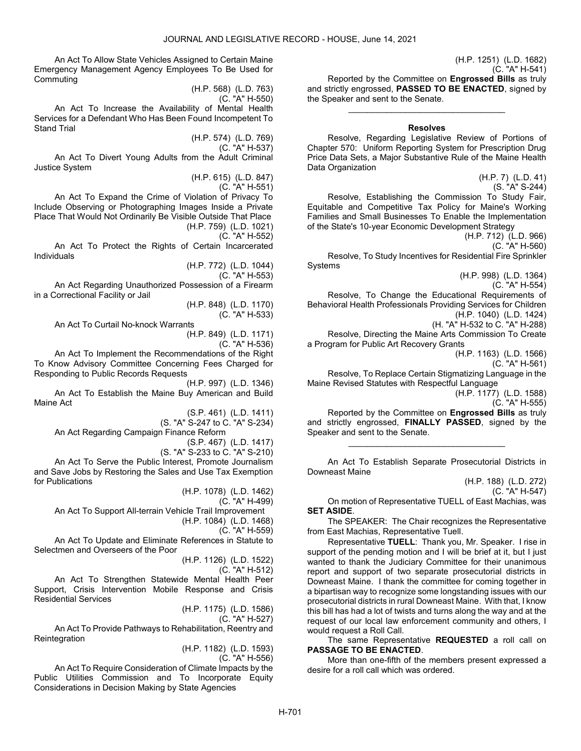An Act To Allow State Vehicles Assigned to Certain Maine Emergency Management Agency Employees To Be Used for Commuting

(H.P. 568) (L.D. 763) (C. "A" H-550)

 An Act To Increase the Availability of Mental Health Services for a Defendant Who Has Been Found Incompetent To Stand Trial

> (H.P. 574) (L.D. 769) (C. "A" H-537)

 An Act To Divert Young Adults from the Adult Criminal Justice System

> (H.P. 615) (L.D. 847) (C. "A" H-551)

 An Act To Expand the Crime of Violation of Privacy To Include Observing or Photographing Images Inside a Private Place That Would Not Ordinarily Be Visible Outside That Place (H.P. 759) (L.D. 1021)

(C. "A" H-552)

 An Act To Protect the Rights of Certain Incarcerated Individuals

(H.P. 772) (L.D. 1044)

(C. "A" H-553)

 An Act Regarding Unauthorized Possession of a Firearm in a Correctional Facility or Jail

> (H.P. 848) (L.D. 1170) (C. "A" H-533)

 An Act To Curtail No-knock Warrants (H.P. 849) (L.D. 1171)

(C. "A" H-536)

 An Act To Implement the Recommendations of the Right To Know Advisory Committee Concerning Fees Charged for Responding to Public Records Requests

(H.P. 997) (L.D. 1346) An Act To Establish the Maine Buy American and Build Maine Act

(S.P. 461) (L.D. 1411)

(S. "A" S-247 to C. "A" S-234)

An Act Regarding Campaign Finance Reform

(S.P. 467) (L.D. 1417)

(S. "A" S-233 to C. "A" S-210) An Act To Serve the Public Interest, Promote Journalism and Save Jobs by Restoring the Sales and Use Tax Exemption for Publications

(H.P. 1078) (L.D. 1462)

(C. "A" H-499)

 An Act To Support All-terrain Vehicle Trail Improvement (H.P. 1084) (L.D. 1468)

(C. "A" H-559)

 An Act To Update and Eliminate References in Statute to Selectmen and Overseers of the Poor

> (H.P. 1126) (L.D. 1522) (C. "A" H-512)

 An Act To Strengthen Statewide Mental Health Peer Support, Crisis Intervention Mobile Response and Crisis Residential Services

(H.P. 1175) (L.D. 1586)

(C. "A" H-527)

 An Act To Provide Pathways to Rehabilitation, Reentry and Reintegration

(H.P. 1182) (L.D. 1593)

(C. "A" H-556)

 An Act To Require Consideration of Climate Impacts by the Public Utilities Commission and To Incorporate Equity Considerations in Decision Making by State Agencies

(C. "A" H-541) Reported by the Committee on Engrossed Bills as truly and strictly engrossed, PASSED TO BE ENACTED, signed by the Speaker and sent to the Senate.

## Resolves

\_\_\_\_\_\_\_\_\_\_\_\_\_\_\_\_\_\_\_\_\_\_\_\_\_\_\_\_\_\_\_\_\_

 Resolve, Regarding Legislative Review of Portions of Chapter 570: Uniform Reporting System for Prescription Drug Price Data Sets, a Major Substantive Rule of the Maine Health Data Organization

> (H.P. 7) (L.D. 41) (S. "A" S-244)

(H.P. 1251) (L.D. 1682)

 Resolve, Establishing the Commission To Study Fair, Equitable and Competitive Tax Policy for Maine's Working Families and Small Businesses To Enable the Implementation of the State's 10-year Economic Development Strategy

(H.P. 712) (L.D. 966)

(C. "A" H-560) Resolve, To Study Incentives for Residential Fire Sprinkler Systems

(H.P. 998) (L.D. 1364)

(C. "A" H-554)

 Resolve, To Change the Educational Requirements of Behavioral Health Professionals Providing Services for Children (H.P. 1040) (L.D. 1424) (H. "A" H-532 to C. "A" H-288)

 Resolve, Directing the Maine Arts Commission To Create a Program for Public Art Recovery Grants

(H.P. 1163) (L.D. 1566)

(C. "A" H-561)

 Resolve, To Replace Certain Stigmatizing Language in the Maine Revised Statutes with Respectful Language

(H.P. 1177) (L.D. 1588)

(C. "A" H-555)

 Reported by the Committee on Engrossed Bills as truly and strictly engrossed, FINALLY PASSED, signed by the Speaker and sent to the Senate.

\_\_\_\_\_\_\_\_\_\_\_\_\_\_\_\_\_\_\_\_\_\_\_\_\_\_\_\_\_\_\_\_\_

 An Act To Establish Separate Prosecutorial Districts in Downeast Maine

(H.P. 188) (L.D. 272)

(C. "A" H-547)

 On motion of Representative TUELL of East Machias, was SET ASIDE.

The SPEAKER: The Chair recognizes the Representative from East Machias, Representative Tuell.

Representative TUELL: Thank you, Mr. Speaker. I rise in support of the pending motion and I will be brief at it, but I just wanted to thank the Judiciary Committee for their unanimous report and support of two separate prosecutorial districts in Downeast Maine. I thank the committee for coming together in a bipartisan way to recognize some longstanding issues with our prosecutorial districts in rural Downeast Maine. With that, I know this bill has had a lot of twists and turns along the way and at the request of our local law enforcement community and others, I would request a Roll Call.

 The same Representative REQUESTED a roll call on PASSAGE TO BE ENACTED.

 More than one-fifth of the members present expressed a desire for a roll call which was ordered.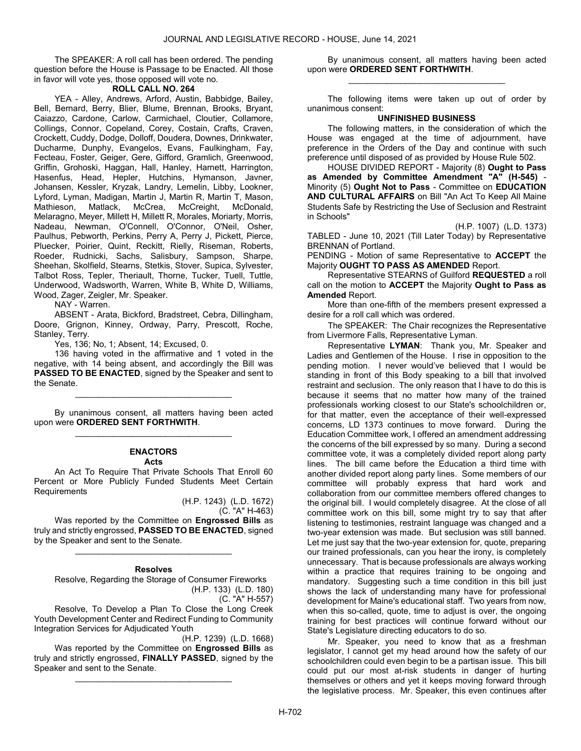The SPEAKER: A roll call has been ordered. The pending question before the House is Passage to be Enacted. All those in favor will vote yes, those opposed will vote no.

## ROLL CALL NO. 264

 YEA - Alley, Andrews, Arford, Austin, Babbidge, Bailey, Bell, Bernard, Berry, Blier, Blume, Brennan, Brooks, Bryant, Caiazzo, Cardone, Carlow, Carmichael, Cloutier, Collamore, Collings, Connor, Copeland, Corey, Costain, Crafts, Craven, Crockett, Cuddy, Dodge, Dolloff, Doudera, Downes, Drinkwater, Ducharme, Dunphy, Evangelos, Evans, Faulkingham, Fay, Fecteau, Foster, Geiger, Gere, Gifford, Gramlich, Greenwood, Griffin, Grohoski, Haggan, Hall, Hanley, Harnett, Harrington, Hasenfus, Head, Hepler, Hutchins, Hymanson, Javner, Johansen, Kessler, Kryzak, Landry, Lemelin, Libby, Lookner, Lyford, Lyman, Madigan, Martin J, Martin R, Martin T, Mason, Mathieson, Matlack, McCrea, McCreight, McDonald, Melaragno, Meyer, Millett H, Millett R, Morales, Moriarty, Morris, Nadeau, Newman, O'Connell, O'Connor, O'Neil, Osher, Paulhus, Pebworth, Perkins, Perry A, Perry J, Pickett, Pierce, Pluecker, Poirier, Quint, Reckitt, Rielly, Riseman, Roberts, Roeder, Rudnicki, Sachs, Salisbury, Sampson, Sharpe, Sheehan, Skolfield, Stearns, Stetkis, Stover, Supica, Sylvester, Talbot Ross, Tepler, Theriault, Thorne, Tucker, Tuell, Tuttle, Underwood, Wadsworth, Warren, White B, White D, Williams, Wood, Zager, Zeigler, Mr. Speaker.

NAY - Warren.

 ABSENT - Arata, Bickford, Bradstreet, Cebra, Dillingham, Doore, Grignon, Kinney, Ordway, Parry, Prescott, Roche, Stanley, Terry.

Yes, 136; No, 1; Absent, 14; Excused, 0.

 136 having voted in the affirmative and 1 voted in the negative, with 14 being absent, and accordingly the Bill was PASSED TO BE ENACTED, signed by the Speaker and sent to the Senate.

 By unanimous consent, all matters having been acted upon were ORDERED SENT FORTHWITH. \_\_\_\_\_\_\_\_\_\_\_\_\_\_\_\_\_\_\_\_\_\_\_\_\_\_\_\_\_\_\_\_\_

\_\_\_\_\_\_\_\_\_\_\_\_\_\_\_\_\_\_\_\_\_\_\_\_\_\_\_\_\_\_\_\_\_

#### ENACTORS Acts

 An Act To Require That Private Schools That Enroll 60 Percent or More Publicly Funded Students Meet Certain **Requirements** 

> (H.P. 1243) (L.D. 1672) (C. "A" H-463)

Was reported by the Committee on Engrossed Bills as truly and strictly engrossed, PASSED TO BE ENACTED, signed by the Speaker and sent to the Senate.

## Resolves

\_\_\_\_\_\_\_\_\_\_\_\_\_\_\_\_\_\_\_\_\_\_\_\_\_\_\_\_\_\_\_\_\_

 Resolve, Regarding the Storage of Consumer Fireworks (H.P. 133) (L.D. 180)

(C. "A" H-557)

 Resolve, To Develop a Plan To Close the Long Creek Youth Development Center and Redirect Funding to Community Integration Services for Adjudicated Youth

(H.P. 1239) (L.D. 1668) Was reported by the Committee on **Engrossed Bills** as truly and strictly engrossed, FINALLY PASSED, signed by the Speaker and sent to the Senate.

\_\_\_\_\_\_\_\_\_\_\_\_\_\_\_\_\_\_\_\_\_\_\_\_\_\_\_\_\_\_\_\_\_

 By unanimous consent, all matters having been acted upon were ORDERED SENT FORTHWITH. \_\_\_\_\_\_\_\_\_\_\_\_\_\_\_\_\_\_\_\_\_\_\_\_\_\_\_\_\_\_\_\_\_

 The following items were taken up out of order by unanimous consent:

## UNFINISHED BUSINESS

 The following matters, in the consideration of which the House was engaged at the time of adjournment, have preference in the Orders of the Day and continue with such preference until disposed of as provided by House Rule 502.

 HOUSE DIVIDED REPORT - Majority (8) Ought to Pass as Amended by Committee Amendment "A" (H-545) - Minority (5) Ought Not to Pass - Committee on EDUCATION AND CULTURAL AFFAIRS on Bill "An Act To Keep All Maine Students Safe by Restricting the Use of Seclusion and Restraint in Schools"

(H.P. 1007) (L.D. 1373)

TABLED - June 10, 2021 (Till Later Today) by Representative BRENNAN of Portland.

PENDING - Motion of same Representative to ACCEPT the Majority OUGHT TO PASS AS AMENDED Report.

 Representative STEARNS of Guilford REQUESTED a roll call on the motion to **ACCEPT** the Majority **Ought to Pass as** Amended Report.

 More than one-fifth of the members present expressed a desire for a roll call which was ordered.

The SPEAKER: The Chair recognizes the Representative from Livermore Falls, Representative Lyman.

Representative LYMAN: Thank you, Mr. Speaker and Ladies and Gentlemen of the House. I rise in opposition to the pending motion. I never would've believed that I would be standing in front of this Body speaking to a bill that involved restraint and seclusion. The only reason that I have to do this is because it seems that no matter how many of the trained professionals working closest to our State's schoolchildren or, for that matter, even the acceptance of their well-expressed concerns, LD 1373 continues to move forward. During the Education Committee work, I offered an amendment addressing the concerns of the bill expressed by so many. During a second committee vote, it was a completely divided report along party lines. The bill came before the Education a third time with another divided report along party lines. Some members of our committee will probably express that hard work and collaboration from our committee members offered changes to the original bill. I would completely disagree. At the close of all committee work on this bill, some might try to say that after listening to testimonies, restraint language was changed and a two-year extension was made. But seclusion was still banned. Let me just say that the two-year extension for, quote, preparing our trained professionals, can you hear the irony, is completely unnecessary. That is because professionals are always working within a practice that requires training to be ongoing and mandatory. Suggesting such a time condition in this bill just shows the lack of understanding many have for professional development for Maine's educational staff. Two years from now, when this so-called, quote, time to adjust is over, the ongoing training for best practices will continue forward without our State's Legislature directing educators to do so.

Mr. Speaker, you need to know that as a freshman legislator, I cannot get my head around how the safety of our schoolchildren could even begin to be a partisan issue. This bill could put our most at-risk students in danger of hurting themselves or others and yet it keeps moving forward through the legislative process. Mr. Speaker, this even continues after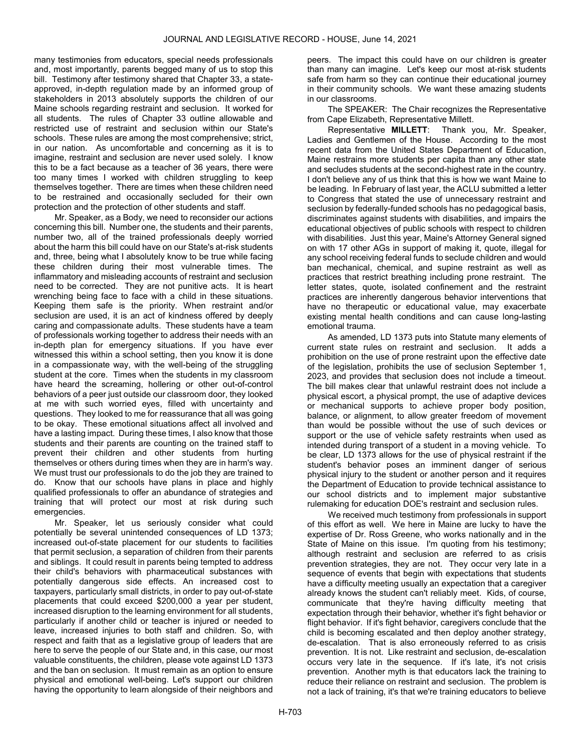many testimonies from educators, special needs professionals and, most importantly, parents begged many of us to stop this bill. Testimony after testimony shared that Chapter 33, a stateapproved, in-depth regulation made by an informed group of stakeholders in 2013 absolutely supports the children of our Maine schools regarding restraint and seclusion. It worked for all students. The rules of Chapter 33 outline allowable and restricted use of restraint and seclusion within our State's schools. These rules are among the most comprehensive; strict, in our nation. As uncomfortable and concerning as it is to imagine, restraint and seclusion are never used solely. I know this to be a fact because as a teacher of 36 years, there were too many times I worked with children struggling to keep themselves together. There are times when these children need to be restrained and occasionally secluded for their own protection and the protection of other students and staff.

Mr. Speaker, as a Body, we need to reconsider our actions concerning this bill. Number one, the students and their parents, number two, all of the trained professionals deeply worried about the harm this bill could have on our State's at-risk students and, three, being what I absolutely know to be true while facing these children during their most vulnerable times. The inflammatory and misleading accounts of restraint and seclusion need to be corrected. They are not punitive acts. It is heart wrenching being face to face with a child in these situations. Keeping them safe is the priority. When restraint and/or seclusion are used, it is an act of kindness offered by deeply caring and compassionate adults. These students have a team of professionals working together to address their needs with an in-depth plan for emergency situations. If you have ever witnessed this within a school setting, then you know it is done in a compassionate way, with the well-being of the struggling student at the core. Times when the students in my classroom have heard the screaming, hollering or other out-of-control behaviors of a peer just outside our classroom door, they looked at me with such worried eyes, filled with uncertainty and questions. They looked to me for reassurance that all was going to be okay. These emotional situations affect all involved and have a lasting impact. During these times, I also know that those students and their parents are counting on the trained staff to prevent their children and other students from hurting themselves or others during times when they are in harm's way. We must trust our professionals to do the job they are trained to do. Know that our schools have plans in place and highly qualified professionals to offer an abundance of strategies and training that will protect our most at risk during such emergencies.

Mr. Speaker, let us seriously consider what could potentially be several unintended consequences of LD 1373; increased out-of-state placement for our students to facilities that permit seclusion, a separation of children from their parents and siblings. It could result in parents being tempted to address their child's behaviors with pharmaceutical substances with potentially dangerous side effects. An increased cost to taxpayers, particularly small districts, in order to pay out-of-state placements that could exceed \$200,000 a year per student, increased disruption to the learning environment for all students, particularly if another child or teacher is injured or needed to leave, increased injuries to both staff and children. So, with respect and faith that as a legislative group of leaders that are here to serve the people of our State and, in this case, our most valuable constituents, the children, please vote against LD 1373 and the ban on seclusion. It must remain as an option to ensure physical and emotional well-being. Let's support our children having the opportunity to learn alongside of their neighbors and

peers. The impact this could have on our children is greater than many can imagine. Let's keep our most at-risk students safe from harm so they can continue their educational journey in their community schools. We want these amazing students in our classrooms.

The SPEAKER: The Chair recognizes the Representative from Cape Elizabeth, Representative Millett.

Representative MILLETT: Thank you, Mr. Speaker, Ladies and Gentlemen of the House. According to the most recent data from the United States Department of Education, Maine restrains more students per capita than any other state and secludes students at the second-highest rate in the country. I don't believe any of us think that this is how we want Maine to be leading. In February of last year, the ACLU submitted a letter to Congress that stated the use of unnecessary restraint and seclusion by federally-funded schools has no pedagogical basis, discriminates against students with disabilities, and impairs the educational objectives of public schools with respect to children with disabilities. Just this year, Maine's Attorney General signed on with 17 other AGs in support of making it, quote, illegal for any school receiving federal funds to seclude children and would ban mechanical, chemical, and supine restraint as well as practices that restrict breathing including prone restraint. The letter states, quote, isolated confinement and the restraint practices are inherently dangerous behavior interventions that have no therapeutic or educational value, may exacerbate existing mental health conditions and can cause long-lasting emotional trauma.

As amended, LD 1373 puts into Statute many elements of current state rules on restraint and seclusion. It adds a prohibition on the use of prone restraint upon the effective date of the legislation, prohibits the use of seclusion September 1, 2023, and provides that seclusion does not include a timeout. The bill makes clear that unlawful restraint does not include a physical escort, a physical prompt, the use of adaptive devices or mechanical supports to achieve proper body position, balance, or alignment, to allow greater freedom of movement than would be possible without the use of such devices or support or the use of vehicle safety restraints when used as intended during transport of a student in a moving vehicle. To be clear, LD 1373 allows for the use of physical restraint if the student's behavior poses an imminent danger of serious physical injury to the student or another person and it requires the Department of Education to provide technical assistance to our school districts and to implement major substantive rulemaking for education DOE's restraint and seclusion rules.

We received much testimony from professionals in support of this effort as well. We here in Maine are lucky to have the expertise of Dr. Ross Greene, who works nationally and in the State of Maine on this issue. I'm quoting from his testimony; although restraint and seclusion are referred to as crisis prevention strategies, they are not. They occur very late in a sequence of events that begin with expectations that students have a difficulty meeting usually an expectation that a caregiver already knows the student can't reliably meet. Kids, of course, communicate that they're having difficulty meeting that expectation through their behavior, whether it's fight behavior or flight behavior. If it's fight behavior, caregivers conclude that the child is becoming escalated and then deploy another strategy, de-escalation. That is also erroneously referred to as crisis prevention. It is not. Like restraint and seclusion, de-escalation occurs very late in the sequence. If it's late, it's not crisis prevention. Another myth is that educators lack the training to reduce their reliance on restraint and seclusion. The problem is not a lack of training, it's that we're training educators to believe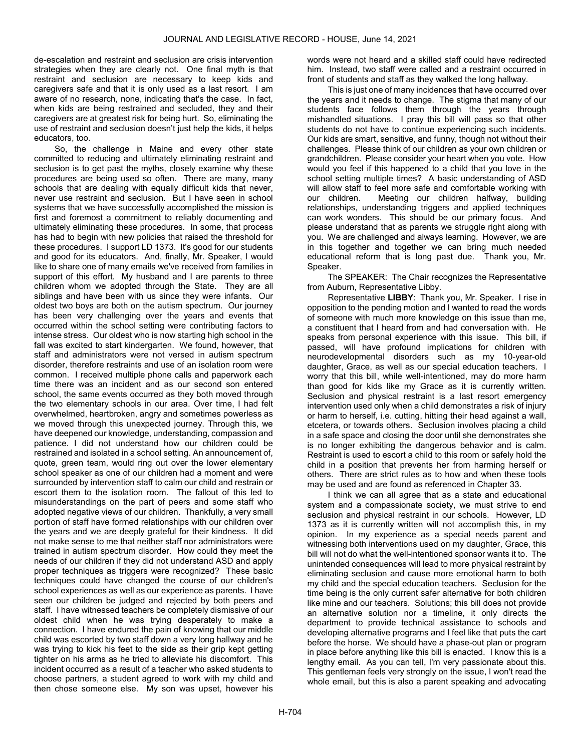de-escalation and restraint and seclusion are crisis intervention strategies when they are clearly not. One final myth is that restraint and seclusion are necessary to keep kids and caregivers safe and that it is only used as a last resort. I am aware of no research, none, indicating that's the case. In fact, when kids are being restrained and secluded, they and their caregivers are at greatest risk for being hurt. So, eliminating the use of restraint and seclusion doesn't just help the kids, it helps educators, too.

So, the challenge in Maine and every other state committed to reducing and ultimately eliminating restraint and seclusion is to get past the myths, closely examine why these procedures are being used so often. There are many, many schools that are dealing with equally difficult kids that never, never use restraint and seclusion. But I have seen in school systems that we have successfully accomplished the mission is first and foremost a commitment to reliably documenting and ultimately eliminating these procedures. In some, that process has had to begin with new policies that raised the threshold for these procedures. I support LD 1373. It's good for our students and good for its educators. And, finally, Mr. Speaker, I would like to share one of many emails we've received from families in support of this effort. My husband and I are parents to three children whom we adopted through the State. They are all siblings and have been with us since they were infants. Our oldest two boys are both on the autism spectrum. Our journey has been very challenging over the years and events that occurred within the school setting were contributing factors to intense stress. Our oldest who is now starting high school in the fall was excited to start kindergarten. We found, however, that staff and administrators were not versed in autism spectrum disorder, therefore restraints and use of an isolation room were common. I received multiple phone calls and paperwork each time there was an incident and as our second son entered school, the same events occurred as they both moved through the two elementary schools in our area. Over time, I had felt overwhelmed, heartbroken, angry and sometimes powerless as we moved through this unexpected journey. Through this, we have deepened our knowledge, understanding, compassion and patience. I did not understand how our children could be restrained and isolated in a school setting. An announcement of, quote, green team, would ring out over the lower elementary school speaker as one of our children had a moment and were surrounded by intervention staff to calm our child and restrain or escort them to the isolation room. The fallout of this led to misunderstandings on the part of peers and some staff who adopted negative views of our children. Thankfully, a very small portion of staff have formed relationships with our children over the years and we are deeply grateful for their kindness. It did not make sense to me that neither staff nor administrators were trained in autism spectrum disorder. How could they meet the needs of our children if they did not understand ASD and apply proper techniques as triggers were recognized? These basic techniques could have changed the course of our children's school experiences as well as our experience as parents. I have seen our children be judged and rejected by both peers and staff. I have witnessed teachers be completely dismissive of our oldest child when he was trying desperately to make a connection. I have endured the pain of knowing that our middle child was escorted by two staff down a very long hallway and he was trying to kick his feet to the side as their grip kept getting tighter on his arms as he tried to alleviate his discomfort. This incident occurred as a result of a teacher who asked students to choose partners, a student agreed to work with my child and then chose someone else. My son was upset, however his

words were not heard and a skilled staff could have redirected him. Instead, two staff were called and a restraint occurred in front of students and staff as they walked the long hallway.

This is just one of many incidences that have occurred over the years and it needs to change. The stigma that many of our students face follows them through the years through mishandled situations. I pray this bill will pass so that other students do not have to continue experiencing such incidents. Our kids are smart, sensitive, and funny, though not without their challenges. Please think of our children as your own children or grandchildren. Please consider your heart when you vote. How would you feel if this happened to a child that you love in the school setting multiple times? A basic understanding of ASD will allow staff to feel more safe and comfortable working with our children. Meeting our children halfway, building relationships, understanding triggers and applied techniques can work wonders. This should be our primary focus. And please understand that as parents we struggle right along with you. We are challenged and always learning. However, we are in this together and together we can bring much needed educational reform that is long past due. Thank you, Mr. Speaker.

The SPEAKER: The Chair recognizes the Representative from Auburn, Representative Libby.

Representative LIBBY: Thank you, Mr. Speaker. I rise in opposition to the pending motion and I wanted to read the words of someone with much more knowledge on this issue than me, a constituent that I heard from and had conversation with. He speaks from personal experience with this issue. This bill, if passed, will have profound implications for children with neurodevelopmental disorders such as my 10-year-old daughter, Grace, as well as our special education teachers. I worry that this bill, while well-intentioned, may do more harm than good for kids like my Grace as it is currently written. Seclusion and physical restraint is a last resort emergency intervention used only when a child demonstrates a risk of injury or harm to herself, i.e. cutting, hitting their head against a wall, etcetera, or towards others. Seclusion involves placing a child in a safe space and closing the door until she demonstrates she is no longer exhibiting the dangerous behavior and is calm. Restraint is used to escort a child to this room or safely hold the child in a position that prevents her from harming herself or others. There are strict rules as to how and when these tools may be used and are found as referenced in Chapter 33.

I think we can all agree that as a state and educational system and a compassionate society, we must strive to end seclusion and physical restraint in our schools. However, LD 1373 as it is currently written will not accomplish this, in my opinion. In my experience as a special needs parent and witnessing both interventions used on my daughter, Grace, this bill will not do what the well-intentioned sponsor wants it to. The unintended consequences will lead to more physical restraint by eliminating seclusion and cause more emotional harm to both my child and the special education teachers. Seclusion for the time being is the only current safer alternative for both children like mine and our teachers. Solutions; this bill does not provide an alternative solution nor a timeline, it only directs the department to provide technical assistance to schools and developing alternative programs and I feel like that puts the cart before the horse. We should have a phase-out plan or program in place before anything like this bill is enacted. I know this is a lengthy email. As you can tell, I'm very passionate about this. This gentleman feels very strongly on the issue, I won't read the whole email, but this is also a parent speaking and advocating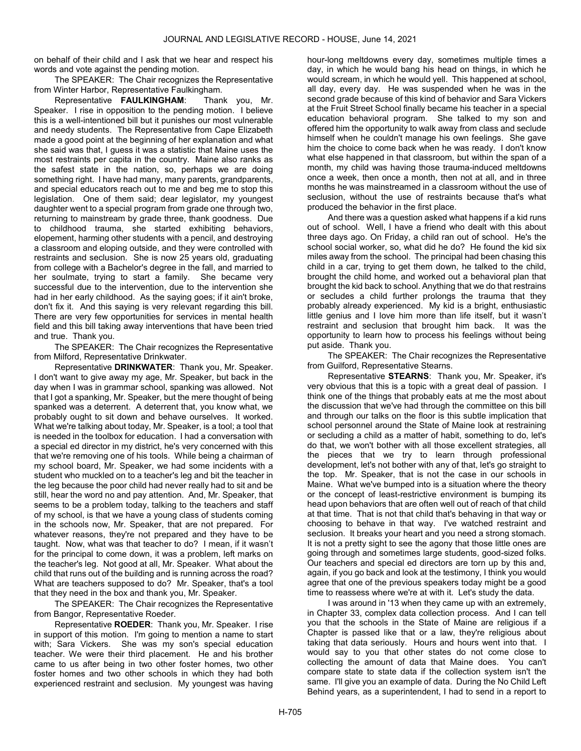on behalf of their child and I ask that we hear and respect his words and vote against the pending motion.

The SPEAKER: The Chair recognizes the Representative from Winter Harbor, Representative Faulkingham.

Representative FAULKINGHAM: Thank you, Mr. Speaker. I rise in opposition to the pending motion. I believe this is a well-intentioned bill but it punishes our most vulnerable and needy students. The Representative from Cape Elizabeth made a good point at the beginning of her explanation and what she said was that, I guess it was a statistic that Maine uses the most restraints per capita in the country. Maine also ranks as the safest state in the nation, so, perhaps we are doing something right. I have had many, many parents, grandparents, and special educators reach out to me and beg me to stop this legislation. One of them said; dear legislator, my youngest daughter went to a special program from grade one through two, returning to mainstream by grade three, thank goodness. Due to childhood trauma, she started exhibiting behaviors, elopement, harming other students with a pencil, and destroying a classroom and eloping outside, and they were controlled with restraints and seclusion. She is now 25 years old, graduating from college with a Bachelor's degree in the fall, and married to her soulmate, trying to start a family. She became very successful due to the intervention, due to the intervention she had in her early childhood. As the saying goes; if it ain't broke, don't fix it. And this saying is very relevant regarding this bill. There are very few opportunities for services in mental health field and this bill taking away interventions that have been tried and true. Thank you.

The SPEAKER: The Chair recognizes the Representative from Milford, Representative Drinkwater.

Representative DRINKWATER: Thank you, Mr. Speaker. I don't want to give away my age, Mr. Speaker, but back in the day when I was in grammar school, spanking was allowed. Not that I got a spanking, Mr. Speaker, but the mere thought of being spanked was a deterrent. A deterrent that, you know what, we probably ought to sit down and behave ourselves. It worked. What we're talking about today, Mr. Speaker, is a tool; a tool that is needed in the toolbox for education. I had a conversation with a special ed director in my district, he's very concerned with this that we're removing one of his tools. While being a chairman of my school board, Mr. Speaker, we had some incidents with a student who muckled on to a teacher's leg and bit the teacher in the leg because the poor child had never really had to sit and be still, hear the word no and pay attention. And, Mr. Speaker, that seems to be a problem today, talking to the teachers and staff of my school, is that we have a young class of students coming in the schools now, Mr. Speaker, that are not prepared. For whatever reasons, they're not prepared and they have to be taught. Now, what was that teacher to do? I mean, if it wasn't for the principal to come down, it was a problem, left marks on the teacher's leg. Not good at all, Mr. Speaker. What about the child that runs out of the building and is running across the road? What are teachers supposed to do? Mr. Speaker, that's a tool that they need in the box and thank you, Mr. Speaker.

The SPEAKER: The Chair recognizes the Representative from Bangor, Representative Roeder.

Representative ROEDER: Thank you, Mr. Speaker. I rise in support of this motion. I'm going to mention a name to start with; Sara Vickers. She was my son's special education teacher. We were their third placement. He and his brother came to us after being in two other foster homes, two other foster homes and two other schools in which they had both experienced restraint and seclusion. My youngest was having

hour-long meltdowns every day, sometimes multiple times a day, in which he would bang his head on things, in which he would scream, in which he would yell. This happened at school, all day, every day. He was suspended when he was in the second grade because of this kind of behavior and Sara Vickers at the Fruit Street School finally became his teacher in a special education behavioral program. She talked to my son and offered him the opportunity to walk away from class and seclude himself when he couldn't manage his own feelings. She gave him the choice to come back when he was ready. I don't know what else happened in that classroom, but within the span of a month, my child was having those trauma-induced meltdowns once a week, then once a month, then not at all, and in three months he was mainstreamed in a classroom without the use of seclusion, without the use of restraints because that's what produced the behavior in the first place.

And there was a question asked what happens if a kid runs out of school. Well, I have a friend who dealt with this about three days ago. On Friday, a child ran out of school. He's the school social worker, so, what did he do? He found the kid six miles away from the school. The principal had been chasing this child in a car, trying to get them down, he talked to the child, brought the child home, and worked out a behavioral plan that brought the kid back to school. Anything that we do that restrains or secludes a child further prolongs the trauma that they probably already experienced. My kid is a bright, enthusiastic little genius and I love him more than life itself, but it wasn't restraint and seclusion that brought him back. It was the opportunity to learn how to process his feelings without being put aside. Thank you.

The SPEAKER: The Chair recognizes the Representative from Guilford, Representative Stearns.

Representative STEARNS: Thank you, Mr. Speaker, it's very obvious that this is a topic with a great deal of passion. I think one of the things that probably eats at me the most about the discussion that we've had through the committee on this bill and through our talks on the floor is this subtle implication that school personnel around the State of Maine look at restraining or secluding a child as a matter of habit, something to do, let's do that, we won't bother with all those excellent strategies, all the pieces that we try to learn through professional development, let's not bother with any of that, let's go straight to the top. Mr. Speaker, that is not the case in our schools in Maine. What we've bumped into is a situation where the theory or the concept of least-restrictive environment is bumping its head upon behaviors that are often well out of reach of that child at that time. That is not that child that's behaving in that way or choosing to behave in that way. I've watched restraint and seclusion. It breaks your heart and you need a strong stomach. It is not a pretty sight to see the agony that those little ones are going through and sometimes large students, good-sized folks. Our teachers and special ed directors are torn up by this and, again, if you go back and look at the testimony, I think you would agree that one of the previous speakers today might be a good time to reassess where we're at with it. Let's study the data.

I was around in '13 when they came up with an extremely, in Chapter 33, complex data collection process. And I can tell you that the schools in the State of Maine are religious if a Chapter is passed like that or a law, they're religious about taking that data seriously. Hours and hours went into that. I would say to you that other states do not come close to collecting the amount of data that Maine does. You can't compare state to state data if the collection system isn't the same. I'll give you an example of data. During the No Child Left Behind years, as a superintendent, I had to send in a report to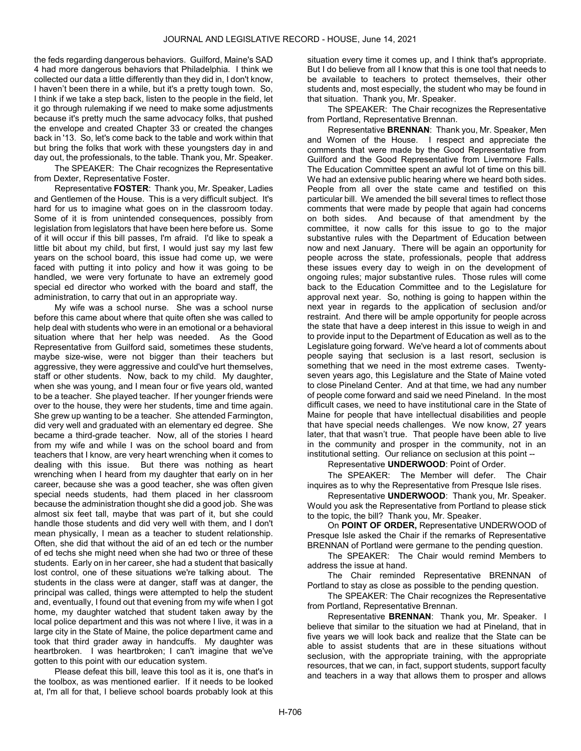the feds regarding dangerous behaviors. Guilford, Maine's SAD 4 had more dangerous behaviors that Philadelphia. I think we collected our data a little differently than they did in, I don't know, I haven't been there in a while, but it's a pretty tough town. So, I think if we take a step back, listen to the people in the field, let it go through rulemaking if we need to make some adjustments because it's pretty much the same advocacy folks, that pushed the envelope and created Chapter 33 or created the changes back in '13. So, let's come back to the table and work within that but bring the folks that work with these youngsters day in and day out, the professionals, to the table. Thank you, Mr. Speaker.

The SPEAKER: The Chair recognizes the Representative from Dexter, Representative Foster.

Representative FOSTER: Thank you, Mr. Speaker, Ladies and Gentlemen of the House. This is a very difficult subject. It's hard for us to imagine what goes on in the classroom today. Some of it is from unintended consequences, possibly from legislation from legislators that have been here before us. Some of it will occur if this bill passes, I'm afraid. I'd like to speak a little bit about my child, but first, I would just say my last few years on the school board, this issue had come up, we were faced with putting it into policy and how it was going to be handled, we were very fortunate to have an extremely good special ed director who worked with the board and staff, the administration, to carry that out in an appropriate way.

My wife was a school nurse. She was a school nurse before this came about where that quite often she was called to help deal with students who were in an emotional or a behavioral situation where that her help was needed. As the Good Representative from Guilford said, sometimes these students, maybe size-wise, were not bigger than their teachers but aggressive, they were aggressive and could've hurt themselves, staff or other students. Now, back to my child. My daughter, when she was young, and I mean four or five years old, wanted to be a teacher. She played teacher. If her younger friends were over to the house, they were her students, time and time again. She grew up wanting to be a teacher. She attended Farmington, did very well and graduated with an elementary ed degree. She became a third-grade teacher. Now, all of the stories I heard from my wife and while I was on the school board and from teachers that I know, are very heart wrenching when it comes to dealing with this issue. But there was nothing as heart wrenching when I heard from my daughter that early on in her career, because she was a good teacher, she was often given special needs students, had them placed in her classroom because the administration thought she did a good job. She was almost six feet tall, maybe that was part of it, but she could handle those students and did very well with them, and I don't mean physically, I mean as a teacher to student relationship. Often, she did that without the aid of an ed tech or the number of ed techs she might need when she had two or three of these students. Early on in her career, she had a student that basically lost control, one of these situations we're talking about. The students in the class were at danger, staff was at danger, the principal was called, things were attempted to help the student and, eventually, I found out that evening from my wife when I got home, my daughter watched that student taken away by the local police department and this was not where I live, it was in a large city in the State of Maine, the police department came and took that third grader away in handcuffs. My daughter was heartbroken. I was heartbroken; I can't imagine that we've gotten to this point with our education system.

Please defeat this bill, leave this tool as it is, one that's in the toolbox, as was mentioned earlier. If it needs to be looked at, I'm all for that, I believe school boards probably look at this

situation every time it comes up, and I think that's appropriate. But I do believe from all I know that this is one tool that needs to be available to teachers to protect themselves, their other students and, most especially, the student who may be found in that situation. Thank you, Mr. Speaker.

The SPEAKER: The Chair recognizes the Representative from Portland, Representative Brennan.

Representative BRENNAN: Thank you, Mr. Speaker, Men and Women of the House. I respect and appreciate the comments that were made by the Good Representative from Guilford and the Good Representative from Livermore Falls. The Education Committee spent an awful lot of time on this bill. We had an extensive public hearing where we heard both sides. People from all over the state came and testified on this particular bill. We amended the bill several times to reflect those comments that were made by people that again had concerns on both sides. And because of that amendment by the committee, it now calls for this issue to go to the major substantive rules with the Department of Education between now and next January. There will be again an opportunity for people across the state, professionals, people that address these issues every day to weigh in on the development of ongoing rules; major substantive rules. Those rules will come back to the Education Committee and to the Legislature for approval next year. So, nothing is going to happen within the next year in regards to the application of seclusion and/or restraint. And there will be ample opportunity for people across the state that have a deep interest in this issue to weigh in and to provide input to the Department of Education as well as to the Legislature going forward. We've heard a lot of comments about people saying that seclusion is a last resort, seclusion is something that we need in the most extreme cases. Twentyseven years ago, this Legislature and the State of Maine voted to close Pineland Center. And at that time, we had any number of people come forward and said we need Pineland. In the most difficult cases, we need to have institutional care in the State of Maine for people that have intellectual disabilities and people that have special needs challenges. We now know, 27 years later, that that wasn't true. That people have been able to live in the community and prosper in the community, not in an institutional setting. Our reliance on seclusion at this point --

Representative UNDERWOOD: Point of Order.

The SPEAKER: The Member will defer. The Chair inquires as to why the Representative from Presque Isle rises.

Representative UNDERWOOD: Thank you, Mr. Speaker. Would you ask the Representative from Portland to please stick to the topic, the bill? Thank you, Mr. Speaker.

 On POINT OF ORDER, Representative UNDERWOOD of Presque Isle asked the Chair if the remarks of Representative BRENNAN of Portland were germane to the pending question.

The SPEAKER: The Chair would remind Members to address the issue at hand.

 The Chair reminded Representative BRENNAN of Portland to stay as close as possible to the pending question.

 The SPEAKER: The Chair recognizes the Representative from Portland, Representative Brennan.

Representative BRENNAN: Thank you, Mr. Speaker. I believe that similar to the situation we had at Pineland, that in five years we will look back and realize that the State can be able to assist students that are in these situations without seclusion, with the appropriate training, with the appropriate resources, that we can, in fact, support students, support faculty and teachers in a way that allows them to prosper and allows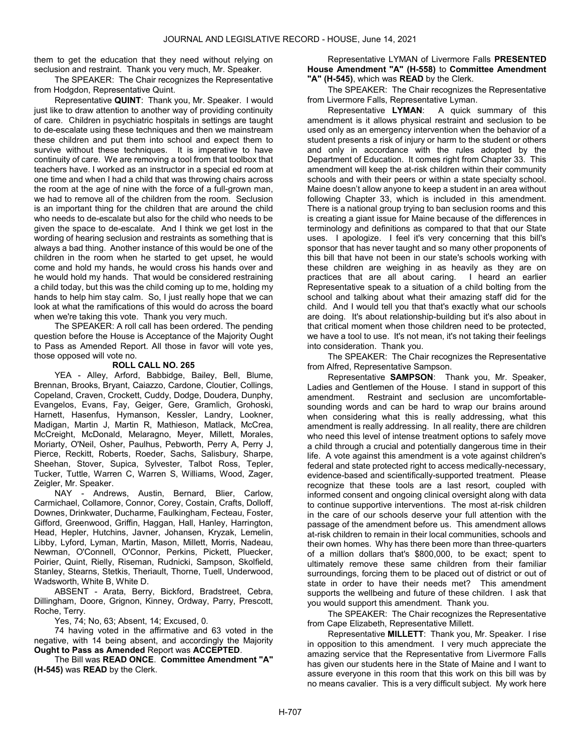them to get the education that they need without relying on seclusion and restraint. Thank you very much, Mr. Speaker.

The SPEAKER: The Chair recognizes the Representative from Hodgdon, Representative Quint.

Representative QUINT: Thank you, Mr. Speaker. I would just like to draw attention to another way of providing continuity of care. Children in psychiatric hospitals in settings are taught to de-escalate using these techniques and then we mainstream these children and put them into school and expect them to survive without these techniques. It is imperative to have continuity of care. We are removing a tool from that toolbox that teachers have. I worked as an instructor in a special ed room at one time and when I had a child that was throwing chairs across the room at the age of nine with the force of a full-grown man, we had to remove all of the children from the room. Seclusion is an important thing for the children that are around the child who needs to de-escalate but also for the child who needs to be given the space to de-escalate. And I think we get lost in the wording of hearing seclusion and restraints as something that is always a bad thing. Another instance of this would be one of the children in the room when he started to get upset, he would come and hold my hands, he would cross his hands over and he would hold my hands. That would be considered restraining a child today, but this was the child coming up to me, holding my hands to help him stay calm. So, I just really hope that we can look at what the ramifications of this would do across the board when we're taking this vote. Thank you very much.

 The SPEAKER: A roll call has been ordered. The pending question before the House is Acceptance of the Majority Ought to Pass as Amended Report. All those in favor will vote yes, those opposed will vote no.

## ROLL CALL NO. 265

 YEA - Alley, Arford, Babbidge, Bailey, Bell, Blume, Brennan, Brooks, Bryant, Caiazzo, Cardone, Cloutier, Collings, Copeland, Craven, Crockett, Cuddy, Dodge, Doudera, Dunphy, Evangelos, Evans, Fay, Geiger, Gere, Gramlich, Grohoski, Harnett, Hasenfus, Hymanson, Kessler, Landry, Lookner, Madigan, Martin J, Martin R, Mathieson, Matlack, McCrea, McCreight, McDonald, Melaragno, Meyer, Millett, Morales, Moriarty, O'Neil, Osher, Paulhus, Pebworth, Perry A, Perry J, Pierce, Reckitt, Roberts, Roeder, Sachs, Salisbury, Sharpe, Sheehan, Stover, Supica, Sylvester, Talbot Ross, Tepler, Tucker, Tuttle, Warren C, Warren S, Williams, Wood, Zager, Zeigler, Mr. Speaker.

 NAY - Andrews, Austin, Bernard, Blier, Carlow, Carmichael, Collamore, Connor, Corey, Costain, Crafts, Dolloff, Downes, Drinkwater, Ducharme, Faulkingham, Fecteau, Foster, Gifford, Greenwood, Griffin, Haggan, Hall, Hanley, Harrington, Head, Hepler, Hutchins, Javner, Johansen, Kryzak, Lemelin, Libby, Lyford, Lyman, Martin, Mason, Millett, Morris, Nadeau, Newman, O'Connell, O'Connor, Perkins, Pickett, Pluecker, Poirier, Quint, Rielly, Riseman, Rudnicki, Sampson, Skolfield, Stanley, Stearns, Stetkis, Theriault, Thorne, Tuell, Underwood, Wadsworth, White B, White D.

 ABSENT - Arata, Berry, Bickford, Bradstreet, Cebra, Dillingham, Doore, Grignon, Kinney, Ordway, Parry, Prescott, Roche, Terry.

Yes, 74; No, 63; Absent, 14; Excused, 0.

 74 having voted in the affirmative and 63 voted in the negative, with 14 being absent, and accordingly the Majority Ought to Pass as Amended Report was ACCEPTED.

 The Bill was READ ONCE. Committee Amendment "A" (H-545) was READ by the Clerk.

 Representative LYMAN of Livermore Falls PRESENTED House Amendment "A" (H-558) to Committee Amendment "A" (H-545), which was READ by the Clerk.

The SPEAKER: The Chair recognizes the Representative from Livermore Falls, Representative Lyman.

Representative LYMAN: A quick summary of this amendment is it allows physical restraint and seclusion to be used only as an emergency intervention when the behavior of a student presents a risk of injury or harm to the student or others and only in accordance with the rules adopted by the Department of Education. It comes right from Chapter 33. This amendment will keep the at-risk children within their community schools and with their peers or within a state specialty school. Maine doesn't allow anyone to keep a student in an area without following Chapter 33, which is included in this amendment. There is a national group trying to ban seclusion rooms and this is creating a giant issue for Maine because of the differences in terminology and definitions as compared to that that our State uses. I apologize. I feel it's very concerning that this bill's sponsor that has never taught and so many other proponents of this bill that have not been in our state's schools working with these children are weighing in as heavily as they are on practices that are all about caring. I heard an earlier Representative speak to a situation of a child bolting from the school and talking about what their amazing staff did for the child. And I would tell you that that's exactly what our schools are doing. It's about relationship-building but it's also about in that critical moment when those children need to be protected, we have a tool to use. It's not mean, it's not taking their feelings into consideration. Thank you.

The SPEAKER: The Chair recognizes the Representative from Alfred, Representative Sampson.

Representative SAMPSON: Thank you, Mr. Speaker, Ladies and Gentlemen of the House. I stand in support of this amendment. Restraint and seclusion are uncomfortablesounding words and can be hard to wrap our brains around when considering what this is really addressing, what this amendment is really addressing. In all reality, there are children who need this level of intense treatment options to safely move a child through a crucial and potentially dangerous time in their life. A vote against this amendment is a vote against children's federal and state protected right to access medically-necessary, evidence-based and scientifically-supported treatment. Please recognize that these tools are a last resort, coupled with informed consent and ongoing clinical oversight along with data to continue supportive interventions. The most at-risk children in the care of our schools deserve your full attention with the passage of the amendment before us. This amendment allows at-risk children to remain in their local communities, schools and their own homes. Why has there been more than three-quarters of a million dollars that's \$800,000, to be exact; spent to ultimately remove these same children from their familiar surroundings, forcing them to be placed out of district or out of state in order to have their needs met? This amendment supports the wellbeing and future of these children. I ask that you would support this amendment. Thank you.

The SPEAKER: The Chair recognizes the Representative from Cape Elizabeth, Representative Millett.

Representative MILLETT: Thank you, Mr. Speaker. I rise in opposition to this amendment. I very much appreciate the amazing service that the Representative from Livermore Falls has given our students here in the State of Maine and I want to assure everyone in this room that this work on this bill was by no means cavalier. This is a very difficult subject. My work here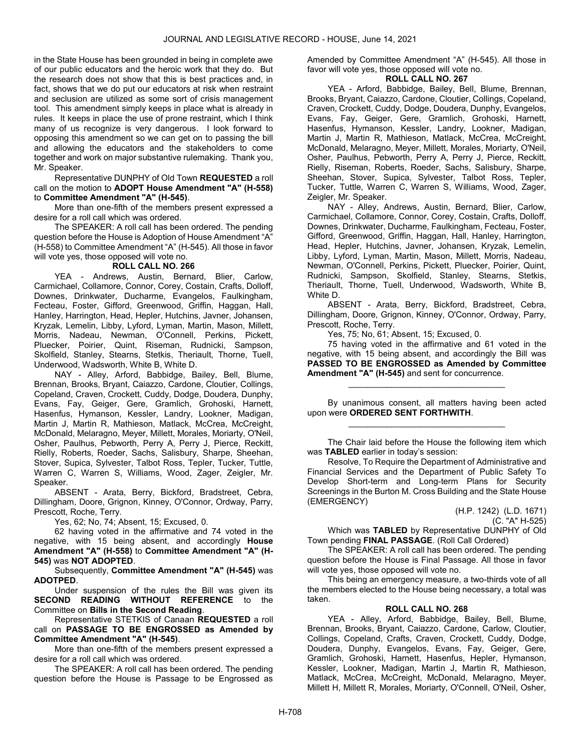in the State House has been grounded in being in complete awe of our public educators and the heroic work that they do. But the research does not show that this is best practices and, in fact, shows that we do put our educators at risk when restraint and seclusion are utilized as some sort of crisis management tool. This amendment simply keeps in place what is already in rules. It keeps in place the use of prone restraint, which I think many of us recognize is very dangerous. I look forward to opposing this amendment so we can get on to passing the bill and allowing the educators and the stakeholders to come together and work on major substantive rulemaking. Thank you, Mr. Speaker.

 Representative DUNPHY of Old Town REQUESTED a roll call on the motion to ADOPT House Amendment "A" (H-558) to Committee Amendment "A" (H-545).

 More than one-fifth of the members present expressed a desire for a roll call which was ordered.

 The SPEAKER: A roll call has been ordered. The pending question before the House is Adoption of House Amendment "A" (H-558) to Committee Amendment "A" (H-545). All those in favor will vote yes, those opposed will vote no.

## ROLL CALL NO. 266

 YEA - Andrews, Austin, Bernard, Blier, Carlow, Carmichael, Collamore, Connor, Corey, Costain, Crafts, Dolloff, Downes, Drinkwater, Ducharme, Evangelos, Faulkingham, Fecteau, Foster, Gifford, Greenwood, Griffin, Haggan, Hall, Hanley, Harrington, Head, Hepler, Hutchins, Javner, Johansen, Kryzak, Lemelin, Libby, Lyford, Lyman, Martin, Mason, Millett, Morris, Nadeau, Newman, O'Connell, Perkins, Pickett, Pluecker, Poirier, Quint, Riseman, Rudnicki, Sampson, Skolfield, Stanley, Stearns, Stetkis, Theriault, Thorne, Tuell, Underwood, Wadsworth, White B, White D.

 NAY - Alley, Arford, Babbidge, Bailey, Bell, Blume, Brennan, Brooks, Bryant, Caiazzo, Cardone, Cloutier, Collings, Copeland, Craven, Crockett, Cuddy, Dodge, Doudera, Dunphy, Evans, Fay, Geiger, Gere, Gramlich, Grohoski, Harnett, Hasenfus, Hymanson, Kessler, Landry, Lookner, Madigan, Martin J, Martin R, Mathieson, Matlack, McCrea, McCreight, McDonald, Melaragno, Meyer, Millett, Morales, Moriarty, O'Neil, Osher, Paulhus, Pebworth, Perry A, Perry J, Pierce, Reckitt, Rielly, Roberts, Roeder, Sachs, Salisbury, Sharpe, Sheehan, Stover, Supica, Sylvester, Talbot Ross, Tepler, Tucker, Tuttle, Warren C, Warren S, Williams, Wood, Zager, Zeigler, Mr. Speaker.

 ABSENT - Arata, Berry, Bickford, Bradstreet, Cebra, Dillingham, Doore, Grignon, Kinney, O'Connor, Ordway, Parry, Prescott, Roche, Terry.

Yes, 62; No, 74; Absent, 15; Excused, 0.

 62 having voted in the affirmative and 74 voted in the negative, with 15 being absent, and accordingly House Amendment "A" (H-558) to Committee Amendment "A" (H-545) was NOT ADOPTED.

 Subsequently, Committee Amendment "A" (H-545) was ADOTPED.

 Under suspension of the rules the Bill was given its SECOND READING WITHOUT REFERENCE to the Committee on Bills in the Second Reading.

 Representative STETKIS of Canaan REQUESTED a roll call on PASSAGE TO BE ENGROSSED as Amended by Committee Amendment "A" (H-545).

 More than one-fifth of the members present expressed a desire for a roll call which was ordered.

 The SPEAKER: A roll call has been ordered. The pending question before the House is Passage to be Engrossed as Amended by Committee Amendment "A" (H-545). All those in favor will vote yes, those opposed will vote no.

## ROLL CALL NO. 267

 YEA - Arford, Babbidge, Bailey, Bell, Blume, Brennan, Brooks, Bryant, Caiazzo, Cardone, Cloutier, Collings, Copeland, Craven, Crockett, Cuddy, Dodge, Doudera, Dunphy, Evangelos, Evans, Fay, Geiger, Gere, Gramlich, Grohoski, Harnett, Hasenfus, Hymanson, Kessler, Landry, Lookner, Madigan, Martin J, Martin R, Mathieson, Matlack, McCrea, McCreight, McDonald, Melaragno, Meyer, Millett, Morales, Moriarty, O'Neil, Osher, Paulhus, Pebworth, Perry A, Perry J, Pierce, Reckitt, Rielly, Riseman, Roberts, Roeder, Sachs, Salisbury, Sharpe, Sheehan, Stover, Supica, Sylvester, Talbot Ross, Tepler, Tucker, Tuttle, Warren C, Warren S, Williams, Wood, Zager, Zeigler, Mr. Speaker.

 NAY - Alley, Andrews, Austin, Bernard, Blier, Carlow, Carmichael, Collamore, Connor, Corey, Costain, Crafts, Dolloff, Downes, Drinkwater, Ducharme, Faulkingham, Fecteau, Foster, Gifford, Greenwood, Griffin, Haggan, Hall, Hanley, Harrington, Head, Hepler, Hutchins, Javner, Johansen, Kryzak, Lemelin, Libby, Lyford, Lyman, Martin, Mason, Millett, Morris, Nadeau, Newman, O'Connell, Perkins, Pickett, Pluecker, Poirier, Quint, Rudnicki, Sampson, Skolfield, Stanley, Stearns, Stetkis, Theriault, Thorne, Tuell, Underwood, Wadsworth, White B, White D.

 ABSENT - Arata, Berry, Bickford, Bradstreet, Cebra, Dillingham, Doore, Grignon, Kinney, O'Connor, Ordway, Parry, Prescott, Roche, Terry.

Yes, 75; No, 61; Absent, 15; Excused, 0.

 75 having voted in the affirmative and 61 voted in the negative, with 15 being absent, and accordingly the Bill was PASSED TO BE ENGROSSED as Amended by Committee Amendment "A" (H-545) and sent for concurrence.

 By unanimous consent, all matters having been acted upon were ORDERED SENT FORTHWITH. \_\_\_\_\_\_\_\_\_\_\_\_\_\_\_\_\_\_\_\_\_\_\_\_\_\_\_\_\_\_\_\_\_

\_\_\_\_\_\_\_\_\_\_\_\_\_\_\_\_\_\_\_\_\_\_\_\_\_\_\_\_\_\_\_\_\_

 The Chair laid before the House the following item which was TABLED earlier in today's session:

 Resolve, To Require the Department of Administrative and Financial Services and the Department of Public Safety To Develop Short-term and Long-term Plans for Security Screenings in the Burton M. Cross Building and the State House (EMERGENCY)

> (H.P. 1242) (L.D. 1671) (C. "A" H-525)

 Which was TABLED by Representative DUNPHY of Old Town pending FINAL PASSAGE. (Roll Call Ordered)

 The SPEAKER: A roll call has been ordered. The pending question before the House is Final Passage. All those in favor will vote yes, those opposed will vote no.

 This being an emergency measure, a two-thirds vote of all the members elected to the House being necessary, a total was taken.

## ROLL CALL NO. 268

 YEA - Alley, Arford, Babbidge, Bailey, Bell, Blume, Brennan, Brooks, Bryant, Caiazzo, Cardone, Carlow, Cloutier, Collings, Copeland, Crafts, Craven, Crockett, Cuddy, Dodge, Doudera, Dunphy, Evangelos, Evans, Fay, Geiger, Gere, Gramlich, Grohoski, Harnett, Hasenfus, Hepler, Hymanson, Kessler, Lookner, Madigan, Martin J, Martin R, Mathieson, Matlack, McCrea, McCreight, McDonald, Melaragno, Meyer, Millett H, Millett R, Morales, Moriarty, O'Connell, O'Neil, Osher,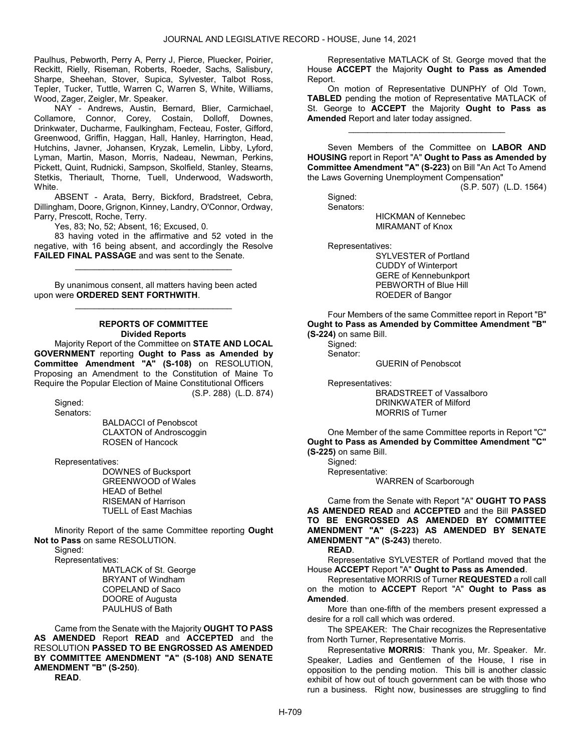Paulhus, Pebworth, Perry A, Perry J, Pierce, Pluecker, Poirier, Reckitt, Rielly, Riseman, Roberts, Roeder, Sachs, Salisbury, Sharpe, Sheehan, Stover, Supica, Sylvester, Talbot Ross, Tepler, Tucker, Tuttle, Warren C, Warren S, White, Williams, Wood, Zager, Zeigler, Mr. Speaker.

 NAY - Andrews, Austin, Bernard, Blier, Carmichael, Collamore, Connor, Corey, Costain, Dolloff, Downes, Drinkwater, Ducharme, Faulkingham, Fecteau, Foster, Gifford, Greenwood, Griffin, Haggan, Hall, Hanley, Harrington, Head, Hutchins, Javner, Johansen, Kryzak, Lemelin, Libby, Lyford, Lyman, Martin, Mason, Morris, Nadeau, Newman, Perkins, Pickett, Quint, Rudnicki, Sampson, Skolfield, Stanley, Stearns, Stetkis, Theriault, Thorne, Tuell, Underwood, Wadsworth, White.

 ABSENT - Arata, Berry, Bickford, Bradstreet, Cebra, Dillingham, Doore, Grignon, Kinney, Landry, O'Connor, Ordway, Parry, Prescott, Roche, Terry.

Yes, 83; No, 52; Absent, 16; Excused, 0.

 83 having voted in the affirmative and 52 voted in the negative, with 16 being absent, and accordingly the Resolve FAILED FINAL PASSAGE and was sent to the Senate.

\_\_\_\_\_\_\_\_\_\_\_\_\_\_\_\_\_\_\_\_\_\_\_\_\_\_\_\_\_\_\_\_\_

 By unanimous consent, all matters having been acted upon were ORDERED SENT FORTHWITH.

## REPORTS OF COMMITTEE Divided Reports

\_\_\_\_\_\_\_\_\_\_\_\_\_\_\_\_\_\_\_\_\_\_\_\_\_\_\_\_\_\_\_\_\_

 Majority Report of the Committee on STATE AND LOCAL GOVERNMENT reporting Ought to Pass as Amended by Committee Amendment "A" (S-108) on RESOLUTION, Proposing an Amendment to the Constitution of Maine To Require the Popular Election of Maine Constitutional Officers (S.P. 288) (L.D. 874)

Signed:

Senators:

 BALDACCI of Penobscot CLAXTON of Androscoggin ROSEN of Hancock

Representatives:

 DOWNES of Bucksport GREENWOOD of Wales HEAD of Bethel RISEMAN of Harrison TUELL of East Machias

 Minority Report of the same Committee reporting Ought Not to Pass on same RESOLUTION.

Signed:

Representatives:

 MATLACK of St. George BRYANT of Windham COPELAND of Saco DOORE of Augusta PAULHUS of Bath

 Came from the Senate with the Majority OUGHT TO PASS AS AMENDED Report READ and ACCEPTED and the RESOLUTION PASSED TO BE ENGROSSED AS AMENDED BY COMMITTEE AMENDMENT "A" (S-108) AND SENATE AMENDMENT "B" (S-250). READ.

 Representative MATLACK of St. George moved that the House **ACCEPT** the Majority Ought to Pass as Amended Report.

 On motion of Representative DUNPHY of Old Town, TABLED pending the motion of Representative MATLACK of St. George to ACCEPT the Majority Ought to Pass as Amended Report and later today assigned.

\_\_\_\_\_\_\_\_\_\_\_\_\_\_\_\_\_\_\_\_\_\_\_\_\_\_\_\_\_\_\_\_\_

Seven Members of the Committee on LABOR AND HOUSING report in Report "A" Ought to Pass as Amended by Committee Amendment "A" (S-223) on Bill "An Act To Amend the Laws Governing Unemployment Compensation"

(S.P. 507) (L.D. 1564)

 Signed: Senators:

 HICKMAN of Kennebec MIRAMANT of Knox

Representatives:

 SYLVESTER of Portland CUDDY of Winterport GERE of Kennebunkport PEBWORTH of Blue Hill ROEDER of Bangor

 Four Members of the same Committee report in Report "B" Ought to Pass as Amended by Committee Amendment "B" (S-224) on same Bill.

 Signed: Senator:

GUERIN of Penobscot

Representatives:

 BRADSTREET of Vassalboro DRINKWATER of Milford MORRIS of Turner

One Member of the same Committee reports in Report "C" Ought to Pass as Amended by Committee Amendment "C" (S-225) on same Bill.

 Signed: Representative: WARREN of Scarborough

 Came from the Senate with Report "A" OUGHT TO PASS AS AMENDED READ and ACCEPTED and the Bill PASSED TO BE ENGROSSED AS AMENDED BY COMMITTEE AMENDMENT "A" (S-223) AS AMENDED BY SENATE AMENDMENT "A" (S-243) thereto.

READ.

 Representative SYLVESTER of Portland moved that the House ACCEPT Report "A" Ought to Pass as Amended.

 Representative MORRIS of Turner REQUESTED a roll call on the motion to **ACCEPT** Report "A" Ought to Pass as Amended.

 More than one-fifth of the members present expressed a desire for a roll call which was ordered.

The SPEAKER: The Chair recognizes the Representative from North Turner, Representative Morris.

Representative MORRIS: Thank you, Mr. Speaker. Mr. Speaker, Ladies and Gentlemen of the House, I rise in opposition to the pending motion. This bill is another classic exhibit of how out of touch government can be with those who run a business. Right now, businesses are struggling to find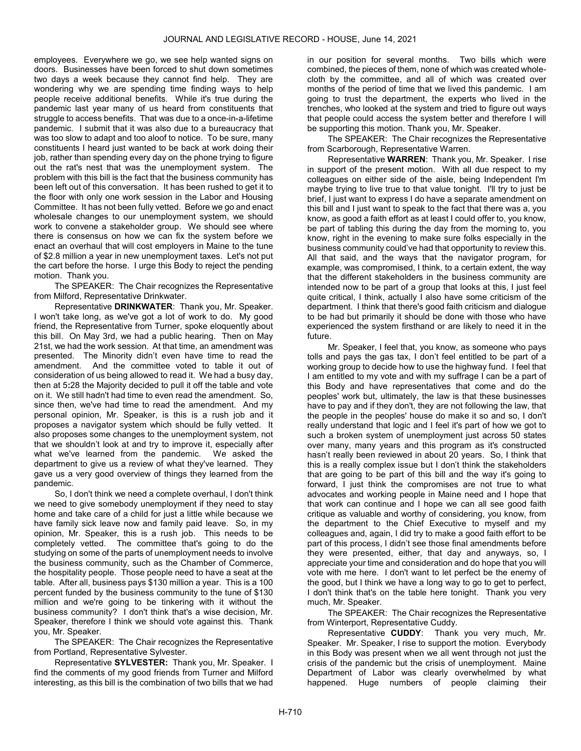employees. Everywhere we go, we see help wanted signs on doors. Businesses have been forced to shut down sometimes two days a week because they cannot find help. They are wondering why we are spending time finding ways to help people receive additional benefits. While it's true during the pandemic last year many of us heard from constituents that struggle to access benefits. That was due to a once-in-a-lifetime pandemic. I submit that it was also due to a bureaucracy that was too slow to adapt and too aloof to notice. To be sure, many constituents I heard just wanted to be back at work doing their job, rather than spending every day on the phone trying to figure out the rat's nest that was the unemployment system. The problem with this bill is the fact that the business community has been left out of this conversation. It has been rushed to get it to the floor with only one work session in the Labor and Housing Committee. It has not been fully vetted. Before we go and enact wholesale changes to our unemployment system, we should work to convene a stakeholder group. We should see where there is consensus on how we can fix the system before we enact an overhaul that will cost employers in Maine to the tune of \$2.8 million a year in new unemployment taxes. Let's not put the cart before the horse. I urge this Body to reject the pending motion. Thank you.

The SPEAKER: The Chair recognizes the Representative from Milford, Representative Drinkwater.

Representative DRINKWATER: Thank you, Mr. Speaker. I won't take long, as we've got a lot of work to do. My good friend, the Representative from Turner, spoke eloquently about this bill. On May 3rd, we had a public hearing. Then on May 21st, we had the work session. At that time, an amendment was presented. The Minority didn't even have time to read the amendment. And the committee voted to table it out of consideration of us being allowed to read it. We had a busy day, then at 5:28 the Majority decided to pull it off the table and vote on it. We still hadn't had time to even read the amendment. So, since then, we've had time to read the amendment. And my personal opinion, Mr. Speaker, is this is a rush job and it proposes a navigator system which should be fully vetted. It also proposes some changes to the unemployment system, not that we shouldn't look at and try to improve it, especially after what we've learned from the pandemic. We asked the department to give us a review of what they've learned. They gave us a very good overview of things they learned from the pandemic.

So, I don't think we need a complete overhaul, I don't think we need to give somebody unemployment if they need to stay home and take care of a child for just a little while because we have family sick leave now and family paid leave. So, in my opinion, Mr. Speaker, this is a rush job. This needs to be completely vetted. The committee that's going to do the studying on some of the parts of unemployment needs to involve the business community, such as the Chamber of Commerce, the hospitality people. Those people need to have a seat at the table. After all, business pays \$130 million a year. This is a 100 percent funded by the business community to the tune of \$130 million and we're going to be tinkering with it without the business community? I don't think that's a wise decision, Mr. Speaker, therefore I think we should vote against this. Thank you, Mr. Speaker.

The SPEAKER: The Chair recognizes the Representative from Portland, Representative Sylvester.

Representative SYLVESTER: Thank you, Mr. Speaker. I find the comments of my good friends from Turner and Milford interesting, as this bill is the combination of two bills that we had in our position for several months. Two bills which were combined, the pieces of them, none of which was created wholecloth by the committee, and all of which was created over months of the period of time that we lived this pandemic. I am going to trust the department, the experts who lived in the trenches, who looked at the system and tried to figure out ways that people could access the system better and therefore I will be supporting this motion. Thank you, Mr. Speaker.

The SPEAKER: The Chair recognizes the Representative from Scarborough, Representative Warren.

Representative WARREN: Thank you, Mr. Speaker. I rise in support of the present motion. With all due respect to my colleagues on either side of the aisle, being Independent I'm maybe trying to live true to that value tonight. I'll try to just be brief, I just want to express I do have a separate amendment on this bill and I just want to speak to the fact that there was a, you know, as good a faith effort as at least I could offer to, you know, be part of tabling this during the day from the morning to, you know, right in the evening to make sure folks especially in the business community could've had that opportunity to review this. All that said, and the ways that the navigator program, for example, was compromised, I think, to a certain extent, the way that the different stakeholders in the business community are intended now to be part of a group that looks at this, I just feel quite critical, I think, actually I also have some criticism of the department. I think that there's good faith criticism and dialogue to be had but primarily it should be done with those who have experienced the system firsthand or are likely to need it in the future.

Mr. Speaker, I feel that, you know, as someone who pays tolls and pays the gas tax, I don't feel entitled to be part of a working group to decide how to use the highway fund. I feel that I am entitled to my vote and with my suffrage I can be a part of this Body and have representatives that come and do the peoples' work but, ultimately, the law is that these businesses have to pay and if they don't, they are not following the law, that the people in the peoples' house do make it so and so, I don't really understand that logic and I feel it's part of how we got to such a broken system of unemployment just across 50 states over many, many years and this program as it's constructed hasn't really been reviewed in about 20 years. So, I think that this is a really complex issue but I don't think the stakeholders that are going to be part of this bill and the way it's going to forward, I just think the compromises are not true to what advocates and working people in Maine need and I hope that that work can continue and I hope we can all see good faith critique as valuable and worthy of considering, you know, from the department to the Chief Executive to myself and my colleagues and, again, I did try to make a good faith effort to be part of this process, I didn't see those final amendments before they were presented, either, that day and anyways, so, I appreciate your time and consideration and do hope that you will vote with me here. I don't want to let perfect be the enemy of the good, but I think we have a long way to go to get to perfect, I don't think that's on the table here tonight. Thank you very much, Mr. Speaker.

The SPEAKER: The Chair recognizes the Representative from Winterport, Representative Cuddy.

Representative CUDDY: Thank you very much, Mr. Speaker. Mr. Speaker, I rise to support the motion. Everybody in this Body was present when we all went through not just the crisis of the pandemic but the crisis of unemployment. Maine Department of Labor was clearly overwhelmed by what happened. Huge numbers of people claiming their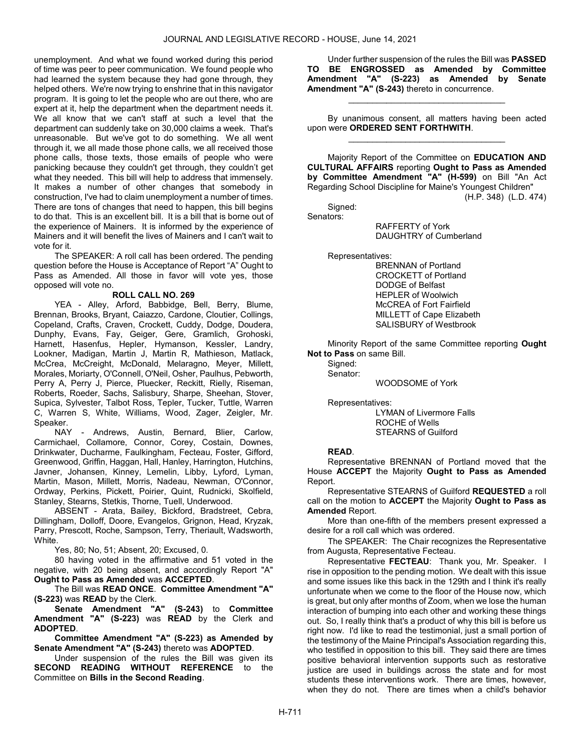unemployment. And what we found worked during this period of time was peer to peer communication. We found people who had learned the system because they had gone through, they helped others. We're now trying to enshrine that in this navigator program. It is going to let the people who are out there, who are expert at it, help the department when the department needs it. We all know that we can't staff at such a level that the department can suddenly take on 30,000 claims a week. That's unreasonable. But we've got to do something. We all went through it, we all made those phone calls, we all received those phone calls, those texts, those emails of people who were panicking because they couldn't get through, they couldn't get what they needed. This bill will help to address that immensely. It makes a number of other changes that somebody in construction, I've had to claim unemployment a number of times. There are tons of changes that need to happen, this bill begins to do that. This is an excellent bill. It is a bill that is borne out of the experience of Mainers. It is informed by the experience of Mainers and it will benefit the lives of Mainers and I can't wait to vote for it.

 The SPEAKER: A roll call has been ordered. The pending question before the House is Acceptance of Report "A" Ought to Pass as Amended. All those in favor will vote yes, those opposed will vote no.

## ROLL CALL NO. 269

 YEA - Alley, Arford, Babbidge, Bell, Berry, Blume, Brennan, Brooks, Bryant, Caiazzo, Cardone, Cloutier, Collings, Copeland, Crafts, Craven, Crockett, Cuddy, Dodge, Doudera, Dunphy, Evans, Fay, Geiger, Gere, Gramlich, Grohoski, Harnett, Hasenfus, Hepler, Hymanson, Kessler, Landry, Lookner, Madigan, Martin J, Martin R, Mathieson, Matlack, McCrea, McCreight, McDonald, Melaragno, Meyer, Millett, Morales, Moriarty, O'Connell, O'Neil, Osher, Paulhus, Pebworth, Perry A, Perry J, Pierce, Pluecker, Reckitt, Rielly, Riseman, Roberts, Roeder, Sachs, Salisbury, Sharpe, Sheehan, Stover, Supica, Sylvester, Talbot Ross, Tepler, Tucker, Tuttle, Warren C, Warren S, White, Williams, Wood, Zager, Zeigler, Mr. Speaker.

 NAY - Andrews, Austin, Bernard, Blier, Carlow, Carmichael, Collamore, Connor, Corey, Costain, Downes, Drinkwater, Ducharme, Faulkingham, Fecteau, Foster, Gifford, Greenwood, Griffin, Haggan, Hall, Hanley, Harrington, Hutchins, Javner, Johansen, Kinney, Lemelin, Libby, Lyford, Lyman, Martin, Mason, Millett, Morris, Nadeau, Newman, O'Connor, Ordway, Perkins, Pickett, Poirier, Quint, Rudnicki, Skolfield, Stanley, Stearns, Stetkis, Thorne, Tuell, Underwood.

 ABSENT - Arata, Bailey, Bickford, Bradstreet, Cebra, Dillingham, Dolloff, Doore, Evangelos, Grignon, Head, Kryzak, Parry, Prescott, Roche, Sampson, Terry, Theriault, Wadsworth, White.

Yes, 80; No, 51; Absent, 20; Excused, 0.

 80 having voted in the affirmative and 51 voted in the negative, with 20 being absent, and accordingly Report "A" Ought to Pass as Amended was ACCEPTED.

 The Bill was READ ONCE. Committee Amendment "A" (S-223) was READ by the Clerk.

Senate Amendment "A" (S-243) to Committee Amendment "A" (S-223) was READ by the Clerk and ADOPTED.

Committee Amendment "A" (S-223) as Amended by Senate Amendment "A" (S-243) thereto was ADOPTED.

 Under suspension of the rules the Bill was given its SECOND READING WITHOUT REFERENCE to the Committee on Bills in the Second Reading.

 Under further suspension of the rules the Bill was PASSED TO BE ENGROSSED as Amended by Committee Amendment "A" (S-223) as Amended by Senate Amendment "A" (S-243) thereto in concurrence.

 By unanimous consent, all matters having been acted upon were ORDERED SENT FORTHWITH. \_\_\_\_\_\_\_\_\_\_\_\_\_\_\_\_\_\_\_\_\_\_\_\_\_\_\_\_\_\_\_\_\_

\_\_\_\_\_\_\_\_\_\_\_\_\_\_\_\_\_\_\_\_\_\_\_\_\_\_\_\_\_\_\_\_\_

 Majority Report of the Committee on EDUCATION AND CULTURAL AFFAIRS reporting Ought to Pass as Amended by Committee Amendment "A" (H-599) on Bill "An Act Regarding School Discipline for Maine's Youngest Children"

(H.P. 348) (L.D. 474)

Signed:

Senators:

 RAFFERTY of York DAUGHTRY of Cumberland

Representatives:

 BRENNAN of Portland CROCKETT of Portland DODGE of Belfast HEPLER of Woolwich McCREA of Fort Fairfield MILLETT of Cape Elizabeth SALISBURY of Westbrook

 Minority Report of the same Committee reporting Ought Not to Pass on same Bill.

Signed: Senator:

WOODSOME of York

Representatives:

 LYMAN of Livermore Falls ROCHE of Wells STEARNS of Guilford

## READ.

 Representative BRENNAN of Portland moved that the House ACCEPT the Majority Ought to Pass as Amended Report.

 Representative STEARNS of Guilford REQUESTED a roll call on the motion to ACCEPT the Majority Ought to Pass as Amended Report.

 More than one-fifth of the members present expressed a desire for a roll call which was ordered.

The SPEAKER: The Chair recognizes the Representative from Augusta, Representative Fecteau.

Representative FECTEAU: Thank you, Mr. Speaker. I rise in opposition to the pending motion. We dealt with this issue and some issues like this back in the 129th and I think it's really unfortunate when we come to the floor of the House now, which is great, but only after months of Zoom, when we lose the human interaction of bumping into each other and working these things out. So, I really think that's a product of why this bill is before us right now. I'd like to read the testimonial, just a small portion of the testimony of the Maine Principal's Association regarding this, who testified in opposition to this bill. They said there are times positive behavioral intervention supports such as restorative justice are used in buildings across the state and for most students these interventions work. There are times, however, when they do not. There are times when a child's behavior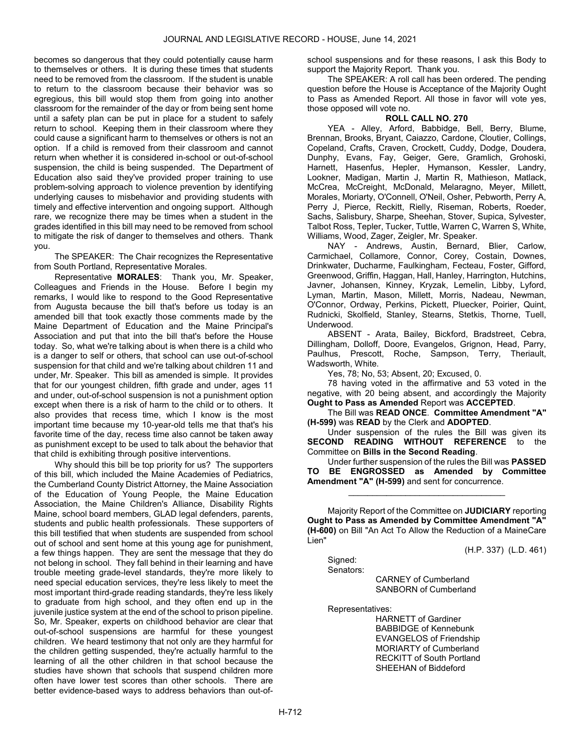becomes so dangerous that they could potentially cause harm to themselves or others. It is during these times that students need to be removed from the classroom. If the student is unable to return to the classroom because their behavior was so egregious, this bill would stop them from going into another classroom for the remainder of the day or from being sent home until a safety plan can be put in place for a student to safely return to school. Keeping them in their classroom where they could cause a significant harm to themselves or others is not an option. If a child is removed from their classroom and cannot return when whether it is considered in-school or out-of-school suspension, the child is being suspended. The Department of Education also said they've provided proper training to use problem-solving approach to violence prevention by identifying underlying causes to misbehavior and providing students with timely and effective intervention and ongoing support. Although rare, we recognize there may be times when a student in the grades identified in this bill may need to be removed from school to mitigate the risk of danger to themselves and others. Thank you.

The SPEAKER: The Chair recognizes the Representative from South Portland, Representative Morales.

Representative MORALES: Thank you, Mr. Speaker, Colleagues and Friends in the House. Before I begin my remarks, I would like to respond to the Good Representative from Augusta because the bill that's before us today is an amended bill that took exactly those comments made by the Maine Department of Education and the Maine Principal's Association and put that into the bill that's before the House today. So, what we're talking about is when there is a child who is a danger to self or others, that school can use out-of-school suspension for that child and we're talking about children 11 and under, Mr. Speaker. This bill as amended is simple. It provides that for our youngest children, fifth grade and under, ages 11 and under, out-of-school suspension is not a punishment option except when there is a risk of harm to the child or to others. It also provides that recess time, which I know is the most important time because my 10-year-old tells me that that's his favorite time of the day, recess time also cannot be taken away as punishment except to be used to talk about the behavior that that child is exhibiting through positive interventions.

Why should this bill be top priority for us? The supporters of this bill, which included the Maine Academies of Pediatrics, the Cumberland County District Attorney, the Maine Association of the Education of Young People, the Maine Education Association, the Maine Children's Alliance, Disability Rights Maine, school board members, GLAD legal defenders, parents, students and public health professionals. These supporters of this bill testified that when students are suspended from school out of school and sent home at this young age for punishment, a few things happen. They are sent the message that they do not belong in school. They fall behind in their learning and have trouble meeting grade-level standards, they're more likely to need special education services, they're less likely to meet the most important third-grade reading standards, they're less likely to graduate from high school, and they often end up in the juvenile justice system at the end of the school to prison pipeline. So, Mr. Speaker, experts on childhood behavior are clear that out-of-school suspensions are harmful for these youngest children. We heard testimony that not only are they harmful for the children getting suspended, they're actually harmful to the learning of all the other children in that school because the studies have shown that schools that suspend children more often have lower test scores than other schools. There are better evidence-based ways to address behaviors than out-ofschool suspensions and for these reasons, I ask this Body to support the Majority Report. Thank you.

 The SPEAKER: A roll call has been ordered. The pending question before the House is Acceptance of the Majority Ought to Pass as Amended Report. All those in favor will vote yes, those opposed will vote no.

#### ROLL CALL NO. 270

 YEA - Alley, Arford, Babbidge, Bell, Berry, Blume, Brennan, Brooks, Bryant, Caiazzo, Cardone, Cloutier, Collings, Copeland, Crafts, Craven, Crockett, Cuddy, Dodge, Doudera, Dunphy, Evans, Fay, Geiger, Gere, Gramlich, Grohoski, Harnett, Hasenfus, Hepler, Hymanson, Kessler, Landry, Lookner, Madigan, Martin J, Martin R, Mathieson, Matlack, McCrea, McCreight, McDonald, Melaragno, Meyer, Millett, Morales, Moriarty, O'Connell, O'Neil, Osher, Pebworth, Perry A, Perry J, Pierce, Reckitt, Rielly, Riseman, Roberts, Roeder, Sachs, Salisbury, Sharpe, Sheehan, Stover, Supica, Sylvester, Talbot Ross, Tepler, Tucker, Tuttle, Warren C, Warren S, White, Williams, Wood, Zager, Zeigler, Mr. Speaker.

 NAY - Andrews, Austin, Bernard, Blier, Carlow, Carmichael, Collamore, Connor, Corey, Costain, Downes, Drinkwater, Ducharme, Faulkingham, Fecteau, Foster, Gifford, Greenwood, Griffin, Haggan, Hall, Hanley, Harrington, Hutchins, Javner, Johansen, Kinney, Kryzak, Lemelin, Libby, Lyford, Lyman, Martin, Mason, Millett, Morris, Nadeau, Newman, O'Connor, Ordway, Perkins, Pickett, Pluecker, Poirier, Quint, Rudnicki, Skolfield, Stanley, Stearns, Stetkis, Thorne, Tuell, Underwood.

 ABSENT - Arata, Bailey, Bickford, Bradstreet, Cebra, Dillingham, Dolloff, Doore, Evangelos, Grignon, Head, Parry, Paulhus, Prescott, Roche, Sampson, Terry, Theriault, Wadsworth, White.

Yes, 78; No, 53; Absent, 20; Excused, 0.

 78 having voted in the affirmative and 53 voted in the negative, with 20 being absent, and accordingly the Majority Ought to Pass as Amended Report was ACCEPTED.

 The Bill was READ ONCE. Committee Amendment "A" (H-599) was READ by the Clerk and ADOPTED.

 Under suspension of the rules the Bill was given its SECOND READING WITHOUT REFERENCE to the Committee on Bills in the Second Reading.

 Under further suspension of the rules the Bill was PASSED TO BE ENGROSSED as Amended by Committee Amendment "A" (H-599) and sent for concurrence.

\_\_\_\_\_\_\_\_\_\_\_\_\_\_\_\_\_\_\_\_\_\_\_\_\_\_\_\_\_\_\_\_\_

 Majority Report of the Committee on JUDICIARY reporting Ought to Pass as Amended by Committee Amendment "A" (H-600) on Bill "An Act To Allow the Reduction of a MaineCare Lien"

(H.P. 337) (L.D. 461)

 Signed: Senators:

 CARNEY of Cumberland SANBORN of Cumberland

Representatives:

 HARNETT of Gardiner BABBIDGE of Kennebunk EVANGELOS of Friendship MORIARTY of Cumberland RECKITT of South Portland SHEEHAN of Biddeford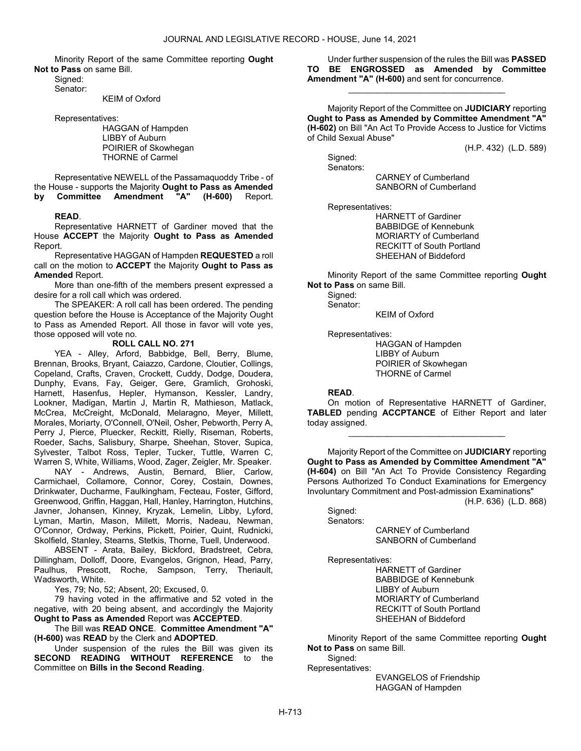Minority Report of the same Committee reporting Ought Not to Pass on same Bill.

 Signed: Senator:

KEIM of Oxford

Representatives:

 HAGGAN of Hampden LIBBY of Auburn POIRIER of Skowhegan THORNE of Carmel

 Representative NEWELL of the Passamaquoddy Tribe - of the House - supports the Majority Ought to Pass as Amended by Committee Amendment "A" (H-600) Report.

#### READ.

 Representative HARNETT of Gardiner moved that the House ACCEPT the Majority Ought to Pass as Amended Report.

Representative HAGGAN of Hampden REQUESTED a roll call on the motion to ACCEPT the Majority Ought to Pass as Amended Report.

 More than one-fifth of the members present expressed a desire for a roll call which was ordered.

 The SPEAKER: A roll call has been ordered. The pending question before the House is Acceptance of the Majority Ought to Pass as Amended Report. All those in favor will vote yes, those opposed will vote no.

## ROLL CALL NO. 271

 YEA - Alley, Arford, Babbidge, Bell, Berry, Blume, Brennan, Brooks, Bryant, Caiazzo, Cardone, Cloutier, Collings, Copeland, Crafts, Craven, Crockett, Cuddy, Dodge, Doudera, Dunphy, Evans, Fay, Geiger, Gere, Gramlich, Grohoski, Harnett, Hasenfus, Hepler, Hymanson, Kessler, Landry, Lookner, Madigan, Martin J, Martin R, Mathieson, Matlack, McCrea, McCreight, McDonald, Melaragno, Meyer, Millett, Morales, Moriarty, O'Connell, O'Neil, Osher, Pebworth, Perry A, Perry J, Pierce, Pluecker, Reckitt, Rielly, Riseman, Roberts, Roeder, Sachs, Salisbury, Sharpe, Sheehan, Stover, Supica, Sylvester, Talbot Ross, Tepler, Tucker, Tuttle, Warren C, Warren S, White, Williams, Wood, Zager, Zeigler, Mr. Speaker.

 NAY - Andrews, Austin, Bernard, Blier, Carlow, Carmichael, Collamore, Connor, Corey, Costain, Downes, Drinkwater, Ducharme, Faulkingham, Fecteau, Foster, Gifford, Greenwood, Griffin, Haggan, Hall, Hanley, Harrington, Hutchins, Javner, Johansen, Kinney, Kryzak, Lemelin, Libby, Lyford, Lyman, Martin, Mason, Millett, Morris, Nadeau, Newman, O'Connor, Ordway, Perkins, Pickett, Poirier, Quint, Rudnicki, Skolfield, Stanley, Stearns, Stetkis, Thorne, Tuell, Underwood.

 ABSENT - Arata, Bailey, Bickford, Bradstreet, Cebra, Dillingham, Dolloff, Doore, Evangelos, Grignon, Head, Parry, Paulhus, Prescott, Roche, Sampson, Terry, Theriault, Wadsworth, White.

Yes, 79; No, 52; Absent, 20; Excused, 0.

 79 having voted in the affirmative and 52 voted in the negative, with 20 being absent, and accordingly the Majority Ought to Pass as Amended Report was ACCEPTED.

 The Bill was READ ONCE. Committee Amendment "A" (H-600) was READ by the Clerk and ADOPTED.

 Under suspension of the rules the Bill was given its SECOND READING WITHOUT REFERENCE to the Committee on Bills in the Second Reading.

 Under further suspension of the rules the Bill was PASSED TO BE ENGROSSED as Amended by Committee Amendment "A" (H-600) and sent for concurrence.

\_\_\_\_\_\_\_\_\_\_\_\_\_\_\_\_\_\_\_\_\_\_\_\_\_\_\_\_\_\_\_\_\_

 Majority Report of the Committee on JUDICIARY reporting Ought to Pass as Amended by Committee Amendment "A" (H-602) on Bill "An Act To Provide Access to Justice for Victims of Child Sexual Abuse"

(H.P. 432) (L.D. 589)

 Signed: Senators:

> CARNEY of Cumberland SANBORN of Cumberland

Representatives:

 HARNETT of Gardiner BABBIDGE of Kennebunk MORIARTY of Cumberland RECKITT of South Portland SHEEHAN of Biddeford

 Minority Report of the same Committee reporting Ought Not to Pass on same Bill.

Signed: Senator:

KEIM of Oxford

Representatives:

 HAGGAN of Hampden LIBBY of Auburn POIRIER of Skowhegan THORNE of Carmel

#### READ.

 On motion of Representative HARNETT of Gardiner, TABLED pending ACCPTANCE of Either Report and later today assigned.

\_\_\_\_\_\_\_\_\_\_\_\_\_\_\_\_\_\_\_\_\_\_\_\_\_\_\_\_\_\_\_\_\_

 Majority Report of the Committee on JUDICIARY reporting Ought to Pass as Amended by Committee Amendment "A" (H-604) on Bill "An Act To Provide Consistency Regarding Persons Authorized To Conduct Examinations for Emergency Involuntary Commitment and Post-admission Examinations"

(H.P. 636) (L.D. 868)

Signed:

Senators:

 CARNEY of Cumberland SANBORN of Cumberland

Representatives:

 HARNETT of Gardiner BABBIDGE of Kennebunk LIBBY of Auburn MORIARTY of Cumberland RECKITT of South Portland SHEEHAN of Biddeford

 Minority Report of the same Committee reporting Ought Not to Pass on same Bill.

 Signed: Representatives:

 EVANGELOS of Friendship HAGGAN of Hampden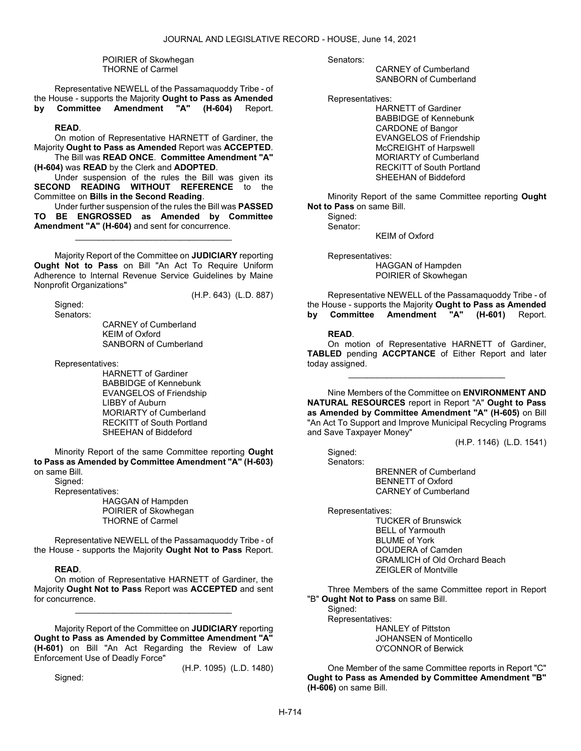POIRIER of Skowhegan THORNE of Carmel

 Representative NEWELL of the Passamaquoddy Tribe - of the House - supports the Majority Ought to Pass as Amended<br>by Committee Amendment "A" (H-604) Report. by Committee Amendment "A" (H-604) Report.

## READ.

 On motion of Representative HARNETT of Gardiner, the Majority Ought to Pass as Amended Report was ACCEPTED. The Bill was READ ONCE. Committee Amendment "A"

(H-604) was READ by the Clerk and ADOPTED.

 Under suspension of the rules the Bill was given its SECOND READING WITHOUT REFERENCE to the Committee on Bills in the Second Reading.

 Under further suspension of the rules the Bill was PASSED TO BE ENGROSSED as Amended by Committee Amendment "A" (H-604) and sent for concurrence.

\_\_\_\_\_\_\_\_\_\_\_\_\_\_\_\_\_\_\_\_\_\_\_\_\_\_\_\_\_\_\_\_\_

 Majority Report of the Committee on JUDICIARY reporting Ought Not to Pass on Bill "An Act To Require Uniform Adherence to Internal Revenue Service Guidelines by Maine Nonprofit Organizations"

(H.P. 643) (L.D. 887)

 Signed: Senators:

> CARNEY of Cumberland KEIM of Oxford SANBORN of Cumberland

Representatives:

 HARNETT of Gardiner BABBIDGE of Kennebunk EVANGELOS of Friendship LIBBY of Auburn MORIARTY of Cumberland RECKITT of South Portland SHEEHAN of Biddeford

 Minority Report of the same Committee reporting Ought to Pass as Amended by Committee Amendment "A" (H-603) on same Bill.

Signed:

Representatives:

 HAGGAN of Hampden POIRIER of Skowhegan THORNE of Carmel

 Representative NEWELL of the Passamaquoddy Tribe - of the House - supports the Majority Ought Not to Pass Report.

## READ.

 On motion of Representative HARNETT of Gardiner, the Majority Ought Not to Pass Report was ACCEPTED and sent for concurrence.

\_\_\_\_\_\_\_\_\_\_\_\_\_\_\_\_\_\_\_\_\_\_\_\_\_\_\_\_\_\_\_\_\_

 Majority Report of the Committee on JUDICIARY reporting Ought to Pass as Amended by Committee Amendment "A" (H-601) on Bill "An Act Regarding the Review of Law Enforcement Use of Deadly Force"

Signed:

(H.P. 1095) (L.D. 1480)

Senators:

 CARNEY of Cumberland SANBORN of Cumberland

Representatives:

 HARNETT of Gardiner BABBIDGE of Kennebunk CARDONE of Bangor EVANGELOS of Friendship McCREIGHT of Harpswell MORIARTY of Cumberland RECKITT of South Portland SHEEHAN of Biddeford

 Minority Report of the same Committee reporting Ought Not to Pass on same Bill.

Sianed: Senator: KEIM of Oxford

 Representatives: HAGGAN of Hampden POIRIER of Skowhegan

 Representative NEWELL of the Passamaquoddy Tribe - of the House - supports the Majority Ought to Pass as Amended<br>by Committee Amendment "A" (H-601) Report. by Committee Amendment "A"

#### READ.

 On motion of Representative HARNETT of Gardiner, TABLED pending ACCPTANCE of Either Report and later today assigned.

\_\_\_\_\_\_\_\_\_\_\_\_\_\_\_\_\_\_\_\_\_\_\_\_\_\_\_\_\_\_\_\_\_

 Nine Members of the Committee on ENVIRONMENT AND NATURAL RESOURCES report in Report "A" Ought to Pass as Amended by Committee Amendment "A" (H-605) on Bill "An Act To Support and Improve Municipal Recycling Programs and Save Taxpayer Money"

(H.P. 1146) (L.D. 1541)

 Signed: Senators:

 BRENNER of Cumberland BENNETT of Oxford CARNEY of Cumberland

Representatives:

 TUCKER of Brunswick BELL of Yarmouth BLUME of York DOUDERA of Camden GRAMLICH of Old Orchard Beach ZEIGLER of Montville

 Three Members of the same Committee report in Report "B" Ought Not to Pass on same Bill. Signed:

 Representatives: HANLEY of Pittston JOHANSEN of Monticello O'CONNOR of Berwick

 One Member of the same Committee reports in Report "C" Ought to Pass as Amended by Committee Amendment "B" (H-606) on same Bill.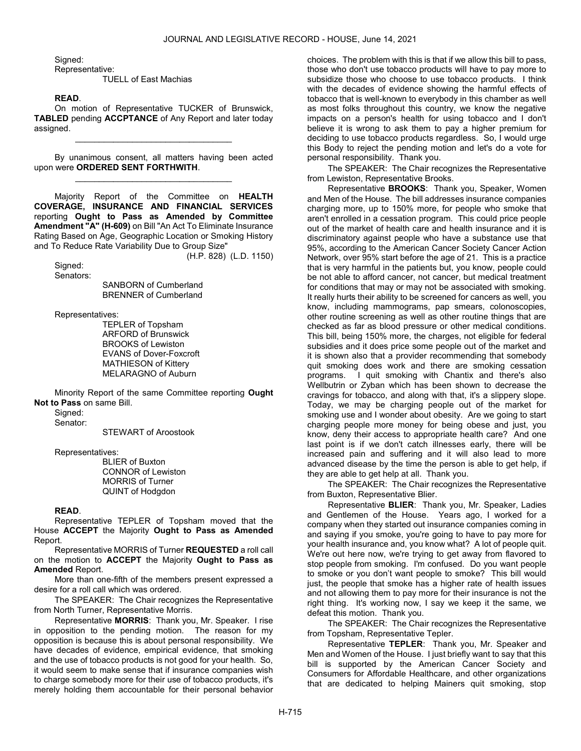Signed:

Representative:

TUELL of East Machias

## READ.

 On motion of Representative TUCKER of Brunswick, TABLED pending ACCPTANCE of Any Report and later today assigned.

\_\_\_\_\_\_\_\_\_\_\_\_\_\_\_\_\_\_\_\_\_\_\_\_\_\_\_\_\_\_\_\_\_

 By unanimous consent, all matters having been acted upon were ORDERED SENT FORTHWITH. \_\_\_\_\_\_\_\_\_\_\_\_\_\_\_\_\_\_\_\_\_\_\_\_\_\_\_\_\_\_\_\_\_

 Majority Report of the Committee on HEALTH COVERAGE, INSURANCE AND FINANCIAL SERVICES reporting Ought to Pass as Amended by Committee Amendment "A" (H-609) on Bill "An Act To Eliminate Insurance Rating Based on Age, Geographic Location or Smoking History and To Reduce Rate Variability Due to Group Size"

(H.P. 828) (L.D. 1150)

 Signed: Senators:

 SANBORN of Cumberland BRENNER of Cumberland

Representatives:

 TEPLER of Topsham ARFORD of Brunswick BROOKS of Lewiston EVANS of Dover-Foxcroft MATHIESON of Kittery MELARAGNO of Auburn

 Minority Report of the same Committee reporting Ought Not to Pass on same Bill.

Signed:

Senator:

STEWART of Aroostook

Representatives:

 BLIER of Buxton CONNOR of Lewiston MORRIS of Turner QUINT of Hodgdon

#### READ.

 Representative TEPLER of Topsham moved that the House ACCEPT the Majority Ought to Pass as Amended Report.

 Representative MORRIS of Turner REQUESTED a roll call on the motion to ACCEPT the Majority Ought to Pass as Amended Report.

 More than one-fifth of the members present expressed a desire for a roll call which was ordered.

The SPEAKER: The Chair recognizes the Representative from North Turner, Representative Morris.

Representative MORRIS: Thank you, Mr. Speaker. I rise in opposition to the pending motion. The reason for my opposition is because this is about personal responsibility. We have decades of evidence, empirical evidence, that smoking and the use of tobacco products is not good for your health. So, it would seem to make sense that if insurance companies wish to charge somebody more for their use of tobacco products, it's merely holding them accountable for their personal behavior

choices. The problem with this is that if we allow this bill to pass, those who don't use tobacco products will have to pay more to subsidize those who choose to use tobacco products. I think with the decades of evidence showing the harmful effects of tobacco that is well-known to everybody in this chamber as well as most folks throughout this country, we know the negative impacts on a person's health for using tobacco and I don't believe it is wrong to ask them to pay a higher premium for deciding to use tobacco products regardless. So, I would urge this Body to reject the pending motion and let's do a vote for personal responsibility. Thank you.

The SPEAKER: The Chair recognizes the Representative from Lewiston, Representative Brooks.

Representative BROOKS: Thank you, Speaker, Women and Men of the House. The bill addresses insurance companies charging more, up to 150% more, for people who smoke that aren't enrolled in a cessation program. This could price people out of the market of health care and health insurance and it is discriminatory against people who have a substance use that 95%, according to the American Cancer Society Cancer Action Network, over 95% start before the age of 21. This is a practice that is very harmful in the patients but, you know, people could be not able to afford cancer, not cancer, but medical treatment for conditions that may or may not be associated with smoking. It really hurts their ability to be screened for cancers as well, you know, including mammograms, pap smears, colonoscopies, other routine screening as well as other routine things that are checked as far as blood pressure or other medical conditions. This bill, being 150% more, the charges, not eligible for federal subsidies and it does price some people out of the market and it is shown also that a provider recommending that somebody quit smoking does work and there are smoking cessation programs. I quit smoking with Chantix and there's also Wellbutrin or Zyban which has been shown to decrease the cravings for tobacco, and along with that, it's a slippery slope. Today, we may be charging people out of the market for smoking use and I wonder about obesity. Are we going to start charging people more money for being obese and just, you know, deny their access to appropriate health care? And one last point is if we don't catch illnesses early, there will be increased pain and suffering and it will also lead to more advanced disease by the time the person is able to get help, if they are able to get help at all. Thank you.

The SPEAKER: The Chair recognizes the Representative from Buxton, Representative Blier.

Representative BLIER: Thank you, Mr. Speaker, Ladies and Gentlemen of the House. Years ago, I worked for a company when they started out insurance companies coming in and saying if you smoke, you're going to have to pay more for your health insurance and, you know what? A lot of people quit. We're out here now, we're trying to get away from flavored to stop people from smoking. I'm confused. Do you want people to smoke or you don't want people to smoke? This bill would just, the people that smoke has a higher rate of health issues and not allowing them to pay more for their insurance is not the right thing. It's working now, I say we keep it the same, we defeat this motion. Thank you.

The SPEAKER: The Chair recognizes the Representative from Topsham, Representative Tepler.

Representative TEPLER: Thank you, Mr. Speaker and Men and Women of the House. I just briefly want to say that this bill is supported by the American Cancer Society and Consumers for Affordable Healthcare, and other organizations that are dedicated to helping Mainers quit smoking, stop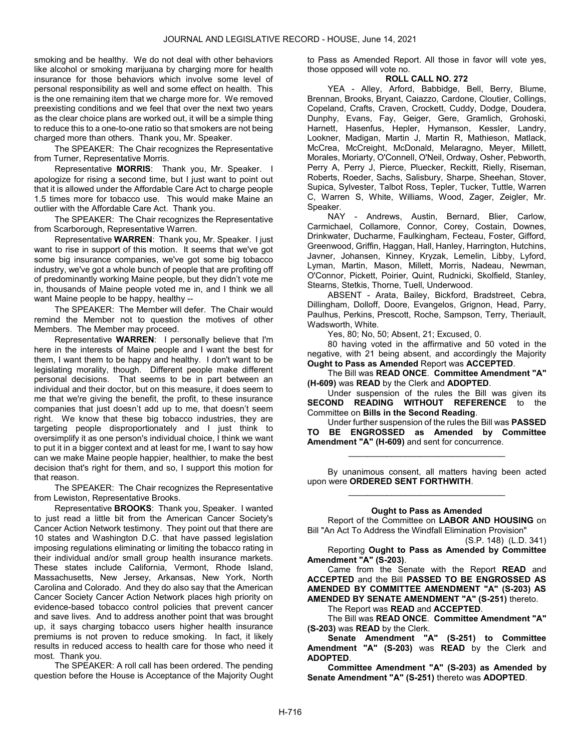smoking and be healthy. We do not deal with other behaviors like alcohol or smoking marijuana by charging more for health insurance for those behaviors which involve some level of personal responsibility as well and some effect on health. This is the one remaining item that we charge more for. We removed preexisting conditions and we feel that over the next two years as the clear choice plans are worked out, it will be a simple thing to reduce this to a one-to-one ratio so that smokers are not being charged more than others. Thank you, Mr. Speaker.

The SPEAKER: The Chair recognizes the Representative from Turner, Representative Morris.

Representative MORRIS: Thank you, Mr. Speaker. I apologize for rising a second time, but I just want to point out that it is allowed under the Affordable Care Act to charge people 1.5 times more for tobacco use. This would make Maine an outlier with the Affordable Care Act. Thank you.

The SPEAKER: The Chair recognizes the Representative from Scarborough, Representative Warren.

Representative WARREN: Thank you, Mr. Speaker. I just want to rise in support of this motion. It seems that we've got some big insurance companies, we've got some big tobacco industry, we've got a whole bunch of people that are profiting off of predominantly working Maine people, but they didn't vote me in, thousands of Maine people voted me in, and I think we all want Maine people to be happy, healthy --

The SPEAKER: The Member will defer. The Chair would remind the Member not to question the motives of other Members. The Member may proceed.

Representative WARREN: I personally believe that I'm here in the interests of Maine people and I want the best for them, I want them to be happy and healthy. I don't want to be legislating morality, though. Different people make different personal decisions. That seems to be in part between an individual and their doctor, but on this measure, it does seem to me that we're giving the benefit, the profit, to these insurance companies that just doesn't add up to me, that doesn't seem right. We know that these big tobacco industries, they are targeting people disproportionately and I just think to oversimplify it as one person's individual choice, I think we want to put it in a bigger context and at least for me, I want to say how can we make Maine people happier, healthier, to make the best decision that's right for them, and so, I support this motion for that reason.

The SPEAKER: The Chair recognizes the Representative from Lewiston, Representative Brooks.

Representative BROOKS: Thank you, Speaker. I wanted to just read a little bit from the American Cancer Society's Cancer Action Network testimony. They point out that there are 10 states and Washington D.C. that have passed legislation imposing regulations eliminating or limiting the tobacco rating in their individual and/or small group health insurance markets. These states include California, Vermont, Rhode Island, Massachusetts, New Jersey, Arkansas, New York, North Carolina and Colorado. And they do also say that the American Cancer Society Cancer Action Network places high priority on evidence-based tobacco control policies that prevent cancer and save lives. And to address another point that was brought up, it says charging tobacco users higher health insurance premiums is not proven to reduce smoking. In fact, it likely results in reduced access to health care for those who need it most. Thank you.

 The SPEAKER: A roll call has been ordered. The pending question before the House is Acceptance of the Majority Ought to Pass as Amended Report. All those in favor will vote yes, those opposed will vote no.

## ROLL CALL NO. 272

 YEA - Alley, Arford, Babbidge, Bell, Berry, Blume, Brennan, Brooks, Bryant, Caiazzo, Cardone, Cloutier, Collings, Copeland, Crafts, Craven, Crockett, Cuddy, Dodge, Doudera, Dunphy, Evans, Fay, Geiger, Gere, Gramlich, Grohoski, Harnett, Hasenfus, Hepler, Hymanson, Kessler, Landry, Lookner, Madigan, Martin J, Martin R, Mathieson, Matlack, McCrea, McCreight, McDonald, Melaragno, Meyer, Millett, Morales, Moriarty, O'Connell, O'Neil, Ordway, Osher, Pebworth, Perry A, Perry J, Pierce, Pluecker, Reckitt, Rielly, Riseman, Roberts, Roeder, Sachs, Salisbury, Sharpe, Sheehan, Stover, Supica, Sylvester, Talbot Ross, Tepler, Tucker, Tuttle, Warren C, Warren S, White, Williams, Wood, Zager, Zeigler, Mr. Speaker.

 NAY - Andrews, Austin, Bernard, Blier, Carlow, Carmichael, Collamore, Connor, Corey, Costain, Downes, Drinkwater, Ducharme, Faulkingham, Fecteau, Foster, Gifford, Greenwood, Griffin, Haggan, Hall, Hanley, Harrington, Hutchins, Javner, Johansen, Kinney, Kryzak, Lemelin, Libby, Lyford, Lyman, Martin, Mason, Millett, Morris, Nadeau, Newman, O'Connor, Pickett, Poirier, Quint, Rudnicki, Skolfield, Stanley, Stearns, Stetkis, Thorne, Tuell, Underwood.

 ABSENT - Arata, Bailey, Bickford, Bradstreet, Cebra, Dillingham, Dolloff, Doore, Evangelos, Grignon, Head, Parry, Paulhus, Perkins, Prescott, Roche, Sampson, Terry, Theriault, Wadsworth, White.

Yes, 80; No, 50; Absent, 21; Excused, 0.

 80 having voted in the affirmative and 50 voted in the negative, with 21 being absent, and accordingly the Majority Ought to Pass as Amended Report was ACCEPTED.

 The Bill was READ ONCE. Committee Amendment "A" (H-609) was READ by the Clerk and ADOPTED.

 Under suspension of the rules the Bill was given its SECOND READING WITHOUT REFERENCE to the Committee on Bills in the Second Reading.

 Under further suspension of the rules the Bill was PASSED TO BE ENGROSSED as Amended by Committee Amendment "A" (H-609) and sent for concurrence.

\_\_\_\_\_\_\_\_\_\_\_\_\_\_\_\_\_\_\_\_\_\_\_\_\_\_\_\_\_\_\_\_\_

 By unanimous consent, all matters having been acted upon were ORDERED SENT FORTHWITH. \_\_\_\_\_\_\_\_\_\_\_\_\_\_\_\_\_\_\_\_\_\_\_\_\_\_\_\_\_\_\_\_\_

## Ought to Pass as Amended

 Report of the Committee on LABOR AND HOUSING on Bill "An Act To Address the Windfall Elimination Provision"

(S.P. 148) (L.D. 341)

 Reporting Ought to Pass as Amended by Committee Amendment "A" (S-203).

 Came from the Senate with the Report READ and ACCEPTED and the Bill PASSED TO BE ENGROSSED AS AMENDED BY COMMITTEE AMENDMENT "A" (S-203) AS AMENDED BY SENATE AMENDMENT "A" (S-251) thereto.

The Report was READ and ACCEPTED.

 The Bill was READ ONCE. Committee Amendment "A" (S-203) was READ by the Clerk.

Senate Amendment "A" (S-251) to Committee Amendment "A" (S-203) was READ by the Clerk and ADOPTED.

Committee Amendment "A" (S-203) as Amended by Senate Amendment "A" (S-251) thereto was ADOPTED.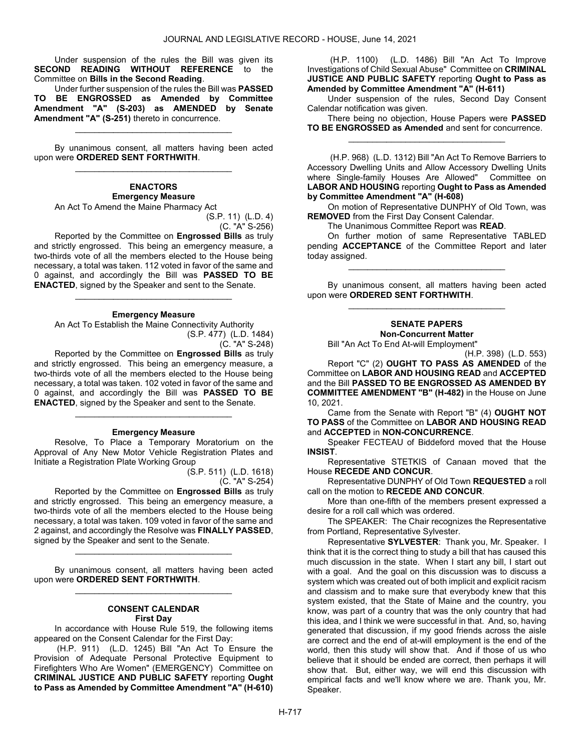Under suspension of the rules the Bill was given its SECOND READING WITHOUT REFERENCE to the Committee on Bills in the Second Reading.

 Under further suspension of the rules the Bill was PASSED TO BE ENGROSSED as Amended by Committee Amendment "A" (S-203) as AMENDED by Senate Amendment "A" (S-251) thereto in concurrence.

\_\_\_\_\_\_\_\_\_\_\_\_\_\_\_\_\_\_\_\_\_\_\_\_\_\_\_\_\_\_\_\_\_

 By unanimous consent, all matters having been acted upon were ORDERED SENT FORTHWITH. \_\_\_\_\_\_\_\_\_\_\_\_\_\_\_\_\_\_\_\_\_\_\_\_\_\_\_\_\_\_\_\_\_

**ENACTORS** Emergency Measure An Act To Amend the Maine Pharmacy Act

> (S.P. 11) (L.D. 4) (C. "A" S-256)

 Reported by the Committee on Engrossed Bills as truly and strictly engrossed. This being an emergency measure, a two-thirds vote of all the members elected to the House being necessary, a total was taken. 112 voted in favor of the same and 0 against, and accordingly the Bill was PASSED TO BE ENACTED, signed by the Speaker and sent to the Senate.

#### Emergency Measure

\_\_\_\_\_\_\_\_\_\_\_\_\_\_\_\_\_\_\_\_\_\_\_\_\_\_\_\_\_\_\_\_\_

 An Act To Establish the Maine Connectivity Authority (S.P. 477) (L.D. 1484)

(C. "A" S-248)

 Reported by the Committee on Engrossed Bills as truly and strictly engrossed. This being an emergency measure, a two-thirds vote of all the members elected to the House being necessary, a total was taken. 102 voted in favor of the same and 0 against, and accordingly the Bill was PASSED TO BE ENACTED, signed by the Speaker and sent to the Senate.

#### Emergency Measure

\_\_\_\_\_\_\_\_\_\_\_\_\_\_\_\_\_\_\_\_\_\_\_\_\_\_\_\_\_\_\_\_\_

 Resolve, To Place a Temporary Moratorium on the Approval of Any New Motor Vehicle Registration Plates and Initiate a Registration Plate Working Group

> (S.P. 511) (L.D. 1618) (C. "A" S-254)

 Reported by the Committee on Engrossed Bills as truly and strictly engrossed. This being an emergency measure, a two-thirds vote of all the members elected to the House being necessary, a total was taken. 109 voted in favor of the same and 2 against, and accordingly the Resolve was FINALLY PASSED, signed by the Speaker and sent to the Senate.

 By unanimous consent, all matters having been acted upon were ORDERED SENT FORTHWITH. \_\_\_\_\_\_\_\_\_\_\_\_\_\_\_\_\_\_\_\_\_\_\_\_\_\_\_\_\_\_\_\_\_

\_\_\_\_\_\_\_\_\_\_\_\_\_\_\_\_\_\_\_\_\_\_\_\_\_\_\_\_\_\_\_\_\_

#### CONSENT CALENDAR First Day

 In accordance with House Rule 519, the following items appeared on the Consent Calendar for the First Day:

 (H.P. 911) (L.D. 1245) Bill "An Act To Ensure the Provision of Adequate Personal Protective Equipment to Firefighters Who Are Women" (EMERGENCY) Committee on CRIMINAL JUSTICE AND PUBLIC SAFETY reporting Ought to Pass as Amended by Committee Amendment "A" (H-610)

 (H.P. 1100) (L.D. 1486) Bill "An Act To Improve Investigations of Child Sexual Abuse" Committee on CRIMINAL JUSTICE AND PUBLIC SAFETY reporting Ought to Pass as Amended by Committee Amendment "A" (H-611)

 Under suspension of the rules, Second Day Consent Calendar notification was given.

There being no objection. House Papers were **PASSED** TO BE ENGROSSED as Amended and sent for concurrence. \_\_\_\_\_\_\_\_\_\_\_\_\_\_\_\_\_\_\_\_\_\_\_\_\_\_\_\_\_\_\_\_\_

 (H.P. 968) (L.D. 1312) Bill "An Act To Remove Barriers to Accessory Dwelling Units and Allow Accessory Dwelling Units where Single-family Houses Are Allowed" Committee on LABOR AND HOUSING reporting Ought to Pass as Amended by Committee Amendment "A" (H-608)

On motion of Representative DUNPHY of Old Town, was **REMOVED** from the First Day Consent Calendar.

The Unanimous Committee Report was READ.

 On further motion of same Representative TABLED pending **ACCEPTANCE** of the Committee Report and later today assigned.

\_\_\_\_\_\_\_\_\_\_\_\_\_\_\_\_\_\_\_\_\_\_\_\_\_\_\_\_\_\_\_\_\_

 By unanimous consent, all matters having been acted upon were ORDERED SENT FORTHWITH. \_\_\_\_\_\_\_\_\_\_\_\_\_\_\_\_\_\_\_\_\_\_\_\_\_\_\_\_\_\_\_\_\_

## SENATE PAPERS Non-Concurrent Matter

Bill "An Act To End At-will Employment"

 Report "C" (2) OUGHT TO PASS AS AMENDED of the Committee on LABOR AND HOUSING READ and ACCEPTED and the Bill PASSED TO BE ENGROSSED AS AMENDED BY COMMITTEE AMENDMENT "B" (H-482) in the House on June 10, 2021.

 Came from the Senate with Report "B" (4) OUGHT NOT TO PASS of the Committee on LABOR AND HOUSING READ and ACCEPTED in NON-CONCURRENCE.

 Speaker FECTEAU of Biddeford moved that the House INSIST.

 Representative STETKIS of Canaan moved that the House RECEDE AND CONCUR.

 Representative DUNPHY of Old Town REQUESTED a roll call on the motion to RECEDE AND CONCUR.

 More than one-fifth of the members present expressed a desire for a roll call which was ordered.

The SPEAKER: The Chair recognizes the Representative from Portland, Representative Sylvester.

Representative SYLVESTER: Thank you, Mr. Speaker. I think that it is the correct thing to study a bill that has caused this much discussion in the state. When I start any bill, I start out with a goal. And the goal on this discussion was to discuss a system which was created out of both implicit and explicit racism and classism and to make sure that everybody knew that this system existed, that the State of Maine and the country, you know, was part of a country that was the only country that had this idea, and I think we were successful in that. And, so, having generated that discussion, if my good friends across the aisle are correct and the end of at-will employment is the end of the world, then this study will show that. And if those of us who believe that it should be ended are correct, then perhaps it will show that. But, either way, we will end this discussion with empirical facts and we'll know where we are. Thank you, Mr. Speaker.

<sup>(</sup>H.P. 398) (L.D. 553)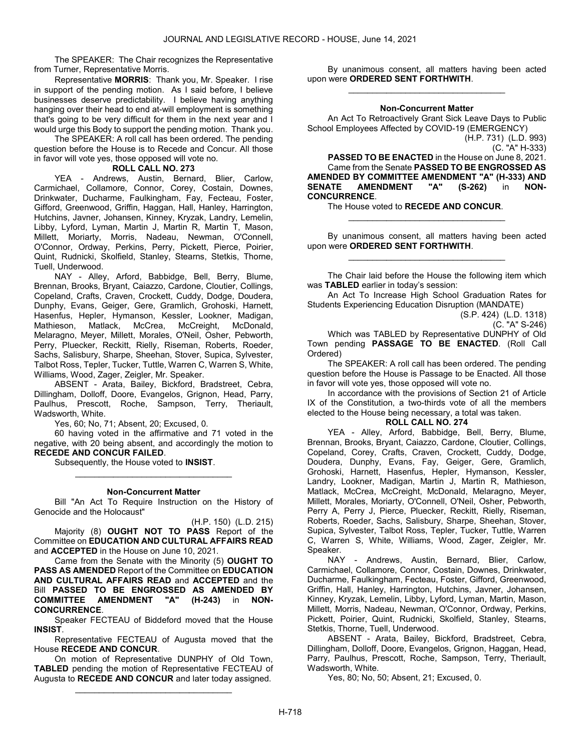The SPEAKER: The Chair recognizes the Representative from Turner, Representative Morris.

Representative MORRIS: Thank you, Mr. Speaker. I rise in support of the pending motion. As I said before, I believe businesses deserve predictability. I believe having anything hanging over their head to end at-will employment is something that's going to be very difficult for them in the next year and I would urge this Body to support the pending motion. Thank you.

 The SPEAKER: A roll call has been ordered. The pending question before the House is to Recede and Concur. All those in favor will vote yes, those opposed will vote no.

## ROLL CALL NO. 273

 YEA - Andrews, Austin, Bernard, Blier, Carlow, Carmichael, Collamore, Connor, Corey, Costain, Downes, Drinkwater, Ducharme, Faulkingham, Fay, Fecteau, Foster, Gifford, Greenwood, Griffin, Haggan, Hall, Hanley, Harrington, Hutchins, Javner, Johansen, Kinney, Kryzak, Landry, Lemelin, Libby, Lyford, Lyman, Martin J, Martin R, Martin T, Mason, Millett, Moriarty, Morris, Nadeau, Newman, O'Connell, O'Connor, Ordway, Perkins, Perry, Pickett, Pierce, Poirier, Quint, Rudnicki, Skolfield, Stanley, Stearns, Stetkis, Thorne, Tuell, Underwood.

 NAY - Alley, Arford, Babbidge, Bell, Berry, Blume, Brennan, Brooks, Bryant, Caiazzo, Cardone, Cloutier, Collings, Copeland, Crafts, Craven, Crockett, Cuddy, Dodge, Doudera, Dunphy, Evans, Geiger, Gere, Gramlich, Grohoski, Harnett, Hasenfus, Hepler, Hymanson, Kessler, Lookner, Madigan, Mathieson, Matlack, McCrea, McCreight, McDonald, Melaragno, Meyer, Millett, Morales, O'Neil, Osher, Pebworth, Perry, Pluecker, Reckitt, Rielly, Riseman, Roberts, Roeder, Sachs, Salisbury, Sharpe, Sheehan, Stover, Supica, Sylvester, Talbot Ross, Tepler, Tucker, Tuttle, Warren C, Warren S, White, Williams, Wood, Zager, Zeigler, Mr. Speaker.

 ABSENT - Arata, Bailey, Bickford, Bradstreet, Cebra, Dillingham, Dolloff, Doore, Evangelos, Grignon, Head, Parry, Paulhus, Prescott, Roche, Sampson, Terry, Theriault, Wadsworth, White.

Yes, 60; No, 71; Absent, 20; Excused, 0.

 60 having voted in the affirmative and 71 voted in the negative, with 20 being absent, and accordingly the motion to RECEDE AND CONCUR FAILED.

Subsequently, the House voted to INSIST.

## \_\_\_\_\_\_\_\_\_\_\_\_\_\_\_\_\_\_\_\_\_\_\_\_\_\_\_\_\_\_\_\_\_ Non-Concurrent Matter

 Bill "An Act To Require Instruction on the History of Genocide and the Holocaust"

(H.P. 150) (L.D. 215) Majority (8) **OUGHT NOT TO PASS** Report of the Committee on EDUCATION AND CULTURAL AFFAIRS READ and ACCEPTED in the House on June 10, 2021.

 Came from the Senate with the Minority (5) OUGHT TO PASS AS AMENDED Report of the Committee on EDUCATION AND CULTURAL AFFAIRS READ and ACCEPTED and the Bill PASSED TO BE ENGROSSED AS AMENDED BY<br>COMMITTEE AMENDMENT "A" (H-243) in NON-COMMITTEE AMENDMENT "A" (H-243) in NON-CONCURRENCE.

 Speaker FECTEAU of Biddeford moved that the House **INSIST.** 

 Representative FECTEAU of Augusta moved that the House RECEDE AND CONCUR.

 On motion of Representative DUNPHY of Old Town, TABLED pending the motion of Representative FECTEAU of Augusta to RECEDE AND CONCUR and later today assigned.

\_\_\_\_\_\_\_\_\_\_\_\_\_\_\_\_\_\_\_\_\_\_\_\_\_\_\_\_\_\_\_\_\_

 By unanimous consent, all matters having been acted upon were ORDERED SENT FORTHWITH. \_\_\_\_\_\_\_\_\_\_\_\_\_\_\_\_\_\_\_\_\_\_\_\_\_\_\_\_\_\_\_\_\_

## Non-Concurrent Matter

 An Act To Retroactively Grant Sick Leave Days to Public School Employees Affected by COVID-19 (EMERGENCY) (H.P. 731) (L.D. 993)

(C. "A" H-333)

PASSED TO BE ENACTED in the House on June 8, 2021. Came from the Senate PASSED TO BE ENGROSSED AS AMENDED BY COMMITTEE AMENDMENT "A" (H-333) AND<br>SENATE AMENDMENT "A" (S-262) in NON-SENATE AMENDMENT "A" (S-262) in NON-CONCURRENCE.

The House voted to RECEDE AND CONCUR.

 By unanimous consent, all matters having been acted upon were ORDERED SENT FORTHWITH. \_\_\_\_\_\_\_\_\_\_\_\_\_\_\_\_\_\_\_\_\_\_\_\_\_\_\_\_\_\_\_\_\_

\_\_\_\_\_\_\_\_\_\_\_\_\_\_\_\_\_\_\_\_\_\_\_\_\_\_\_\_\_\_\_\_\_

 The Chair laid before the House the following item which was TABLED earlier in today's session:

 An Act To Increase High School Graduation Rates for Students Experiencing Education Disruption (MANDATE)

> (S.P. 424) (L.D. 1318) (C. "A" S-246)

 Which was TABLED by Representative DUNPHY of Old Town pending PASSAGE TO BE ENACTED. (Roll Call Ordered)

 The SPEAKER: A roll call has been ordered. The pending question before the House is Passage to be Enacted. All those in favor will vote yes, those opposed will vote no.

 In accordance with the provisions of Section 21 of Article IX of the Constitution, a two-thirds vote of all the members elected to the House being necessary, a total was taken.

## ROLL CALL NO. 274

 YEA - Alley, Arford, Babbidge, Bell, Berry, Blume, Brennan, Brooks, Bryant, Caiazzo, Cardone, Cloutier, Collings, Copeland, Corey, Crafts, Craven, Crockett, Cuddy, Dodge, Doudera, Dunphy, Evans, Fay, Geiger, Gere, Gramlich, Grohoski, Harnett, Hasenfus, Hepler, Hymanson, Kessler, Landry, Lookner, Madigan, Martin J, Martin R, Mathieson, Matlack, McCrea, McCreight, McDonald, Melaragno, Meyer, Millett, Morales, Moriarty, O'Connell, O'Neil, Osher, Pebworth, Perry A, Perry J, Pierce, Pluecker, Reckitt, Rielly, Riseman, Roberts, Roeder, Sachs, Salisbury, Sharpe, Sheehan, Stover, Supica, Sylvester, Talbot Ross, Tepler, Tucker, Tuttle, Warren C, Warren S, White, Williams, Wood, Zager, Zeigler, Mr. Speaker.

 NAY - Andrews, Austin, Bernard, Blier, Carlow, Carmichael, Collamore, Connor, Costain, Downes, Drinkwater, Ducharme, Faulkingham, Fecteau, Foster, Gifford, Greenwood, Griffin, Hall, Hanley, Harrington, Hutchins, Javner, Johansen, Kinney, Kryzak, Lemelin, Libby, Lyford, Lyman, Martin, Mason, Millett, Morris, Nadeau, Newman, O'Connor, Ordway, Perkins, Pickett, Poirier, Quint, Rudnicki, Skolfield, Stanley, Stearns, Stetkis, Thorne, Tuell, Underwood.

 ABSENT - Arata, Bailey, Bickford, Bradstreet, Cebra, Dillingham, Dolloff, Doore, Evangelos, Grignon, Haggan, Head, Parry, Paulhus, Prescott, Roche, Sampson, Terry, Theriault, Wadsworth, White.

Yes, 80; No, 50; Absent, 21; Excused, 0.